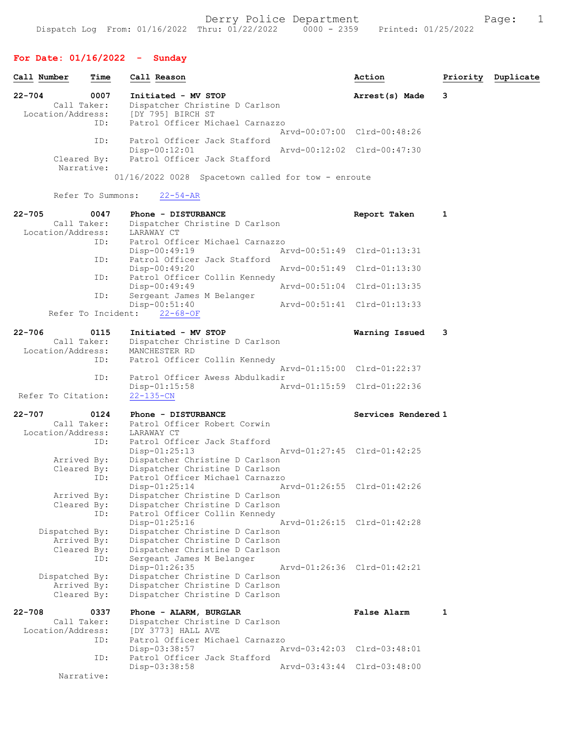# For Date: 01/16/2022 - Sunday

| Call Number |                                  | Time              | Call Reason                                     |                                                      |                             | Action                      | Priority | Duplicate |
|-------------|----------------------------------|-------------------|-------------------------------------------------|------------------------------------------------------|-----------------------------|-----------------------------|----------|-----------|
| $22 - 704$  | Call Taker:<br>Location/Address: | 0007              | Initiated - MV STOP<br>[DY 795] BIRCH ST        | Dispatcher Christine D Carlson                       |                             | Arrest(s) Made              | 3        |           |
|             |                                  | ID:               |                                                 | Patrol Officer Michael Carnazzo                      |                             | Arvd-00:07:00 Clrd-00:48:26 |          |           |
|             | Cleared By:<br>Narrative:        | ID:               | Patrol Officer Jack Stafford<br>$Disp-00:12:01$ | Patrol Officer Jack Stafford                         | Arvd-00:12:02 Clrd-00:47:30 |                             |          |           |
|             |                                  | Refer To Summons: | $22 - 54 - AR$                                  | $01/16/2022$ 0028 Spacetown called for tow - enroute |                             |                             |          |           |
| $22 - 705$  |                                  | 0047              | Phone - DISTURBANCE                             |                                                      |                             | Report Taken                | 1        |           |
|             | Call Taker:                      |                   |                                                 | Dispatcher Christine D Carlson                       |                             |                             |          |           |
|             | Location/Address:                |                   | LARAWAY CT                                      |                                                      |                             |                             |          |           |
|             |                                  | ID:               | Disp-00:49:19                                   | Patrol Officer Michael Carnazzo                      |                             | Arvd-00:51:49 Clrd-01:13:31 |          |           |
|             |                                  | ID:               | $Disp-00:49:20$                                 | Patrol Officer Jack Stafford                         |                             | Arvd-00:51:49 Clrd-01:13:30 |          |           |
|             |                                  | ID:               | Disp-00:49:49                                   | Patrol Officer Collin Kennedy                        |                             | Arvd-00:51:04 Clrd-01:13:35 |          |           |
|             |                                  | ID:               | Sergeant James M Belanger<br>$Disp-00:51:40$    |                                                      |                             | Arvd-00:51:41 Clrd-01:13:33 |          |           |
|             | Refer To Incident:               |                   | $22 - 68 - OF$                                  |                                                      |                             |                             |          |           |
| $22 - 706$  |                                  | 0115              | Initiated - MV STOP                             |                                                      |                             | Warning Issued              | 3        |           |
|             | Call Taker:                      |                   |                                                 | Dispatcher Christine D Carlson                       |                             |                             |          |           |
|             | Location/Address:                |                   | MANCHESTER RD                                   |                                                      |                             |                             |          |           |
|             |                                  | ID:               |                                                 | Patrol Officer Collin Kennedy                        |                             | Arvd-01:15:00 Clrd-01:22:37 |          |           |
|             |                                  | ID:               | $Disp-01:15:58$                                 | Patrol Officer Awess Abdulkadir                      |                             | Arvd-01:15:59 Clrd-01:22:36 |          |           |
|             | Refer To Citation:               |                   | $22 - 135 - CN$                                 |                                                      |                             |                             |          |           |
| $22 - 707$  |                                  | 0124              | Phone - DISTURBANCE                             |                                                      |                             | Services Rendered 1         |          |           |
|             | Call Taker:<br>Location/Address: |                   | Patrol Officer Robert Corwin                    |                                                      |                             |                             |          |           |
|             |                                  | ID:               | LARAWAY CT<br>Patrol Officer Jack Stafford      |                                                      |                             |                             |          |           |
|             |                                  |                   | $Disp-01:25:13$                                 |                                                      | Arvd-01:27:45 Clrd-01:42:25 |                             |          |           |
|             | Arrived By:                      |                   |                                                 | Dispatcher Christine D Carlson                       |                             |                             |          |           |
|             | Cleared By:                      |                   |                                                 | Dispatcher Christine D Carlson                       |                             |                             |          |           |
|             |                                  | ID:               | Disp-01:25:14                                   | Patrol Officer Michael Carnazzo                      |                             | Arvd-01:26:55 Clrd-01:42:26 |          |           |
|             | Arrived By:                      |                   |                                                 | Dispatcher Christine D Carlson                       |                             |                             |          |           |
|             | Cleared By:                      |                   |                                                 | Dispatcher Christine D Carlson                       |                             |                             |          |           |
|             |                                  | ID:               |                                                 | Patrol Officer Collin Kennedy                        |                             |                             |          |           |
|             | Dispatched By:                   |                   | $Disp-01:25:16$                                 | Dispatcher Christine D Carlson                       |                             | Arvd-01:26:15 Clrd-01:42:28 |          |           |
|             | Arrived By:                      |                   |                                                 | Dispatcher Christine D Carlson                       |                             |                             |          |           |
|             | Cleared By:                      |                   |                                                 | Dispatcher Christine D Carlson                       |                             |                             |          |           |
|             |                                  | ID:               | Sergeant James M Belanger                       |                                                      |                             |                             |          |           |
|             |                                  |                   | Disp-01:26:35                                   | Dispatcher Christine D Carlson                       |                             | Arvd-01:26:36 Clrd-01:42:21 |          |           |
|             | Dispatched By:<br>Arrived By:    |                   |                                                 | Dispatcher Christine D Carlson                       |                             |                             |          |           |
|             | Cleared By:                      |                   |                                                 | Dispatcher Christine D Carlson                       |                             |                             |          |           |
| $22 - 708$  |                                  | 0337              | Phone - ALARM, BURGLAR                          |                                                      |                             | <b>False Alarm</b>          | 1        |           |
|             | Call Taker:                      |                   |                                                 | Dispatcher Christine D Carlson                       |                             |                             |          |           |
|             | Location/Address:                |                   | [DY 3773] HALL AVE                              |                                                      |                             |                             |          |           |
|             |                                  | ID:               |                                                 | Patrol Officer Michael Carnazzo                      |                             | Arvd-03:42:03 Clrd-03:48:01 |          |           |
|             |                                  | ID:               | Disp-03:38:57                                   | Patrol Officer Jack Stafford                         |                             |                             |          |           |
|             |                                  |                   | Disp-03:38:58                                   |                                                      |                             | Arvd-03:43:44 Clrd-03:48:00 |          |           |
|             | Narrative:                       |                   |                                                 |                                                      |                             |                             |          |           |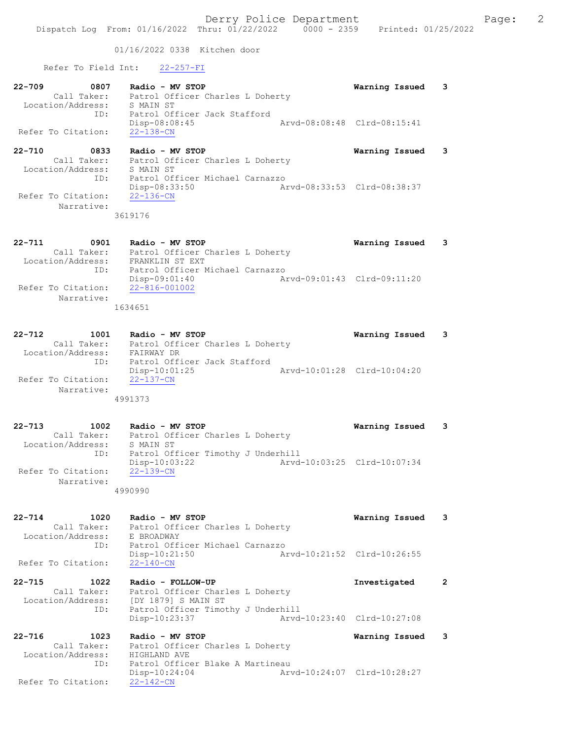01/16/2022 0338 Kitchen door

Refer To Field Int: 22-257-FI

| $22 - 709$         | 0807        | Radio - MV STOP                                 | Warning Issued 3            |   |
|--------------------|-------------|-------------------------------------------------|-----------------------------|---|
| Location/Address:  | Call Taker: | Patrol Officer Charles L Doherty<br>S MAIN ST   |                             |   |
|                    | ID:         | Patrol Officer Jack Stafford<br>$Disp-08:08:45$ | Arvd-08:08:48 Clrd-08:15:41 |   |
| Refer To Citation: |             | 22-138-CN                                       |                             |   |
| 00.710             | con n       | $R = 32$<br>$MT$ $G$ $D$ $D$                    | $H = H + H + H + H$         | ີ |

22-710 0833 Radio - MV STOP Warning Issued 3 Call Taker: Patrol Officer Charles L Doherty Location/Address: S MAIN ST ID: Patrol Officer Michael Carnazzo Disp-08:33:50 Arvd-08:33:53 Clrd-08:38:37 Refer To Citation: 22-136-CN Narrative:

3619176

22-711 0901 Radio - MV STOP Warning Issued 3 Call Taker: Patrol Officer Charles L Doherty Location/Address: FRANKLIN ST EXT ID: Patrol Officer Michael Carnazzo Disp-09:01:40 Arvd-09:01:43 Clrd-09:11:20 Refer To Citation: Narrative: 1634651

22-712 1001 Radio - MV STOP Warning Issued 3 Call Taker: Patrol Officer Charles L Doherty Location/Address: FAIRWAY DR ID: Patrol Officer Jack Stafford Disp-10:01:25 Arvd-10:01:28 Clrd-10:04:20 Refer To Citation: 22-137-CN Narrative: 4991373

22-713 1002 Radio - MV STOP Warning Issued 3 Call Taker: Patrol Officer Charles L Doherty Location/Address: S MAIN ST ID: Patrol Officer Timothy J Underhill Disp-10:03:22 Arvd-10:03:25 Clrd-10:07:34 Refer To Citation:  $22-139-CN$  Narrative: 4990990

22-714 1020 Radio - MV STOP Warning Issued 3 Call Taker: Patrol Officer Charles L Doherty Location/Address: E BROADWAY ID: Patrol Officer Michael Carnazzo<br>Disp-10:21:50 Arvd-10:21:52 Clrd-10:26:55 Disp-10:21:50<br>22-140-CN Refer To Citation:

22-715 1022 Radio - FOLLOW-UP Investigated 2 Call Taker: Patrol Officer Charles L Doherty Location/Address: [DY 1879] S MAIN ST ID: Patrol Officer Timothy J Underhill<br>Disp-10:23:37 Arvd-Disp-10:23:37 Arvd-10:23:40 Clrd-10:27:08

22-716 1023 Radio - MV STOP Warning Issued 3 Call Taker: Patrol Officer Charles L Doherty Location/Address: HIGHLAND AVE ID: Patrol Officer Blake A Martineau<br>Disp-10:24:04 Ary Disp-10:24:04 Arvd-10:24:07 Clrd-10:28:27 Refer To Citation: 22-142-CN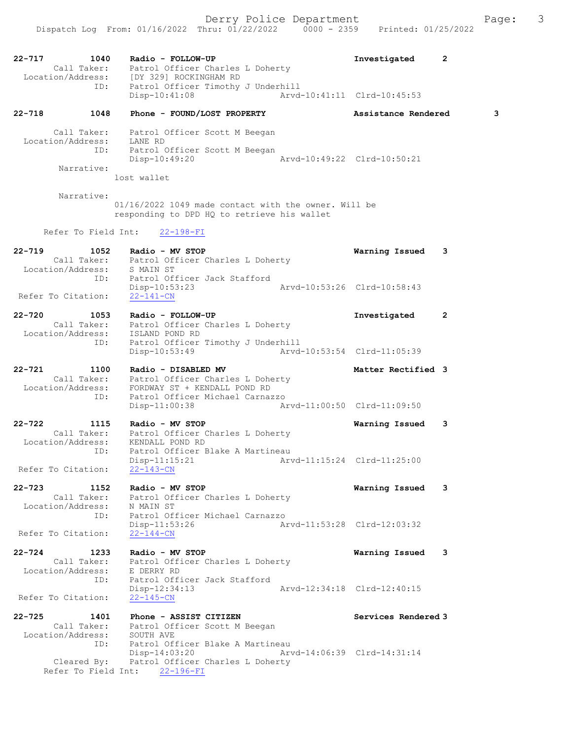22-717 1040 Radio - FOLLOW-UP Investigated 2 Call Taker: Patrol Officer Charles L Doherty Location/Address: [DY 329] ROCKINGHAM RD ID: Patrol Officer Timothy J Underhill Disp-10:41:08 Arvd-10:41:11 Clrd-10:45:53 22-718 1048 Phone - FOUND/LOST PROPERTY Assistance Rendered 3 Call Taker: Patrol Officer Scott M Beegan Location/Address: LANE RD ID: Patrol Officer Scott M Beegan Disp-10:49:20 Arvd-10:49:22 Clrd-10:50:21 Narrative: lost wallet Narrative: 01/16/2022 1049 made contact with the owner. Will be responding to DPD HQ to retrieve his wallet Refer To Field Int: 22-198-FI 22-719 1052 Radio - MV STOP Warning Issued 3 Call Taker: Patrol Officer Charles L Doherty Location/Address: S MAIN ST ID: Patrol Officer Jack Stafford Disp-10:53:23 Arvd-10:53:26 Clrd-10:58:43 Refer To Citation: 22-141-CN 22-720 1053 Radio - FOLLOW-UP Investigated 2 Call Taker: Patrol Officer Charles L Doherty Location/Address: ISLAND POND RD ID: Patrol Officer Timothy J Underhill Disp-10:53:49 Arvd-10:53:54 Clrd-11:05:39 22-721 1100 Radio - DISABLED MV Matter Rectified 3 Call Taker: Patrol Officer Charles L Doherty Location/Address: FORDWAY ST + KENDALL POND RD ID: Patrol Officer Michael Carnazzo Disp-11:00:38 Arvd-11:00:50 Clrd-11:09:50 22-722 1115 Radio - MV STOP Warning Issued 3 Call Taker: Patrol Officer Charles L Doherty Location/Address: KENDALL POND RD ID: Patrol Officer Blake A Martineau Disp-11:15:21 Arvd-11:15:24 Clrd-11:25:00 Refer To Citation: 22-143-CN 22-723 1152 Radio - MV STOP Warning Issued 3 Call Taker: Patrol Officer Charles L Doherty Location/Address: N MAIN ST ID: Patrol Officer Michael Carnazzo<br>Disp-11:53:26 Ar Disp-11:53:26 Arvd-11:53:28 Clrd-12:03:32 Refer To Citation: 22-144-CN 22-724 1233 Radio - MV STOP Warning Issued 3 Call Taker: Patrol Officer Charles L Doherty Location/Address: E DERRY RD ID: Patrol Officer Jack Stafford<br>Disp-12:34:13 Arvd-12:34:18 Clrd-12:40:15 Disp-12:34:13 Refer To Citation: 22-145-CN 22-725 1401 Phone - ASSIST CITIZEN Services Rendered 3 Call Taker: Patrol Officer Scott M Beegan Location/Address: SOUTH AVE ID: Patrol Officer Blake A Martineau Disp-14:03:20 Arvd-14:06:39 Clrd-14:31:14 Cleared By: Patrol Officer Charles L Doherty Refer To Field Int: 22-196-FI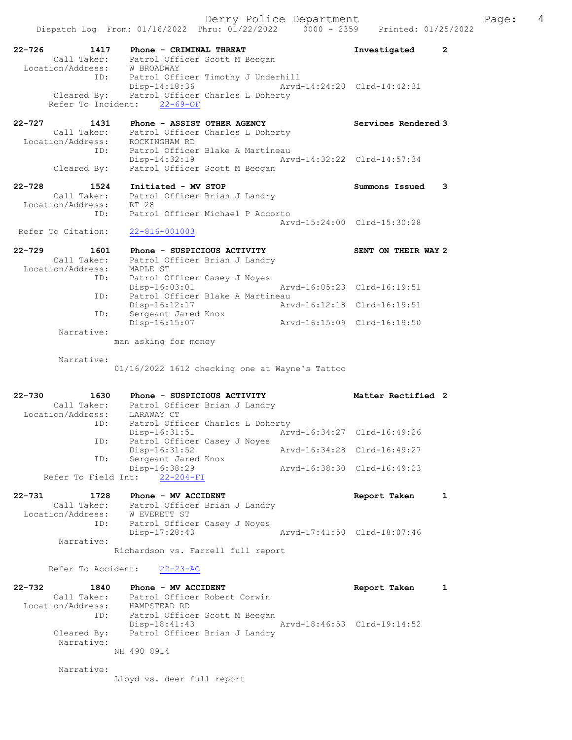Dispatch Log From: 01/16/2022 Thru: 01/22/2022 0000 - 2359 Printed: 01/25/2022 22-726 1417 Phone - CRIMINAL THREAT Investigated 2 Call Taker: Patrol Officer Scott M Beegan Location/Address: W BROADWAY ID: Patrol Officer Timothy J Underhill Disp-14:18:36 Arvd-14:24:20 Clrd-14:42:31 Cleared By: Patrol Officer Charles L Doherty Refer To Incident: 22-69-OF 22-727 1431 Phone - ASSIST OTHER AGENCY Services Rendered 3 Call Taker: Patrol Officer Charles L Doherty Location/Address: ROCKINGHAM RD ID: Patrol Officer Blake A Martineau Disp-14:32:19 Arvd-14:32:22 Clrd-14:57:34 Cleared By: Patrol Officer Scott M Beegan 22-728 1524 Initiated - MV STOP Summons Issued 3 Call Taker: Patrol Officer Brian J Landry Location/Address: RT 28 ID: Patrol Officer Michael P Accorto Arvd-15:24:00 Clrd-15:30:28 Refer To Citation: 22-816-001003 22-729 1601 Phone - SUSPICIOUS ACTIVITY SENT ON THEIR WAY 2 Call Taker: Patrol Officer Brian J Landry Location/Address: MAPLE ST ID: Patrol Officer Casey J Noyes Disp-16:03:01 Arvd-16:05:23 Clrd-16:19:51 ID: Patrol Officer Blake A Martineau Disp-16:12:17 Arvd-16:12:18 Clrd-16:19:51 ID: Sergeant Jared Knox Disp-16:15:07 Arvd-16:15:09 Clrd-16:19:50 Narrative: man asking for money Narrative: 01/16/2022 1612 checking one at Wayne's Tattoo 22-730 1630 Phone - SUSPICIOUS ACTIVITY Natter Rectified 2 Call Taker: Patrol Officer Brian J Landry Location/Address: LARAWAY CT ID: Patrol Officer Charles L Doherty Disp-16:31:51 Arvd-16:34:27 Clrd-16:49:26 ID: Patrol Officer Casey J Noyes Disp-16:31:52 Arvd-16:34:28 Clrd-16:49:27 ID: Sergeant Jared Knox Disp-16:38:29 Arvd-16:38:30 Clrd-16:49:23 Refer To Field Int: 22-204-FI 22-731 1728 Phone - MV ACCIDENT 1 128 Report Taken 1 Call Taker: Patrol Officer Brian J Landry Location/Address: W EVERETT ST ID: Patrol Officer Casey J Noyes Disp-17:28:43 Arvd-17:41:50 Clrd-18:07:46 Narrative: Richardson vs. Farrell full report Refer To Accident: 22-23-AC 22-732 1840 Phone - MV ACCIDENT Report Taken 1 Call Taker: Patrol Officer Robert Corwin Location/Address: HAMPSTEAD RD ID: Patrol Officer Scott M Beegan Disp-18:41:43 Arvd-18:46:53 Clrd-19:14:52 Cleared By: Patrol Officer Brian J Landry Narrative: NH 490 8914 Narrative:

Lloyd vs. deer full report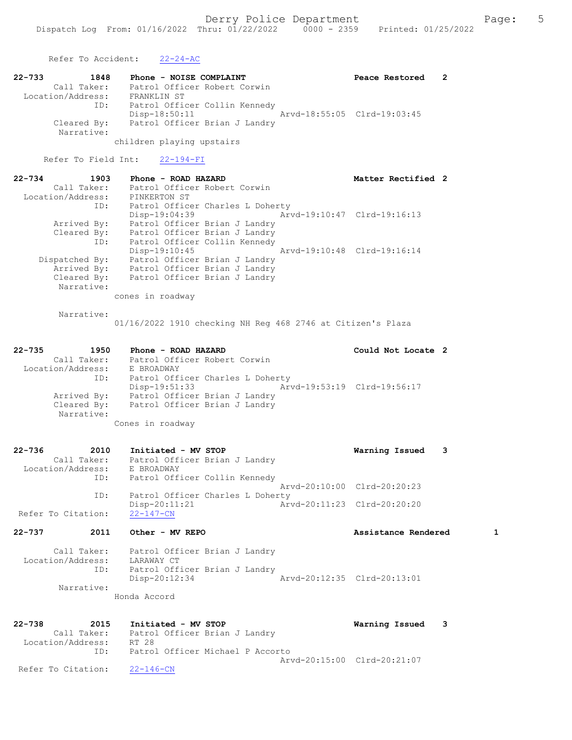Refer To Accident: 22-24-AC

| 22-733<br>1848            | Phone - NOISE COMPLAINT       | Peace Restored              |  |
|---------------------------|-------------------------------|-----------------------------|--|
| Call Taker:               | Patrol Officer Robert Corwin  |                             |  |
| Location/Address:         | FRANKLIN ST                   |                             |  |
| ID:                       | Patrol Officer Collin Kennedy |                             |  |
|                           | Disp-18:50:11                 | Arvd-18:55:05 Clrd-19:03:45 |  |
| Cleared By:<br>Narrative: | Patrol Officer Brian J Landry |                             |  |

children playing upstairs

Refer To Field Int: 22-194-FI

| $22 - 734$<br>1903 | Phone - ROAD HAZARD              | Matter Rectified 2          |
|--------------------|----------------------------------|-----------------------------|
| Call Taker:        | Patrol Officer Robert Corwin     |                             |
| Location/Address:  | PINKERTON ST                     |                             |
| ID:                | Patrol Officer Charles L Doherty |                             |
|                    | $Disp-19:04:39$                  | Arvd-19:10:47 Clrd-19:16:13 |
| Arrived By:        | Patrol Officer Brian J Landry    |                             |
| Cleared By:        | Patrol Officer Brian J Landry    |                             |
| ID:                | Patrol Officer Collin Kennedy    |                             |
|                    | $Disp-19:10:45$                  | Arvd-19:10:48 Clrd-19:16:14 |
| Dispatched By:     | Patrol Officer Brian J Landry    |                             |
| Arrived By:        | Patrol Officer Brian J Landry    |                             |
| Cleared By:        | Patrol Officer Brian J Landry    |                             |
| Narrative:         |                                  |                             |
|                    | cones in roadway                 |                             |

Narrative:

01/16/2022 1910 checking NH Reg 468 2746 at Citizen's Plaza

### 22-735 1950 Phone - ROAD HAZARD Could Not Locate 2 Call Taker: Patrol Officer Robert Corwin Location/Address: E BROADWAY ID: Patrol Officer Charles L Doherty Disp-19:51:33 Arvd-19:53:19 Clrd-19:56:17 Arrived By: Patrol Officer Brian J Landry Cleared By: Patrol Officer Brian J Landry Narrative:

Cones in roadway

| $22 - 736$<br>2010 | Initiated - MV STOP              | Warning Issued<br>3         |  |
|--------------------|----------------------------------|-----------------------------|--|
| Call Taker:        | Patrol Officer Brian J Landry    |                             |  |
| Location/Address:  | E BROADWAY                       |                             |  |
| ID:                | Patrol Officer Collin Kennedy    |                             |  |
|                    |                                  | Arvd-20:10:00 Clrd-20:20:23 |  |
| ID:                | Patrol Officer Charles L Doherty |                             |  |
|                    | $Disp-20:11:21$                  | Arvd-20:11:23 Clrd-20:20:20 |  |
| Refer To Citation: | $22 - 147 - CN$                  |                             |  |
| $22 - 737$<br>2011 | Other - MV REPO                  | Assistance Rendered         |  |

 Call Taker: Patrol Officer Brian J Landry Location/Address: LARAWAY CT ID: Patrol Officer Brian J Landry Disp-20:12:34 Arvd-20:12:35 Clrd-20:13:01 Narrative: Honda Accord

22-738 2015 Initiated - MV STOP Warning Issued 3 Call Taker: Patrol Officer Brian J Landry Location/Address: RT 28 ID: Patrol Officer Michael P Accorto Arvd-20:15:00 Clrd-20:21:07 Refer To Citation: 22-146-CN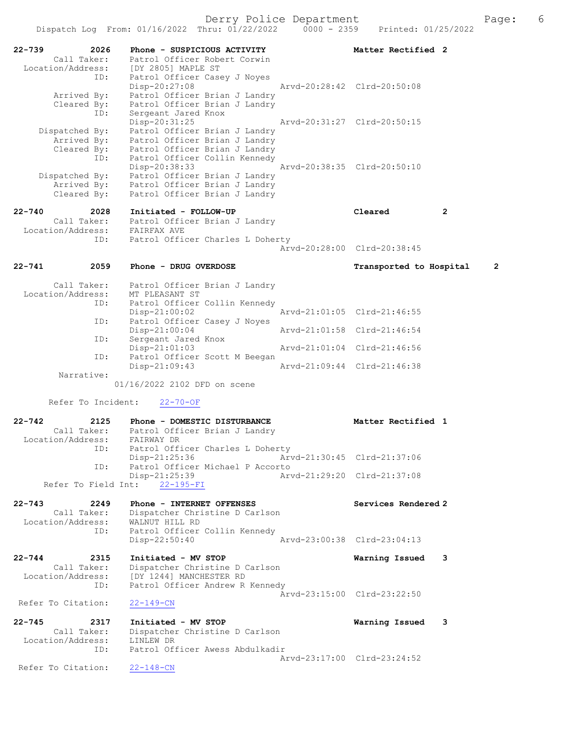| 2026<br>$22 - 739$<br>Call Taker:    | Phone - SUSPICIOUS ACTIVITY<br>Patrol Officer Robert Corwin    | Matter Rectified 2                        |
|--------------------------------------|----------------------------------------------------------------|-------------------------------------------|
| Location/Address:                    | [DY 2805] MAPLE ST                                             |                                           |
| ID:                                  | Patrol Officer Casey J Noyes<br>Disp-20:27:08                  | Arvd-20:28:42 Clrd-20:50:08               |
| Arrived By:                          | Patrol Officer Brian J Landry                                  |                                           |
| Cleared By:<br>ID:                   | Patrol Officer Brian J Landry<br>Sergeant Jared Knox           |                                           |
|                                      | Disp-20:31:25                                                  | Arvd-20:31:27 Clrd-20:50:15               |
| Dispatched By:                       | Patrol Officer Brian J Landry                                  |                                           |
| Arrived By:<br>Cleared By:           | Patrol Officer Brian J Landry<br>Patrol Officer Brian J Landry |                                           |
| ID:                                  | Patrol Officer Collin Kennedy                                  |                                           |
| Dispatched By:                       | Disp-20:38:33<br>Patrol Officer Brian J Landry                 | Arvd-20:38:35 Clrd-20:50:10               |
| Arrived By:                          | Patrol Officer Brian J Landry                                  |                                           |
| Cleared By:                          | Patrol Officer Brian J Landry                                  |                                           |
| $22 - 740$<br>2028                   | Initiated - FOLLOW-UP                                          | Cleared<br>$\mathbf{2}$                   |
| Call Taker:                          | Patrol Officer Brian J Landry                                  |                                           |
| Location/Address: FAIRFAX AVE<br>ID: | Patrol Officer Charles L Doherty                               |                                           |
|                                      |                                                                | Arvd-20:28:00 Clrd-20:38:45               |
| $22 - 741$<br>2059                   | Phone - DRUG OVERDOSE                                          | $\overline{2}$<br>Transported to Hospital |
|                                      |                                                                |                                           |
| Call Taker:<br>Location/Address:     | Patrol Officer Brian J Landry<br>MT PLEASANT ST                |                                           |
| ID:                                  | Patrol Officer Collin Kennedy                                  |                                           |
| ID:                                  | $Disp-21:00:02$<br>Patrol Officer Casey J Noyes                | Arvd-21:01:05 Clrd-21:46:55               |
|                                      | $Disp-21:00:04$                                                | Arvd-21:01:58 Clrd-21:46:54               |
| ID:                                  | Sergeant Jared Knox                                            |                                           |
| ID:                                  | $Disp-21:01:03$<br>Patrol Officer Scott M Beegan               | Arvd-21:01:04 Clrd-21:46:56               |
|                                      | Disp-21:09:43                                                  | Arvd-21:09:44 Clrd-21:46:38               |
| Narrative:                           | 01/16/2022 2102 DFD on scene                                   |                                           |
|                                      |                                                                |                                           |
| Refer To Incident:                   | $22 - 70 - OF$                                                 |                                           |
| $22 - 742$<br>2125                   | Phone - DOMESTIC DISTURBANCE                                   | Matter Rectified 1                        |
| Location/Address: FAIRWAY DR         | Call Taker: Patrol Officer Brian J Landry                      |                                           |
| ID:                                  | Patrol Officer Charles L Doherty                               |                                           |
|                                      | Disp-21:25:36                                                  | Arvd-21:30:45 Clrd-21:37:06               |
| ID:                                  | Patrol Officer Michael P Accorto<br>Disp-21:25:39              | Arvd-21:29:20 Clrd-21:37:08               |
|                                      | Refer To Field Int: 22-195-FI                                  |                                           |
| $22 - 743$<br>2249                   | Phone - INTERNET OFFENSES                                      | Services Rendered 2                       |
| Call Taker:                          | Dispatcher Christine D Carlson                                 |                                           |
| Location/Address:<br>ID:             | WALNUT HILL RD<br>Patrol Officer Collin Kennedy                |                                           |
|                                      | $Disp-22:50:40$                                                | Arvd-23:00:38 Clrd-23:04:13               |
| $22 - 744$<br>2315                   | Initiated - MV STOP                                            | 3                                         |
| Call Taker:                          | Dispatcher Christine D Carlson                                 | Warning Issued                            |
| Location/Address:                    | [DY 1244] MANCHESTER RD                                        |                                           |
| ID:                                  | Patrol Officer Andrew R Kennedy                                | Arvd-23:15:00 Clrd-23:22:50               |
| Refer To Citation:                   | $22 - 149 - CN$                                                |                                           |
| $22 - 745$<br>2317                   | Initiated - MV STOP                                            | Warning Issued<br>3                       |
| Call Taker:                          | Dispatcher Christine D Carlson                                 |                                           |
| Location/Address:<br>ID:             | LINLEW DR<br>Patrol Officer Awess Abdulkadir                   |                                           |
|                                      |                                                                | Arvd-23:17:00 Clrd-23:24:52               |
| Refer To Citation:                   | $22 - 148 - CN$                                                |                                           |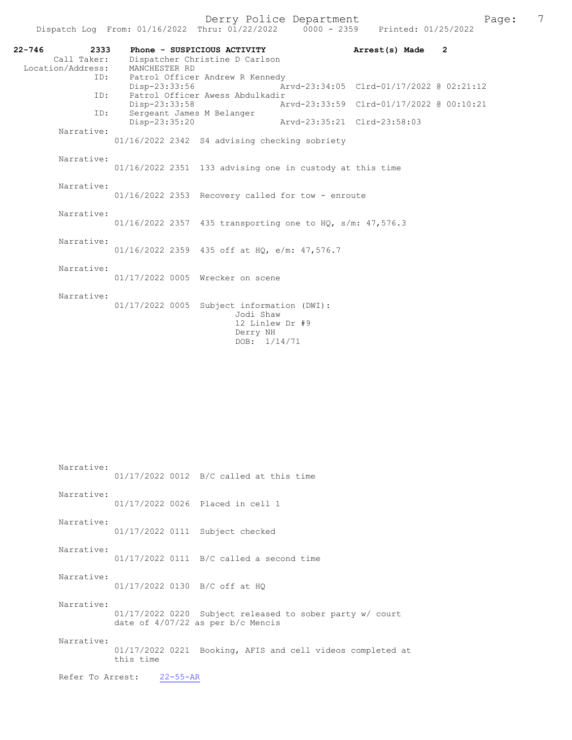| 22-746 | 2333<br>Call Taker: |               | Phone - SUSPICIOUS ACTIVITY<br>Dispatcher Christine D Carlson |                             | Arrest(s) Made                           | $\overline{2}$ |
|--------|---------------------|---------------|---------------------------------------------------------------|-----------------------------|------------------------------------------|----------------|
|        | Location/Address:   | MANCHESTER RD |                                                               |                             |                                          |                |
|        | ID:                 |               | Patrol Officer Andrew R Kennedy                               |                             |                                          |                |
|        |                     | Disp-23:33:56 |                                                               |                             | Arvd-23:34:05 Clrd-01/17/2022 @ 02:21:12 |                |
|        | ID:                 |               | Patrol Officer Awess Abdulkadir                               |                             |                                          |                |
|        |                     | Disp-23:33:58 |                                                               |                             | Arvd-23:33:59 Clrd-01/17/2022 @ 00:10:21 |                |
|        | ID:                 |               | Sergeant James M Belanger                                     |                             |                                          |                |
|        | Narrative:          | Disp-23:35:20 |                                                               | Arvd-23:35:21 Clrd-23:58:03 |                                          |                |
|        |                     |               | 01/16/2022 2342 S4 advising checking sobriety                 |                             |                                          |                |
|        | Narrative:          |               |                                                               |                             |                                          |                |
|        |                     |               | 01/16/2022 2351 133 advising one in custody at this time      |                             |                                          |                |
|        |                     |               |                                                               |                             |                                          |                |
|        | Narrative:          |               |                                                               |                             |                                          |                |
|        |                     |               | $01/16/2022$ 2353 Recovery called for tow - enroute           |                             |                                          |                |
|        |                     |               |                                                               |                             |                                          |                |
|        | Narrative:          |               |                                                               |                             |                                          |                |
|        |                     |               | $01/16/2022$ 2357 435 transporting one to HQ, s/m: 47,576.3   |                             |                                          |                |
|        | Narrative:          |               |                                                               |                             |                                          |                |
|        |                     |               | 01/16/2022 2359 435 off at HQ, e/m: 47,576.7                  |                             |                                          |                |
|        |                     |               |                                                               |                             |                                          |                |
|        | Narrative:          |               |                                                               |                             |                                          |                |
|        |                     |               | 01/17/2022 0005 Wrecker on scene                              |                             |                                          |                |
|        | Narrative:          |               |                                                               |                             |                                          |                |
|        |                     |               | 01/17/2022 0005 Subject information (DWI):                    |                             |                                          |                |
|        |                     |               | Jodi Shaw                                                     |                             |                                          |                |
|        |                     |               | 12 Linlew Dr #9                                               |                             |                                          |                |
|        |                     |               | Derry NH                                                      |                             |                                          |                |

 Narrative: 01/17/2022 0012 B/C called at this time Narrative: 01/17/2022 0026 Placed in cell 1 Narrative: 01/17/2022 0111 Subject checked Narrative: 01/17/2022 0111 B/C called a second time Narrative: 01/17/2022 0130 B/C off at HQ Narrative: 01/17/2022 0220 Subject released to sober party w/ court date of 4/07/22 as per b/c Mencis Narrative: 01/17/2022 0221 Booking, AFIS and cell videos completed at this time Refer To Arrest: 22-55-AR

DOB:  $1/14/71$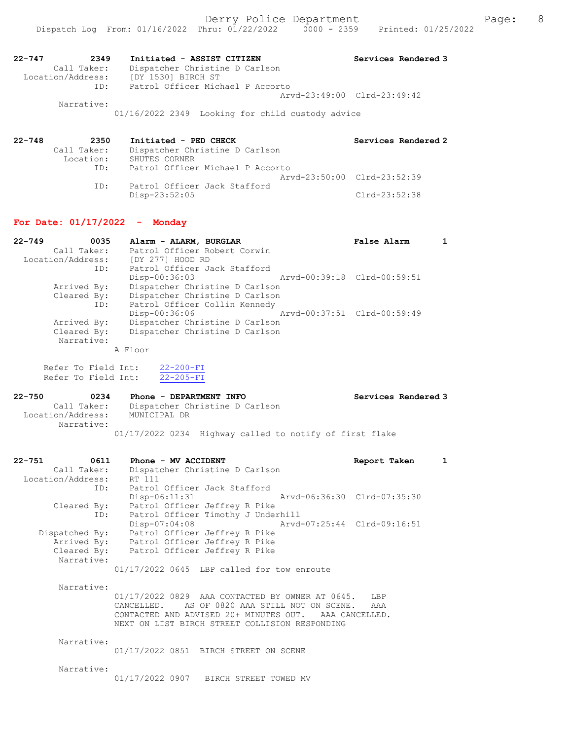| 22-747 | 2349              | Initiated - ASSIST CITIZEN       | Services Rendered 3         |
|--------|-------------------|----------------------------------|-----------------------------|
|        | Call Taker:       | Dispatcher Christine D Carlson   |                             |
|        | Location/Address: | [DY 1530] BIRCH ST               |                             |
|        | ID:               | Patrol Officer Michael P Accorto |                             |
|        |                   |                                  | Aryd-23:49:00 Clrd-23:49:42 |
|        | Narrative:        |                                  |                             |

01/16/2022 2349 Looking for child custody advice

| 22-748 | 2350                     | Initiated - PED CHECK                           | Services Rendered 2         |
|--------|--------------------------|-------------------------------------------------|-----------------------------|
|        | Call Taker:<br>Location: | Dispatcher Christine D Carlson<br>SHUTES CORNER |                             |
|        | ID:                      | Patrol Officer Michael P Accorto                |                             |
|        |                          |                                                 | Aryd-23:50:00 Clrd-23:52:39 |
|        | ID:                      | Patrol Officer Jack Stafford                    | $Clrd-23:52:38$             |
|        |                          | Disp-23:52:05                                   |                             |

### For Date: 01/17/2022 - Monday

| $22 - 749$<br>0035 | Alarm - ALARM, BURGLAR         | False Alarm                 |  |
|--------------------|--------------------------------|-----------------------------|--|
| Call Taker:        | Patrol Officer Robert Corwin   |                             |  |
| Location/Address:  | [DY 277] HOOD RD               |                             |  |
| ID:                | Patrol Officer Jack Stafford   |                             |  |
|                    | Disp-00:36:03                  | Arvd-00:39:18 Clrd-00:59:51 |  |
| Arrived By:        | Dispatcher Christine D Carlson |                             |  |
| Cleared By:        | Dispatcher Christine D Carlson |                             |  |
| ID:                | Patrol Officer Collin Kennedy  |                             |  |
|                    | Disp-00:36:06                  | Arvd-00:37:51 Clrd-00:59:49 |  |
| Arrived By:        | Dispatcher Christine D Carlson |                             |  |
| Cleared By:        | Dispatcher Christine D Carlson |                             |  |
| Narrative:         |                                |                             |  |

A Floor

 Refer To Field Int: 22-200-FI Refer To Field Int: 22-205-FI

| $22 - 750$<br>0234              | Phone - DEPARTMENT INFO                                 | Services Rendered 3 |
|---------------------------------|---------------------------------------------------------|---------------------|
| Call Taker:                     | Dispatcher Christine D Carlson                          |                     |
| Location/Address:<br>Narrative: | MUNICIPAL DR                                            |                     |
|                                 | 01/17/2022 0234 Highway called to notify of first flake |                     |

| $22 - 751$<br>0611 | Phone - MV ACCIDENT                            | Report Taken |  |
|--------------------|------------------------------------------------|--------------|--|
| Call Taker:        | Dispatcher Christine D Carlson                 |              |  |
| Location/Address:  | RT 111                                         |              |  |
| ID:                | Patrol Officer Jack Stafford                   |              |  |
|                    | Arvd-06:36:30 Clrd-07:35:30<br>$Disp-06:11:31$ |              |  |
| Cleared By:        | Patrol Officer Jeffrey R Pike                  |              |  |
| ID:                | Patrol Officer Timothy J Underhill             |              |  |
|                    | Arvd-07:25:44 Clrd-09:16:51<br>$Disp-07:04:08$ |              |  |
| Dispatched By:     | Patrol Officer Jeffrey R Pike                  |              |  |
| Arrived By:        | Patrol Officer Jeffrey R Pike                  |              |  |
| Cleared By:        | Patrol Officer Jeffrey R Pike                  |              |  |
| Narrative:         |                                                |              |  |
|                    | $01/17/2022$ 0645 LBP called for tow enroute   |              |  |

 Narrative: 01/17/2022 0829 AAA CONTACTED BY OWNER AT 0645. LBP CANCELLED. AS OF 0820 AAA STILL NOT ON SCENE. AAA CONTACTED AND ADVISED 20+ MINUTES OUT. AAA CANCELLED. NEXT ON LIST BIRCH STREET COLLISION RESPONDING

Narrative:

01/17/2022 0851 BIRCH STREET ON SCENE

Narrative:

01/17/2022 0907 BIRCH STREET TOWED MV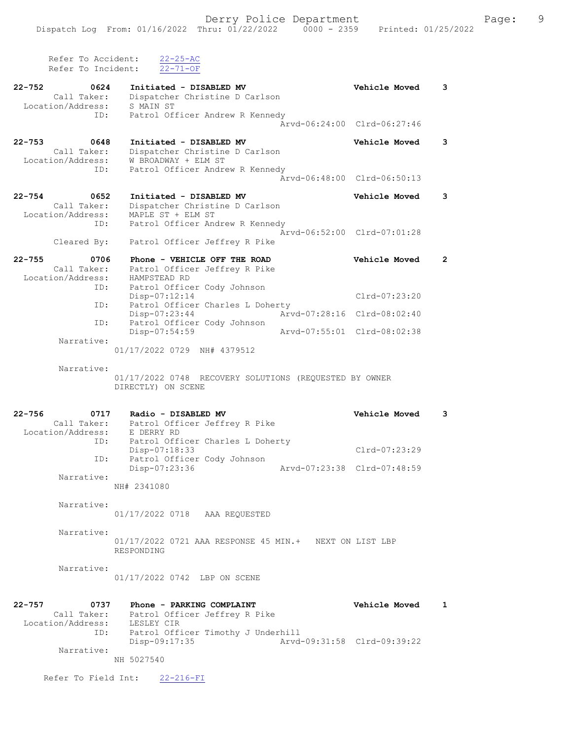| aae? |  |
|------|--|
|      |  |

Derry Police Department Fage: 9 Refer To Accident: 22-25-AC Refer To Incident: 22-71-OF 22-752 0624 Initiated - DISABLED MV Vehicle Moved 3 Call Taker: Dispatcher Christine D Carlson Location/Address: S MAIN ST ID: Patrol Officer Andrew R Kennedy Arvd-06:24:00 Clrd-06:27:46 22-753 0648 Initiated - DISABLED MV Vehicle Moved 3 Call Taker: Dispatcher Christine D Carlson Location/Address: W BROADWAY + ELM ST ID: Patrol Officer Andrew R Kennedy Arvd-06:48:00 Clrd-06:50:13 22-754 0652 Initiated - DISABLED MV Vehicle Moved 3 Call Taker: Dispatcher Christine D Carlson Location/Address: MAPLE ST + ELM ST ID: Patrol Officer Andrew R Kennedy Arvd-06:52:00 Clrd-07:01:28 Cleared By: Patrol Officer Jeffrey R Pike 22-755 0706 Phone - VEHICLE OFF THE ROAD Vehicle Moved 2 Call Taker: Patrol Officer Jeffrey R Pike Location/Address: HAMPSTEAD RD ID: Patrol Officer Cody Johnson Disp-07:12:14 Clrd-07:23:20 ID: Patrol Officer Charles L Doherty Disp-07:23:44 Arvd-07:28:16 Clrd-08:02:40 ID: Patrol Officer Cody Johnson<br>Disp-07:54:59 Disp-07:54:59 Arvd-07:55:01 Clrd-08:02:38 Narrative: 01/17/2022 0729 NH# 4379512 Narrative: 01/17/2022 0748 RECOVERY SOLUTIONS (REQUESTED BY OWNER DIRECTLY) ON SCENE 22-756 0717 Radio - DISABLED MV Vehicle Moved 3 Call Taker: Patrol Officer Jeffrey R Pike Location/Address: E DERRY RD ID: Patrol Officer Charles L Doherty Disp-07:18:33 Clrd-07:23:29 ID: Patrol Officer Cody Johnson Disp-07:23:36 Arvd-07:23:38 Clrd-07:48:59 Narrative: NH# 2341080 Narrative: 01/17/2022 0718 AAA REQUESTED Narrative: 01/17/2022 0721 AAA RESPONSE 45 MIN.+ NEXT ON LIST LBP RESPONDING Narrative: 01/17/2022 0742 LBP ON SCENE 22-757 0737 Phone - PARKING COMPLAINT COMPLETE POPULATION Provide 1 Call Taker: Patrol Officer Jeffrey R Pike Location/Address: LESLEY CIR ID: Patrol Officer Timothy J Underhill Disp-09:17:35 Arvd-09:31:58 Clrd-09:39:22 Narrative: NH 5027540

Refer To Field Int: 22-216-FI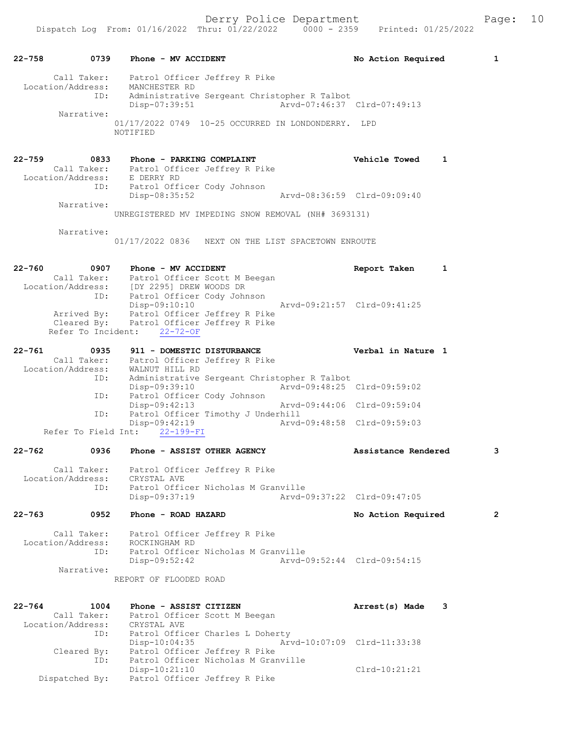22-758 0739 Phone - MV ACCIDENT No Action Required 1 Call Taker: Patrol Officer Jeffrey R Pike Location/Address: MANCHESTER RD ID: Administrative Sergeant Christopher R Talbot Disp-07:39:51 Arvd-07:46:37 Clrd-07:49:13 Narrative: 01/17/2022 0749 10-25 OCCURRED IN LONDONDERRY. LPD NOTIFIED 22-759 0833 Phone - PARKING COMPLAINT Vehicle Towed 1 Call Taker: Patrol Officer Jeffrey R Pike Location/Address: E DERRY RD ID: Patrol Officer Cody Johnson Disp-08:35:52 Arvd-08:36:59 Clrd-09:09:40 Narrative: UNREGISTERED MV IMPEDING SNOW REMOVAL (NH# 3693131) Narrative: 01/17/2022 0836 NEXT ON THE LIST SPACETOWN ENROUTE 22-760 0907 Phone - MV ACCIDENT CONSIDERT Report Taken 1 Call Taker: Patrol Officer Scott M Beegan Location/Address: [DY 2295] DREW WOODS DR ID: Patrol Officer Cody Johnson Disp-09:10:10 Arvd-09:21:57 Clrd-09:41:25 Arrived By: Patrol Officer Jeffrey R Pike Cleared By: Patrol Officer Jeffrey R Pike Refer To Incident: 22-72-OF 22-761 0935 911 - DOMESTIC DISTURBANCE Verbal in Nature 1 Call Taker: Patrol Officer Jeffrey R Pike Location/Address: WALNUT HILL RD ID: Administrative Sergeant Christopher R Talbot Disp-09:39:10 Arvd-09:48:25 Clrd-09:59:02 ID: Patrol Officer Cody Johnson Disp-09:42:13 Arvd-09:44:06 Clrd-09:59:04 ID: Patrol Officer Timothy J Underhill Disp-09:42:19 Arvd-09:48:58 Clrd-09:59:03 Refer To Field Int: 22-199-FI 22-762 0936 Phone - ASSIST OTHER AGENCY Assistance Rendered 3 Call Taker: Patrol Officer Jeffrey R Pike Location/Address: CRYSTAL AVE ID: Patrol Officer Nicholas M Granville Disp-09:37:19 Arvd-09:37:22 Clrd-09:47:05 22-763 0952 Phone - ROAD HAZARD No Action Required 2 Call Taker: Patrol Officer Jeffrey R Pike Location/Address: ROCKINGHAM RD ID: Patrol Officer Nicholas M Granville Disp-09:52:42 Arvd-09:52:44 Clrd-09:54:15 Narrative: REPORT OF FLOODED ROAD 22-764 1004 Phone - ASSIST CITIZEN Arrest(s) Made 3 Call Taker: Patrol Officer Scott M Beegan Location/Address: CRYSTAL AVE ID: Patrol Officer Charles L Doherty Disp-10:04:35 Arvd-10:07:09 Clrd-11:33:38 Cleared By: Patrol Officer Jeffrey R Pike ID: Patrol Officer Nicholas M Granville Disp-10:21:10 Clrd-10:21:21 Dispatched By: Patrol Officer Jeffrey R Pike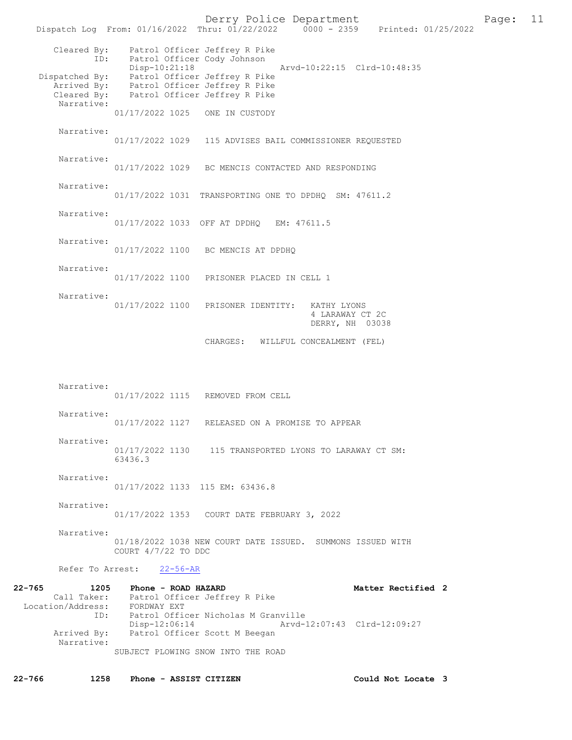Derry Police Department [11 | Page: 11 | Page: 11 | Page: 11 | Page: 11 | Page: 11 | Page: 11 | Page: 11 | Page: 11 | Page: 11 | Page: 11 | Page: 11 | Page: 11 | Page: 11 | Page: 11 | Page: 11 | Page: 11 | Page: 11 | Page: Dispatch Log From:  $01/16/2022$  Thru:  $01/22/2022$  0000 - 2359 Cleared By: Patrol Officer Jeffrey R Pike<br>ID: Patrol Officer Cody Johnson Patrol Officer Cody Johnson<br>Disp-10:21:18 Disp-10:21:18 Arvd-10:22:15 Clrd-10:48:35 Dispatched By: Patrol Officer Jeffrey R Pike Arrived By: Patrol Officer Jeffrey R Pike Cleared By: Patrol Officer Jeffrey R Pike Narrative: 01/17/2022 1025 ONE IN CUSTODY Narrative: 01/17/2022 1029 115 ADVISES BAIL COMMISSIONER REQUESTED Narrative: 01/17/2022 1029 BC MENCIS CONTACTED AND RESPONDING Narrative: 01/17/2022 1031 TRANSPORTING ONE TO DPDHQ SM: 47611.2 Narrative: 01/17/2022 1033 OFF AT DPDHQ EM: 47611.5 Narrative: 01/17/2022 1100 BC MENCIS AT DPDHQ Narrative: 01/17/2022 1100 PRISONER PLACED IN CELL 1 Narrative: 01/17/2022 1100 PRISONER IDENTITY: KATHY LYONS 4 LARAWAY CT 2C DERRY, NH 03038 CHARGES: WILLFUL CONCEALMENT (FEL) Narrative: 01/17/2022 1115 REMOVED FROM CELL Narrative: 01/17/2022 1127 RELEASED ON A PROMISE TO APPEAR Narrative: 01/17/2022 1130 115 TRANSPORTED LYONS TO LARAWAY CT SM: 63436.3 Narrative: 01/17/2022 1133 115 EM: 63436.8 Narrative: 01/17/2022 1353 COURT DATE FEBRUARY 3, 2022 Narrative: 01/18/2022 1038 NEW COURT DATE ISSUED. SUMMONS ISSUED WITH COURT 4/7/22 TO DDC Refer To Arrest: 22-56-AR 22-765 1205 Phone - ROAD HAZARD Matter Rectified 2 Call Taker: Patrol Officer Jeffrey R Pike Location/Address: FORDWAY EXT ID: Patrol Officer Nicholas M Granville<br>Disp-12:06:14 Arvd-Disp-12:06:14 Arvd-12:07:43 Clrd-12:09:27<br>Arrived By: Patrol Officer Scott M Beegan Patrol Officer Scott M Beegan Narrative: SUBJECT PLOWING SNOW INTO THE ROAD

22-766 1258 Phone - ASSIST CITIZEN Could Not Locate 3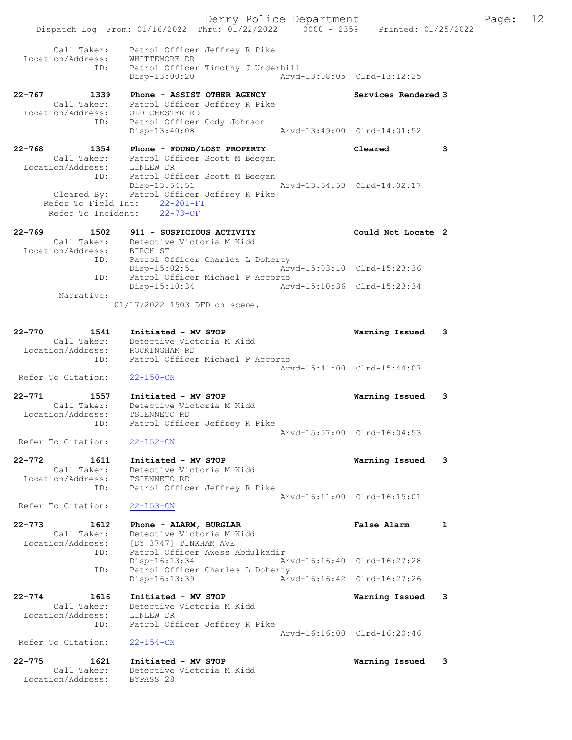Derry Police Department Fage: 12 Dispatch Log From: 01/16/2022 Thru: 01/22/2022 0000 - 2359 Printed: 01/25/2022 Call Taker: Patrol Officer Jeffrey R Pike Location/Address: WHITTEMORE DR ID: Patrol Officer Timothy J Underhill Disp-13:00:20 Arvd-13:08:05 Clrd-13:12:25 22-767 1339 Phone - ASSIST OTHER AGENCY Services Rendered 3 Call Taker: Patrol Officer Jeffrey R Pike Location/Address: OLD CHESTER RD ID: Patrol Officer Cody Johnson Disp-13:40:08 Arvd-13:49:00 Clrd-14:01:52 22-768 1354 Phone - FOUND/LOST PROPERTY Cleared 3 Call Taker: Patrol Officer Scott M Beegan Location/Address: LINLEW DR ID: Patrol Officer Scott M Beegan Disp-13:54:51 Arvd-13:54:53 Clrd-14:02:17 Cleared By: Patrol Officer Jeffrey R Pike Refer To Field Int: 22-201-FI Refer To Incident: 22-73-OF 22-769 1502 911 - SUSPICIOUS ACTIVITY 1988 Could Not Locate 2 Call Taker: Detective Victoria M Kidd Location/Address: BIRCH ST ID: Patrol Officer Charles L Doherty Disp-15:02:51 Arvd-15:03:10 Clrd-15:23:36 ID: Patrol Officer Michael P Accorto Disp-15:10:34 Arvd-15:10:36 Clrd-15:23:34 Narrative: 01/17/2022 1503 DFD on scene. 22-770 1541 Initiated - MV STOP Warning Issued 3 Call Taker: Detective Victoria M Kidd Location/Address: ROCKINGHAM RD ID: Patrol Officer Michael P Accorto Arvd-15:41:00 Clrd-15:44:07 Refer To Citation: 22-150-CN 22-771 1557 Initiated - MV STOP Warning Issued 3 Call Taker: Detective Victoria M Kidd Location/Address: TSIENNETO RD ID: Patrol Officer Jeffrey R Pike Arvd-15:57:00 Clrd-16:04:53<br>22-152-CN Refer To Citation: 22-772 1611 Initiated - MV STOP Warning Issued 3 Call Taker: Detective Victoria M Kidd Location/Address: TSIENNETO RD ID: Patrol Officer Jeffrey R Pike Arvd-16:11:00 Clrd-16:15:01 Refer To Citation: 22-153-CN 22-773 1612 Phone - ALARM, BURGLAR False Alarm 1 Call Taker: Detective Victoria M Kidd Location/Address: [DY 3747] TINKHAM AVE ID: Patrol Officer Awess Abdulkadir Disp-16:13:34 Arvd-16:16:40 Clrd-16:27:28 ID: Patrol Officer Charles L Doherty Disp-16:13:39 Arvd-16:16:42 Clrd-16:27:26 22-774 1616 Initiated - MV STOP Warning Issued 3 Call Taker: Detective Victoria M Kidd Location/Address: LINLEW DR ID: Patrol Officer Jeffrey R Pike Arvd-16:16:00 Clrd-16:20:46 Refer To Citation: 22-154-CN 22-775 1621 Initiated - MV STOP Warning Issued 3 Call Taker: Detective Victoria M Kidd Location/Address: BYPASS 28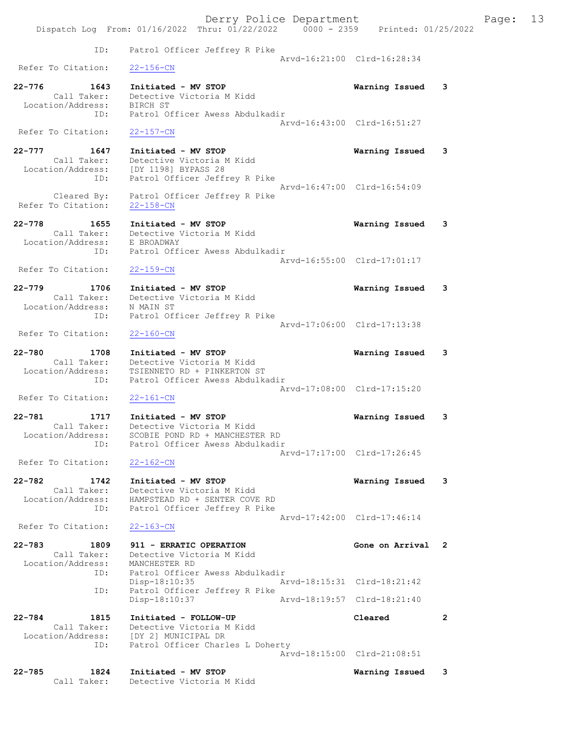Derry Police Department Fage: 13 Dispatch Log From: 01/16/2022 Thru: 01/22/2022 0000 - 2359 Printed: 01/25/2022 ID: Patrol Officer Jeffrey R Pike Arvd-16:21:00 Clrd-16:28:34<br>22-156-CN Refer To Citation: 22-776 1643 Initiated - MV STOP Warning Issued 3 Call Taker: Detective Victoria M Kidd Location/Address: BIRCH ST ID: Patrol Officer Awess Abdulkadir Arvd-16:43:00 Clrd-16:51:27 Refer To Citation: 22-157-CN 22-777 1647 Initiated - MV STOP Warning Issued 3 Call Taker: Detective Victoria M Kidd Location/Address: [DY 1198] BYPASS 28 ID: Patrol Officer Jeffrey R Pike Arvd-16:47:00 Clrd-16:54:09 Cleared By: Patrol Officer Jeffrey R Pike Refer To Citation: 22-158-CN 22-778 1655 Initiated - MV STOP Warning Issued 3 Call Taker: Detective Victoria M Kidd Location/Address: E BROADWAY ID: Patrol Officer Awess Abdulkadir Arvd-16:55:00 Clrd-17:01:17 Refer To Citation: 22-159-CN 22-779 1706 Initiated - MV STOP Warning Issued 3 Call Taker: Detective Victoria M Kidd Location/Address: N MAIN ST ID: Patrol Officer Jeffrey R Pike Arvd-17:06:00 Clrd-17:13:38<br>22-160-CN Refer To Citation: 22-780 1708 Initiated - MV STOP Warning Issued 3 Call Taker: Detective Victoria M Kidd Location/Address: TSIENNETO RD + PINKERTON ST ID: Patrol Officer Awess Abdulkadir Arvd-17:08:00 Clrd-17:15:20 Refer To Citation: 22-161-CN 22-781 1717 Initiated - MV STOP Warning Issued 3 Call Taker: Detective Victoria M Kidd Location/Address: SCOBIE POND RD + MANCHESTER RD ID: Patrol Officer Awess Abdulkadir Arvd-17:17:00 Clrd-17:26:45<br>22-162-CN Refer To Citation: 22-782 1742 Initiated - MV STOP Warning Issued 3 Call Taker: Detective Victoria M Kidd Location/Address: HAMPSTEAD RD + SENTER COVE RD ID: Patrol Officer Jeffrey R Pike Arvd-17:42:00 Clrd-17:46:14 Refer To Citation: 22-163-CN 22-783 1809 911 - ERRATIC OPERATION Gone on Arrival 2 Call Taker: Detective Victoria M Kidd Location/Address: MANCHESTER RD ID: Patrol Officer Awess Abdulkadir<br>Disp-18:10:35 Ar Arvd-18:15:31 Clrd-18:21:42 ID: Patrol Officer Jeffrey R Pike Disp-18:10:37 Arvd-18:19:57 Clrd-18:21:40 22-784 1815 Initiated - FOLLOW-UP Cleared 2 Call Taker: Detective Victoria M Kidd Location/Address: [DY 2] MUNICIPAL DR ID: Patrol Officer Charles L Doherty Arvd-18:15:00 Clrd-21:08:51 22-785 1824 Initiated - MV STOP Warning Issued 3 Call Taker: Detective Victoria M Kidd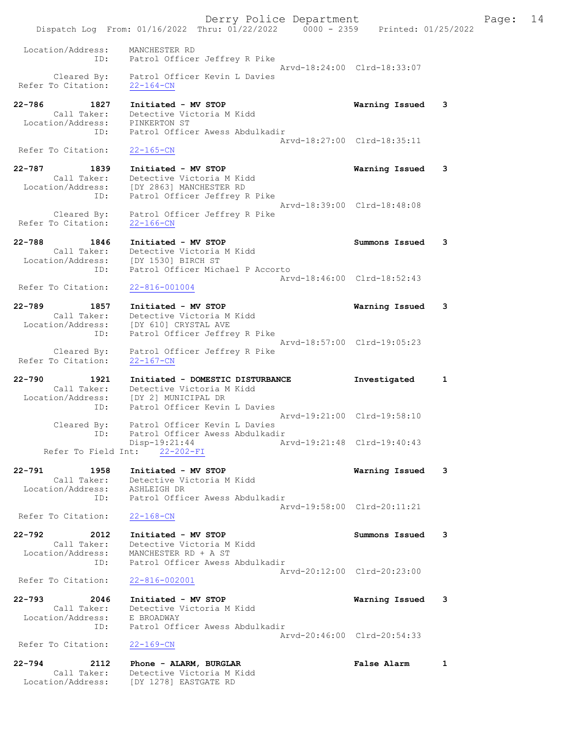Derry Police Department Fage: 14 Dispatch Log From: 01/16/2022 Thru: 01/22/2022 0000 - 2359 Printed: 01/25/2022 Location/Address: MANCHESTER RD ID: Patrol Officer Jeffrey R Pike Arvd-18:24:00 Clrd-18:33:07 Cleared By: Patrol Officer Kevin L Davies Refer To Citation: 22-164-CN 22-786 1827 Initiated - MV STOP Warning Issued 3 Call Taker: Detective Victoria M Kidd Location/Address: PINKERTON ST ID: Patrol Officer Awess Abdulkadir Arvd-18:27:00 Clrd-18:35:11 Refer To Citation: 22-165-CN 22-787 1839 Initiated - MV STOP Warning Issued 3 Call Taker: Detective Victoria M Kidd Location/Address: [DY 2863] MANCHESTER RD ID: Patrol Officer Jeffrey R Pike Arvd-18:39:00 Clrd-18:48:08 Cleared By: Patrol Officer Jeffrey R Pike Refer To Citation: 22-166-CN 22-788 1846 Initiated - MV STOP Summons Issued 3 Call Taker: Detective Victoria M Kidd Location/Address: [DY 1530] BIRCH ST ID: Patrol Officer Michael P Accorto Arvd-18:46:00 Clrd-18:52:43 Refer To Citation: 22-816-001004 22-789 1857 Initiated - MV STOP Warning Issued 3 Call Taker: Detective Victoria M Kidd Location/Address: [DY 610] CRYSTAL AVE ID: Patrol Officer Jeffrey R Pike Arvd-18:57:00 Clrd-19:05:23 Cleared By: Patrol Officer Jeffrey R Pike Refer To Citation: 22-167-CN 22-790 1921 Initiated - DOMESTIC DISTURBANCE Investigated 1 Call Taker: Detective Victoria M Kidd Location/Address: [DY 2] MUNICIPAL DR ID: Patrol Officer Kevin L Davies Arvd-19:21:00 Clrd-19:58:10 Cleared By: Patrol Officer Kevin L Davies ID: Patrol Officer Awess Abdulkadir Disp-19:21:44 Arvd-19:21:48 Clrd-19:40:43 Refer To Field Int: 22-202-FI 22-791 1958 Initiated - MV STOP Warning Issued 3 Call Taker: Detective Victoria M Kidd Location/Address: ASHLEIGH DR ID: Patrol Officer Awess Abdulkadir Arvd-19:58:00 Clrd-20:11:21 Refer To Citation: 22-168-CN 22-792 2012 Initiated - MV STOP Summons Issued 3 Call Taker: Detective Victoria M Kidd Location/Address: MANCHESTER RD + A ST ID: Patrol Officer Awess Abdulkadir Arvd-20:12:00 Clrd-20:23:00<br>22-816-002001 Refer To Citation: 22-793 2046 Initiated - MV STOP Warning Issued 3 Call Taker: Detective Victoria M Kidd Location/Address: E BROADWAY<br>TD: Patrol Offi Patrol Officer Awess Abdulkadir Arvd-20:46:00 Clrd-20:54:33 Refer To Citation: 22-169-CN 22-794 2112 Phone - ALARM, BURGLAR 1 False Alarm 1 Call Taker: Detective Victoria M Kidd Location/Address: [DY 1278] EASTGATE RD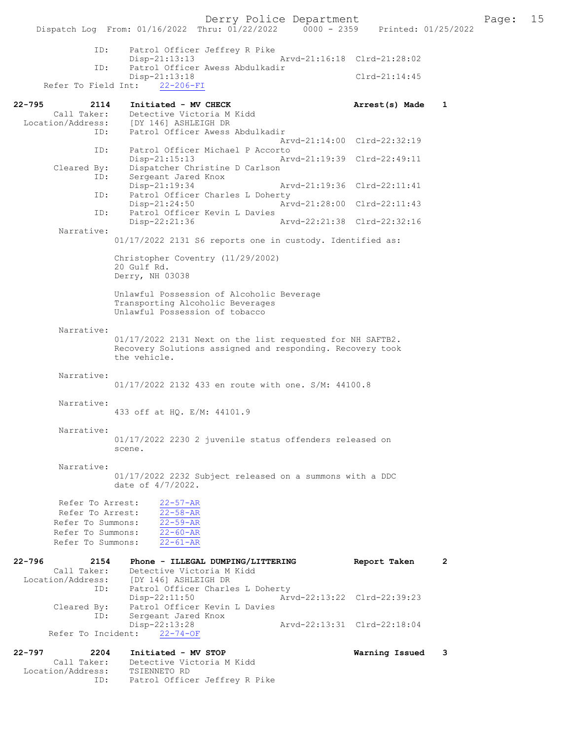Disp-21:13:13 Arvd-21:16:18 Clrd-21:28:02<br>TD: Patrol Officer Awess Abdulkadir Patrol Officer Awess Abdulkadir Disp-21:13:18 Clrd-21:14:45<br>ht: 22-206-FI Refer To Field Int: 22-795 2114 Initiated - MV CHECK 21 Arrest(s) Made 1 Call Taker: Detective Victoria M Kidd<br>Location/Address: [DY 146] ASHLEIGH DR External (DY 146) ASHLEIGH DR<br>ID: Patrol Officer Awess Patrol Officer Awess Abdulkadir Arvd-21:14:00 Clrd-22:32:19 ID: Patrol Officer Michael P Accorto<br>Disp-21:15:13 Arv Disp-21:15:13 Arvd-21:19:39 Clrd-22:49:11<br>Cleared By: Dispatcher Christine D Carlson Dispatcher Christine D Carlson ID: Sergeant Jared Knox<br>Disp-21:19:34 Disp-21:19:34 Arvd-21:19:36 Clrd-22:11:41 ID: Patrol Officer Charles L Doherty Disp-21:24:50 Arvd-21:28:00 Clrd-22:11:43<br>ID: Patrol Officer Kevin L Davies Patrol Officer Kevin L Davies<br>Disp-22:21:36 Disp-22:21:36 Arvd-22:21:38 Clrd-22:32:16 Narrative: 01/17/2022 2131 S6 reports one in custody. Identified as: Christopher Coventry (11/29/2002) 20 Gulf Rd. Derry, NH 03038 Unlawful Possession of Alcoholic Beverage Transporting Alcoholic Beverages Unlawful Possession of tobacco Narrative: 01/17/2022 2131 Next on the list requested for NH SAFTB2. Recovery Solutions assigned and responding. Recovery took the vehicle. Narrative: 01/17/2022 2132 433 en route with one. S/M: 44100.8 Narrative: 433 off at HQ. E/M: 44101.9 Narrative: 01/17/2022 2230 2 juvenile status offenders released on scene. Narrative: 01/17/2022 2232 Subject released on a summons with a DDC date of 4/7/2022. Refer To Arrest: 22-57-AR Refer To Arrest: 22-58-AR Refer To Summons: 22-59-AR Refer To Summons: 22-60-AR Refer To Summons: 22-61-AR 22-796 2154 Phone - ILLEGAL DUMPING/LITTERING Report Taken 2 Call Taker: Detective Victoria M Kidd Location/Address: [DY 146] ASHLEIGH DR ID: Patrol Officer Charles L Doherty<br>Disp-22:11:50 Arv Disp-22:11:50 Arvd-22:13:22 Clrd-22:39:23<br>Cleared By: Patrol Officer Kevin L Davies Patrol Officer Kevin L Davies ID: Sergeant Jared Knox<br>Disp-22:13:28 Disp-22:13:28 Arvd-22:13:31 Clrd-22:18:04 Refer To Incident: 22-74-OF 22-797 2204 Initiated - MV STOP Warning Issued 3 Call Taker: Detective Victoria M Kidd<br>ion/Address: TSIENNETO RD Location/Address:<br>Example Rocation/Address: ID: Patrol Officer Jeffrey R Pike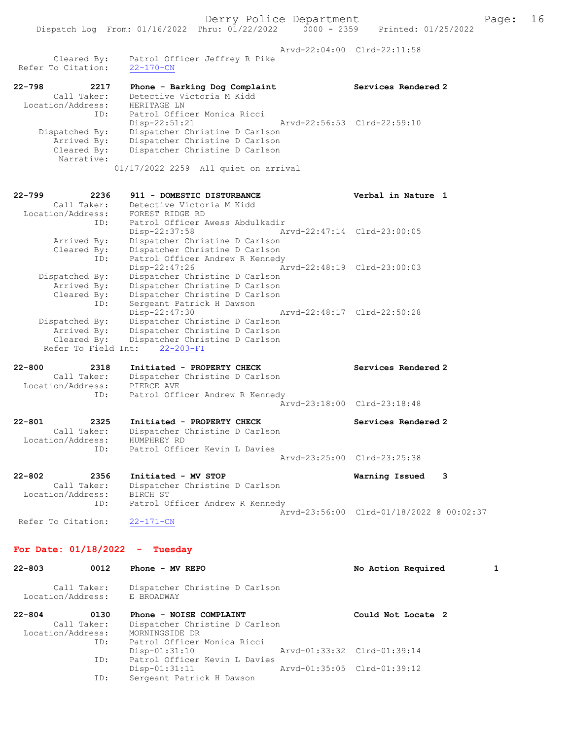Arvd-22:04:00 Clrd-22:11:58

Cleared By: Patrol Officer Jeffrey R Pike<br>'o Citation:  $22-170$ -CN Refer To Citation:

22-798 2217 Phone - Barking Dog Complaint Services Rendered 2 Call Taker: Detective Victoria M Kidd Location/Address: HERITAGE LN ID: Patrol Officer Monica Ricci Disp-22:51:21 Arvd-22:56:53 Clrd-22:59:10 Dispatched By: Dispatcher Christine D Carlson Arrived By: Dispatcher Christine D Carlson Cleared By: Dispatcher Christine D Carlson Narrative: 01/17/2022 2259 All quiet on arrival

22-799 2236 911 - DOMESTIC DISTURBANCE Verbal in Nature 1 Call Taker: Detective Victoria M Kidd Location/Address: FOREST RIDGE RD ID: Patrol Officer Awess Abdulkadir Disp-22:37:58 Arvd-22:47:14 Clrd-23:00:05 Arrived By: Dispatcher Christine D Carlson Cleared By: Dispatcher Christine D Carlson ID: Patrol Officer Andrew R Kennedy Disp-22:47:26 Arvd-22:48:19 Clrd-23:00:03 Dispatched By: Dispatcher Christine D Carlson Arrived By: Dispatcher Christine D Carlson Cleared By: Dispatcher Christine D Carlson ID: Sergeant Patrick H Dawson Disp-22:47:30 Arvd-22:48:17 Clrd-22:50:28 Dispatched By: Dispatcher Christine D Carlson Arrived By: Dispatcher Christine D Carlson Cleared By: Dispatcher Christine D Carlson Refer To Field Int: 22-203-FI

22-800 2318 Initiated - PROPERTY CHECK Services Rendered 2 Call Taker: Dispatcher Christine D Carlson Location/Address: PIERCE AVE ID: Patrol Officer Andrew R Kennedy Arvd-23:18:00 Clrd-23:18:48

22-801 2325 Initiated - PROPERTY CHECK Services Rendered 2 Call Taker: Dispatcher Christine D Carlson Location/Address: HUMPHREY RD ID: Patrol Officer Kevin L Davies Arvd-23:25:00 Clrd-23:25:38

22-802 2356 Initiated - MV STOP Warning Issued 3 Call Taker: Dispatcher Christine D Carlson Location/Address: BIRCH ST ID: Patrol Officer Andrew R Kennedy Arvd-23:56:00 Clrd-01/18/2022 @ 00:02:37<br>22-171-CN Refer To Citation:

For Date: 01/18/2022 - Tuesday

22-803 0012 Phone - MV REPO No Action Required 1 Call Taker: Dispatcher Christine D Carlson Location/Address: E BROADWAY 22-804 0130 Phone - NOISE COMPLAINT Could Not Locate 2 Call Taker: Dispatcher Christine D Carlson Location/Address: MORNINGSIDE DR<br>ID: Patrol Officer Patrol Officer Monica Ricci<br>Disp-01:31:10 Disp-01:31:10 Arvd-01:33:32 Clrd-01:39:14<br>ID: Patrol Officer Kevin L Davies Patrol Officer Kevin L Davies<br>Disp-01:31:11 Disp-01:31:11 Arvd-01:35:05 Clrd-01:39:12<br>ID: Sergeant Patrick H Dawson Sergeant Patrick H Dawson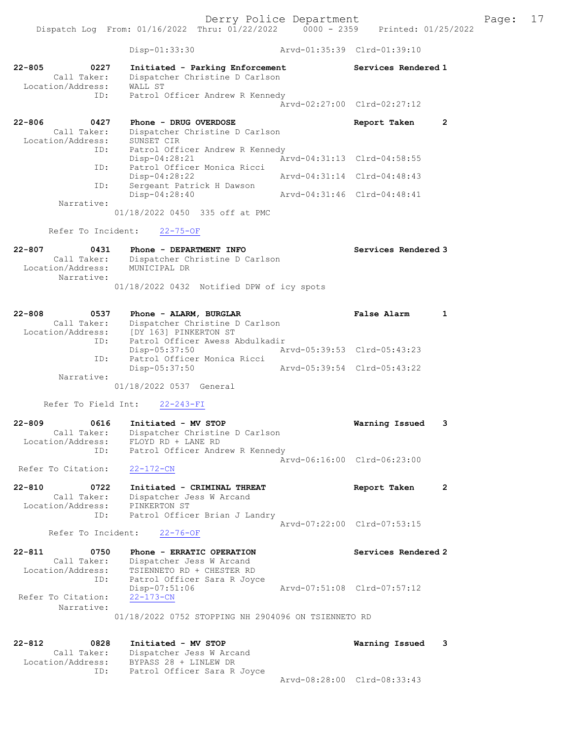Disp-01:33:30 Arvd-01:35:39 Clrd-01:39:10 22-805 0227 Initiated - Parking Enforcement Services Rendered 1 Call Taker: Dispatcher Christine D Carlson Location/Address: WALL ST ID: Patrol Officer Andrew R Kennedy Arvd-02:27:00 Clrd-02:27:12 22-806 0427 Phone - DRUG OVERDOSE Report Taken 2 Call Taker: Dispatcher Christine D Carlson Location/Address: SUNSET CIR ID: Patrol Officer Andrew R Kennedy<br>Disp-04:28:21 Arvd-04:31:13 Clrd-04:58:55 Arror Construct Andrew R Ken:<br>Disp-04:28:21<br>ID: Patrol Officer Monica Ricci Patrol Officer Monica Ricci<br>Disp-04:28:22 Disp-04:28:22 Arvd-04:31:14 Clrd-04:48:43 ID: Sergeant Patrick H Dawson<br>Disp-04:28:40 Disp-04:28:40 Arvd-04:31:46 Clrd-04:48:41 Narrative: 01/18/2022 0450 335 off at PMC Refer To Incident: 22-75-OF 22-807 0431 Phone - DEPARTMENT INFO CONSIDERATION Services Rendered 3 Call Taker: Dispatcher Christine D Carlson Location/Address: MUNICIPAL DR Narrative: 01/18/2022 0432 Notified DPW of icy spots 22-808 0537 Phone - ALARM, BURGLAR False Alarm 1 Call Taker: Dispatcher Christine D Carlson Location/Address: [DY 163] PINKERTON ST ID: Patrol Officer Awess Abdulkadir Disp-05:37:50 Arvd-05:39:53 Clrd-05:43:23 ID: Patrol 1.<br>ID: Patrol Officer Monica Ricci<br>Disp-05:37:50 Disp-05:37:50 Arvd-05:39:54 Clrd-05:43:22 Narrative: 01/18/2022 0537 General Refer To Field Int: 22-243-FI 22-809 0616 Initiated - MV STOP Warning Issued 3 Call Taker: Dispatcher Christine D Carlson Location/Address: FLOYD RD + LANE RD ID: Patrol Officer Andrew R Kennedy Arvd-06:16:00 Clrd-06:23:00 Refer To Citation: 22-172-CN 22-810 0722 Initiated - CRIMINAL THREAT Report Taken 2 Call Taker: Dispatcher Jess W Arcand Location/Address: PINKERTON ST ID: Patrol Officer Brian J Landry Arvd-07:22:00 Clrd-07:53:15 Refer To Incident: 22-76-OF 22-811 0750 Phone - ERRATIC OPERATION Services Rendered 2 Call Taker: Dispatcher Jess W Arcand Location/Address: TSIENNETO RD + CHESTER RD ID: Patrol Officer Sara R Joyce Disp-07:51:06 Arvd-07:51:08 Clrd-07:57:12 Refer To Citation: 22-173-CN Narrative: 01/18/2022 0752 STOPPING NH 2904096 ON TSIENNETO RD 22-812 0828 Initiated - MV STOP Warning Issued 3 Call Taker: Dispatcher Jess W Arcand Location/Address: BYPASS 28 + LINLEW DR ID: Patrol Officer Sara R Joyce

Arvd-08:28:00 Clrd-08:33:43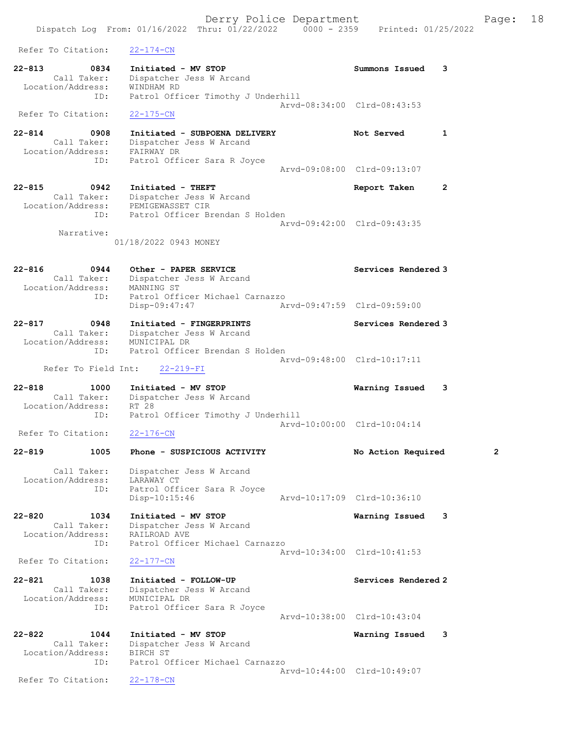Dispatch Log From: 01/16/2022 Thru: 01/22/2022 0000 - 2359 Printed: 01/25/2022 Refer To Citation: 22-174-CN 22-813 0834 Initiated - MV STOP Summons Issued 3 Call Taker: Dispatcher Jess W Arcand Location/Address: WINDHAM RD ID: Patrol Officer Timothy J Underhill Arvd-08:34:00 Clrd-08:43:53 Refer To Citation: 22-175-CN 22-814 0908 Initiated - SUBPOENA DELIVERY Not Served 1 Call Taker: Dispatcher Jess W Arcand Location/Address: FAIRWAY DR ID: Patrol Officer Sara R Joyce Arvd-09:08:00 Clrd-09:13:07 22-815 0942 Initiated - THEFT Report Taken 2 Call Taker: Dispatcher Jess W Arcand Location/Address: PEMIGEWASSET CIR ID: Patrol Officer Brendan S Holden Arvd-09:42:00 Clrd-09:43:35 Narrative: 01/18/2022 0943 MONEY 22-816 0944 Other - PAPER SERVICE Services Rendered 3 Call Taker: Dispatcher Jess W Arcand Location/Address: MANNING ST ID: Patrol Officer Michael Carnazzo Disp-09:47:47 Arvd-09:47:59 Clrd-09:59:00 22-817 0948 Initiated - FINGERPRINTS Services Rendered 3 Call Taker: Dispatcher Jess W Arcand Location/Address: MUNICIPAL DR ID: Patrol Officer Brendan S Holden Arvd-09:48:00 Clrd-10:17:11 Refer To Field Int: 22-219-FI 22-818 1000 Initiated - MV STOP Warning Issued 3 Call Taker: Dispatcher Jess W Arcand Location/Address: RT 28<br>ID: Patrol Patrol Officer Timothy J Underhill Arvd-10:00:00 Clrd-10:04:14<br>22-176-CN Refer To Citation: 22-819 1005 Phone - SUSPICIOUS ACTIVITY No Action Required 2 Call Taker: Dispatcher Jess W Arcand Location/Address: LARAWAY CT ID: Patrol Officer Sara R Joyce Disp-10:15:46 Arvd-10:17:09 Clrd-10:36:10 22-820 1034 Initiated - MV STOP Warning Issued 3 Call Taker: Dispatcher Jess W Arcand Location/Address: RAILROAD AVE ID: Patrol Officer Michael Carnazzo Arvd-10:34:00 Clrd-10:41:53<br>22-177-CN Refer To Citation: 22-821 1038 Initiated - FOLLOW-UP Services Rendered 2 Call Taker: Dispatcher Jess W Arcand Location/Address: MUNICIPAL DR ID: Patrol Officer Sara R Joyce Arvd-10:38:00 Clrd-10:43:04 22-822 1044 Initiated - MV STOP Warning Issued 3 Call Taker: Dispatcher Jess W Arcand Location/Address: BIRCH ST ID: Patrol Officer Michael Carnazzo Arvd-10:44:00 Clrd-10:49:07<br>22-178-CN

Refer To Citation:

Derry Police Department Fage: 18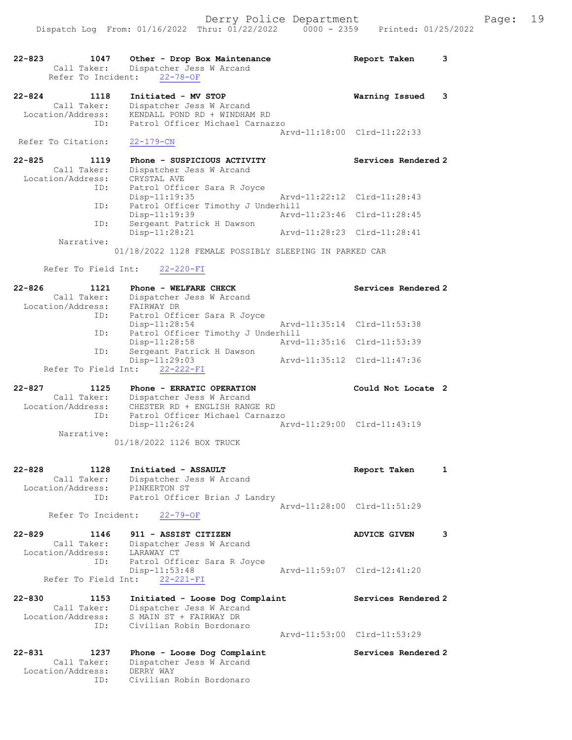| $22 - 823$<br>1047<br>Call Taker: | Other - Drop Box Maintenance<br>Dispatcher Jess W Arcand<br>Refer To Incident: 22-78-OF |                             | 3<br>Report Taken           |
|-----------------------------------|-----------------------------------------------------------------------------------------|-----------------------------|-----------------------------|
| $22 - 824$<br>1118                | Initiated - MV STOP                                                                     |                             | Warning Issued<br>3         |
| Call Taker:                       | Dispatcher Jess W Arcand                                                                |                             |                             |
| Location/Address:                 | KENDALL POND RD + WINDHAM RD                                                            |                             |                             |
| ID:                               | Patrol Officer Michael Carnazzo                                                         |                             | Arvd-11:18:00 Clrd-11:22:33 |
| Refer To Citation:                | $22 - 179 - CN$                                                                         |                             |                             |
|                                   |                                                                                         |                             |                             |
| $22 - 825$<br>1119                | Phone - SUSPICIOUS ACTIVITY                                                             |                             | Services Rendered 2         |
| Call Taker:                       | Dispatcher Jess W Arcand                                                                |                             |                             |
| Location/Address:                 | CRYSTAL AVE                                                                             |                             |                             |
| ID:                               | Patrol Officer Sara R Joyce                                                             |                             |                             |
|                                   | $Disp-11:19:35$                                                                         |                             | Arvd-11:22:12 Clrd-11:28:43 |
| ID:                               | Patrol Officer Timothy J Underhill                                                      |                             |                             |
|                                   | Disp-11:19:39                                                                           |                             | Arvd-11:23:46 Clrd-11:28:45 |
| ID:                               | Sergeant Patrick H Dawson                                                               |                             |                             |
|                                   | Disp-11:28:21                                                                           | Arvd-11:28:23 Clrd-11:28:41 |                             |
| Narrative:                        | 01/18/2022 1128 FEMALE POSSIBLY SLEEPING IN PARKED CAR                                  |                             |                             |
|                                   |                                                                                         |                             |                             |
| Refer To Field Int:               | $22 - 220 - FI$                                                                         |                             |                             |
| $22 - 826$<br>1121                | Phone - WELFARE CHECK                                                                   |                             | Services Rendered 2         |
| Call Taker:                       | Dispatcher Jess W Arcand                                                                |                             |                             |
| Location/Address:                 | FAIRWAY DR                                                                              |                             |                             |
| ID:                               | Patrol Officer Sara R Joyce                                                             |                             |                             |
|                                   | $Disp-11:28:54$                                                                         |                             | Arvd-11:35:14 Clrd-11:53:38 |
| ID:                               | Patrol Officer Timothy J Underhill                                                      |                             |                             |
|                                   | Disp-11:28:58                                                                           | Arvd-11:35:16               | Clrd-11:53:39               |
| ID:                               | Sergeant Patrick H Dawson                                                               |                             |                             |
|                                   | Disp-11:29:03                                                                           | Arvd-11:35:12               | Clrd-11:47:36               |

Refer To Field Int: 22-222-FI

22-827 1125 Phone - ERRATIC OPERATION Could Not Locate 2 Call Taker: Dispatcher Jess W Arcand Location/Address: CHESTER RD + ENGLISH RANGE RD ID: Patrol Officer Michael Carnazzo Disp-11:26:24 Arvd-11:29:00 Clrd-11:43:19 Narrative: 01/18/2022 1126 BOX TRUCK

22-828 1128 Initiated - ASSAULT Report Taken 1 Call Taker: Dispatcher Jess W Arcand Location/Address: PINKERTON ST ID: Patrol Officer Brian J Landry Arvd-11:28:00 Clrd-11:51:29

Refer To Incident: 22-79-OF

- 22-829 1146 911 ASSIST CITIZEN ADVICE GIVEN 3 Call Taker: Dispatcher Jess W Arcand Location/Address: LARAWAY CT ID: Patrol Officer Sara R Joyce Disp-11:53:48 Arvd-11:59:07 Clrd-12:41:20 Refer To Field Int: 22-221-FI
- 22-830 1153 Initiated Loose Dog Complaint Services Rendered 2 Call Taker: Dispatcher Jess W Arcand Location/Address: S MAIN ST + FAIRWAY DR ID: Civilian Robin Bordonaro Arvd-11:53:00 Clrd-11:53:29
- 22-831 1237 Phone Loose Dog Complaint Services Rendered 2 Call Taker: Dispatcher Jess W Arcand Location/Address: DERRY WAY ID: Civilian Robin Bordonaro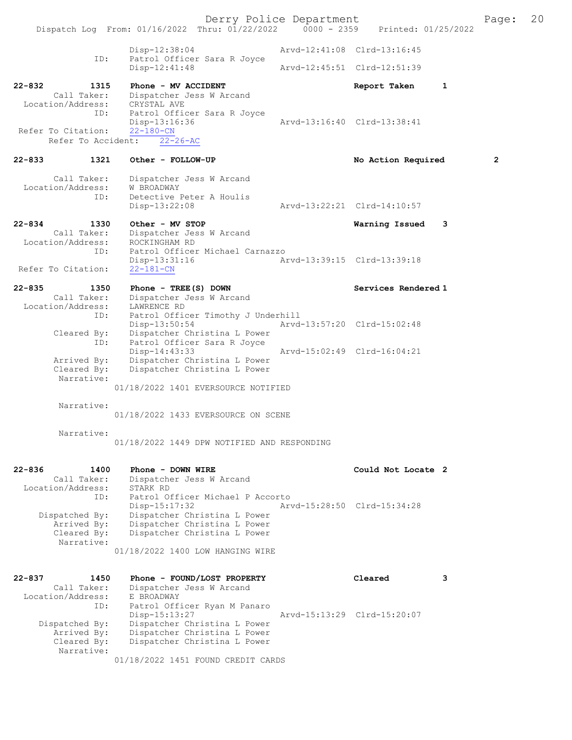Derry Police Department [1981] Page: 20<br>Phru: 01/22/2022 | 0000 - 2359 | Printed: 01/25/2022 Dispatch Log From: 01/16/2022 Thru: 01/22/2022 Disp-12:38:04 Arvd-12:41:08 Clrd-13:16:45 ID: Patrol Officer Sara R Joyce<br>Disp-12:41:48 Arvd-12:45:51 Clrd-12:51:39 22-832 1315 Phone - MV ACCIDENT 1 Report Taken 1 Call Taker: Dispatcher Jess W Arcand<br>ion/Address: CRYSTAL AVE Location/Address:<br>TD: Patrol Officer Sara R Joyce<br>Disp-13:16:36 Disp-13:16:36 Arvd-13:16:40 Clrd-13:38:41 Refer To Citation: Refer To Accident: 22-26-AC 22-833 1321 Other - FOLLOW-UP No Action Required 2 Call Taker: Dispatcher Jess W Arcand<br>ion/Address: W BROADWAY Location/Address: ID: Detective Peter A Houlis<br>Disp-13:22:08 Disp-13:22:08 Arvd-13:22:21 Clrd-14:10:57 22-834 1330 Other - MV STOP Warning Issued 3 Call Taker: Dispatcher Jess W Arcand<br>.on/Address: ROCKINGHAM RD Location/Address:<br>ID: Patrol Officer Michael Carnazzo<br>Disp-13:31:16 A Disp-13:31:16 <br>22-181-CN<br>22-181-CN Refer To Citation: 22-835 1350 Phone - TREE(S) DOWN Services Rendered 1 Call Taker: Dispatcher Jess W Arcand Location/Address: LAWRENCE RD<br>ID: Patrol Offic Patrol Officer Timothy J Underhill<br>Disp-13:50:54 Arvd Disp-13:50:54 Arvd-13:57:20 Clrd-15:02:48 Cleared By: Dispatcher Christina L Power ID: Patrol Officer Sara R Joyce Disp-14:43:33 Arvd-15:02:49 Clrd-16:04:21<br>Arrived By: Dispatcher Christina L Power Dispatcher Christina L Power Cleared By: Dispatcher Christina L Power Narrative: 01/18/2022 1401 EVERSOURCE NOTIFIED Narrative: 01/18/2022 1433 EVERSOURCE ON SCENE Narrative: 01/18/2022 1449 DPW NOTIFIED AND RESPONDING 22-836 1400 Phone - DOWN WIRE **Could Not Locate 2**  Call Taker: Dispatcher Jess W Arcand Location/Address: STARK RD ID: Patrol Officer Michael P Accorto<br>Disp-15:17:32 Arv Disp-15:17:32 Arvd-15:28:50 Clrd-15:34:28 Dispatched By: Dispatcher Christina L Power Arrived By: Dispatcher Christina L Power<br>Cleared By: Dispatcher Christina L Power Dispatcher Christina L Power Narrative: 01/18/2022 1400 LOW HANGING WIRE 22-837 1450 Phone - FOUND/LOST PROPERTY Cleared 3 Call Taker: Dispatcher Jess W Arcand<br>ion/Address: E BROADWAY Location/Address: ID: Patrol Officer Ryan M Panaro<br>Disp-15:13:27 Disp-15:13:27 Arvd-15:13:29 Clrd-15:20:07<br>Dispatched By: Dispatcher Christina L Power Dispatcher Christina L Power Arrived By: Dispatcher Christina L Power<br>Cleared By: Dispatcher Christina L Power Dispatcher Christina L Power Narrative:

01/18/2022 1451 FOUND CREDIT CARDS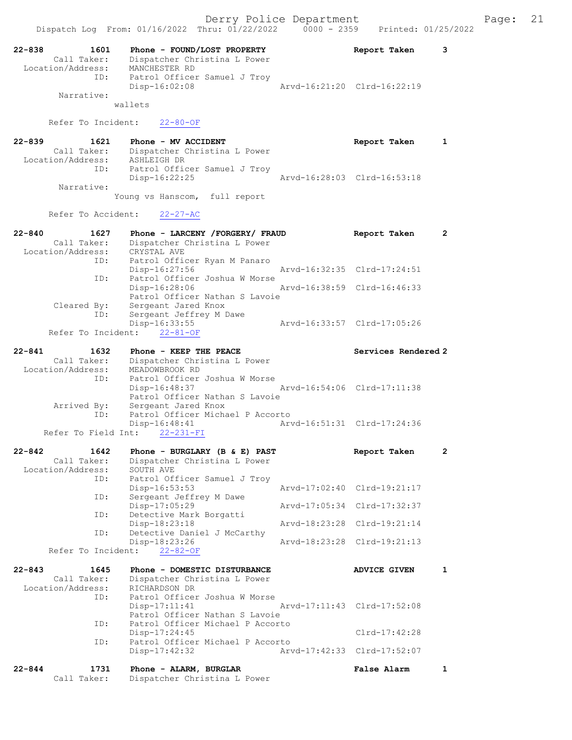| 22-838<br>1601                    | Phone - FOUND/LOST PROPERTY                                   | 3<br>Report Taken            |
|-----------------------------------|---------------------------------------------------------------|------------------------------|
| Call Taker:<br>Location/Address:  | Dispatcher Christina L Power<br>MANCHESTER RD                 |                              |
| ID:                               | Patrol Officer Samuel J Troy                                  |                              |
|                                   | $Disp-16:02:08$                                               | Arvd-16:21:20 Clrd-16:22:19  |
| Narrative:                        | wallets                                                       |                              |
|                                   |                                                               |                              |
| Refer To Incident:                | $22 - 80 - OF$                                                |                              |
| $22 - 839$<br>1621                | Phone - MV ACCIDENT                                           | Report Taken<br>1            |
| Call Taker:                       | Dispatcher Christina L Power                                  |                              |
| Location/Address:                 | ASHLEIGH DR                                                   |                              |
| ID:                               | Patrol Officer Samuel J Troy<br>Disp-16:22:25                 | Arvd-16:28:03 Clrd-16:53:18  |
| Narrative:                        |                                                               |                              |
|                                   | Young vs Hanscom, full report                                 |                              |
| Refer To Accident:                | $22 - 27 - AC$                                                |                              |
|                                   |                                                               |                              |
| $22 - 840$<br>1627                | Phone - LARCENY / FORGERY / FRAUD                             | $\mathbf{2}$<br>Report Taken |
| Call Taker:<br>Location/Address:  | Dispatcher Christina L Power<br>CRYSTAL AVE                   |                              |
| ID:                               | Patrol Officer Ryan M Panaro                                  |                              |
|                                   | Disp-16:27:56<br>Patrol Officer Joshua W Morse                | Arvd-16:32:35 Clrd-17:24:51  |
| ID:                               | Disp-16:28:06                                                 | Arvd-16:38:59 Clrd-16:46:33  |
|                                   | Patrol Officer Nathan S Lavoie                                |                              |
| Cleared By:                       | Sergeant Jared Knox                                           |                              |
| ID:                               | Sergeant Jeffrey M Dawe<br>Disp-16:33:55                      | Arvd-16:33:57 Clrd-17:05:26  |
| Refer To Incident:                | $22 - 81 - OF$                                                |                              |
| $22 - 841$<br>1632                | Phone - KEEP THE PEACE                                        | Services Rendered 2          |
| Call Taker:                       | Dispatcher Christina L Power                                  |                              |
| Location/Address:                 | MEADOWBROOK RD                                                |                              |
| ID:                               | Patrol Officer Joshua W Morse<br>Disp-16:48:37                | Arvd-16:54:06 Clrd-17:11:38  |
|                                   | Patrol Officer Nathan S Lavoie                                |                              |
| Arrived By:                       | Sergeant Jared Knox                                           |                              |
| ID:                               | Patrol Officer Michael P Accorto<br>Disp-16:48:41             | Arvd-16:51:31 Clrd-17:24:36  |
| Refer To Field Int:               | $22 - 231 - FI$                                               |                              |
|                                   |                                                               |                              |
| $22 - 842$<br>1642<br>Call Taker: | Phone - BURGLARY (B & E) PAST<br>Dispatcher Christina L Power | 2<br>Report Taken            |
| Location/Address:                 | SOUTH AVE                                                     |                              |
| ID:                               | Patrol Officer Samuel J Troy                                  |                              |
| ID:                               | $Disp-16:53:53$<br>Sergeant Jeffrey M Dawe                    | Arvd-17:02:40 Clrd-19:21:17  |
|                                   | Disp-17:05:29                                                 | Arvd-17:05:34 Clrd-17:32:37  |
| ID:                               | Detective Mark Borgatti                                       |                              |
| ID:                               | Disp-18:23:18<br>Arvd-18:23:28<br>Detective Daniel J McCarthy | Clrd-19:21:14                |
|                                   | $Disp-18:23:26$                                               | Arvd-18:23:28 Clrd-19:21:13  |
| Refer To Incident:                | $22 - 82 - OF$                                                |                              |
| $22 - 843$<br>1645                | Phone - DOMESTIC DISTURBANCE                                  | <b>ADVICE GIVEN</b><br>1     |
| Call Taker:                       | Dispatcher Christina L Power                                  |                              |
| Location/Address:                 | RICHARDSON DR                                                 |                              |
| ID:                               | Patrol Officer Joshua W Morse<br>$Disp-17:11:41$              | Arvd-17:11:43 Clrd-17:52:08  |
|                                   | Patrol Officer Nathan S Lavoie                                |                              |
| ID:                               | Patrol Officer Michael P Accorto                              |                              |
| ID:                               | $Disp-17:24:45$<br>Patrol Officer Michael P Accorto           | Clrd-17:42:28                |
|                                   | $Disp-17:42:32$                                               | Arvd-17:42:33 Clrd-17:52:07  |
| $22 - 844$<br>1731                | Phone - ALARM, BURGLAR                                        | False Alarm<br>1             |
| Call Taker:                       | Dispatcher Christina L Power                                  |                              |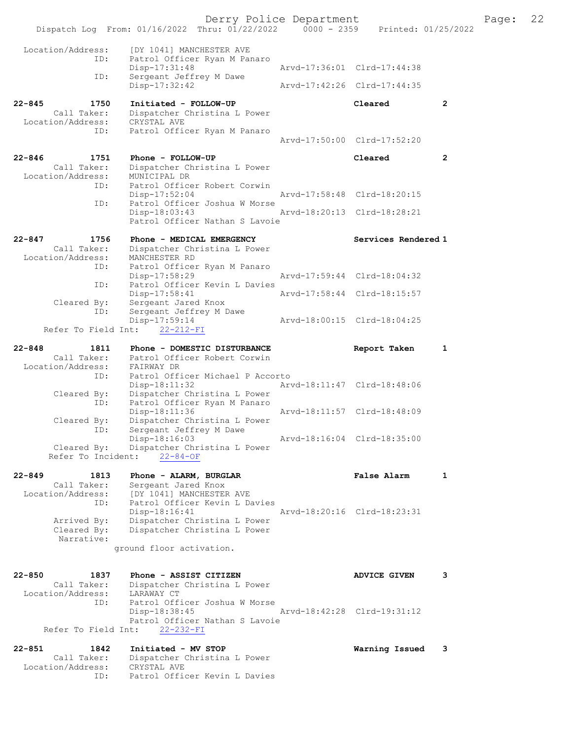|                                                               | Dispatch Log From: 01/16/2022 Thru: 01/22/2022 0000 - 2359 Printed: 01/25/2022                             | Derry Police Department     |                             |                | Page: | 22 |
|---------------------------------------------------------------|------------------------------------------------------------------------------------------------------------|-----------------------------|-----------------------------|----------------|-------|----|
| Location/Address:                                             | [DY 1041] MANCHESTER AVE                                                                                   |                             |                             |                |       |    |
| ID:                                                           | Patrol Officer Ryan M Panaro<br>$Disp-17:31:48$                                                            |                             | Arvd-17:36:01 Clrd-17:44:38 |                |       |    |
| ID:                                                           | Sergeant Jeffrey M Dawe<br>$Disp-17:32:42$                                                                 |                             | Arvd-17:42:26 Clrd-17:44:35 |                |       |    |
| $22 - 845$<br>1750<br>Call Taker:                             | Initiated - FOLLOW-UP<br>Dispatcher Christina L Power                                                      |                             | Cleared                     | $\overline{2}$ |       |    |
| Location/Address:<br>ID:                                      | CRYSTAL AVE<br>Patrol Officer Ryan M Panaro                                                                |                             |                             |                |       |    |
|                                                               |                                                                                                            |                             | Arvd-17:50:00 Clrd-17:52:20 |                |       |    |
| $22 - 846$<br>1751<br>Call Taker:<br>Location/Address:<br>ID: | Phone - FOLLOW-UP<br>Dispatcher Christina L Power<br>MUNICIPAL DR<br>Patrol Officer Robert Corwin          |                             | Cleared                     | $\mathbf{2}$   |       |    |
|                                                               | $Disp-17:52:04$                                                                                            |                             | Arvd-17:58:48 Clrd-18:20:15 |                |       |    |
| ID:                                                           | Patrol Officer Joshua W Morse<br>Disp-18:03:43<br>Patrol Officer Nathan S Lavoie                           |                             | Arvd-18:20:13 Clrd-18:28:21 |                |       |    |
| $22 - 847$<br>1756<br>Call Taker:<br>Location/Address:<br>ID: | Phone - MEDICAL EMERGENCY<br>Dispatcher Christina L Power<br>MANCHESTER RD<br>Patrol Officer Ryan M Panaro |                             | Services Rendered 1         |                |       |    |
|                                                               | $Disp-17:58:29$                                                                                            |                             | Arvd-17:59:44 Clrd-18:04:32 |                |       |    |
| ID:                                                           | Patrol Officer Kevin L Davies<br>Disp-17:58:41                                                             |                             | Arvd-17:58:44 Clrd-18:15:57 |                |       |    |
| Cleared By:<br>ID:                                            | Sergeant Jared Knox<br>Sergeant Jeffrey M Dawe                                                             |                             |                             |                |       |    |
| Refer To Field Int:                                           | Disp-17:59:14<br>$22 - 212 - FI$                                                                           |                             | Arvd-18:00:15 Clrd-18:04:25 |                |       |    |
|                                                               |                                                                                                            |                             |                             |                |       |    |
| $22 - 848$<br>1811<br>Call Taker:                             | Phone - DOMESTIC DISTURBANCE<br>Patrol Officer Robert Corwin                                               |                             | Report Taken                | 1              |       |    |
| Location/Address:<br>ID:                                      | FAIRWAY DR<br>Patrol Officer Michael P Accorto                                                             |                             |                             |                |       |    |
| Cleared By:                                                   | Disp-18:11:32<br>Dispatcher Christina L Power                                                              |                             | Arvd-18:11:47 Clrd-18:48:06 |                |       |    |
| ID:                                                           | Patrol Officer Ryan M Panaro<br>Disp-18:11:36                                                              |                             | Arvd-18:11:57 Clrd-18:48:09 |                |       |    |
| Cleared By:<br>ID:                                            | Dispatcher Christina L Power<br>Sergeant Jeffrey M Dawe                                                    |                             |                             |                |       |    |
|                                                               | Disp-18:16:03                                                                                              | Arvd-18:16:04 Clrd-18:35:00 |                             |                |       |    |
| Cleared By:<br>Refer To Incident:                             | Dispatcher Christina L Power<br>$22 - 84 - OF$                                                             |                             |                             |                |       |    |
| $22 - 849$<br>1813                                            | Phone - ALARM, BURGLAR                                                                                     |                             | False Alarm                 | 1              |       |    |
| Call Taker:<br>ID:                                            | Sergeant Jared Knox<br>Location/Address: [DY 1041] MANCHESTER AVE<br>Patrol Officer Kevin L Davies         |                             |                             |                |       |    |
|                                                               | $Disp-18:16:41$                                                                                            | Arvd-18:20:16 Clrd-18:23:31 |                             |                |       |    |
| Arrived By:<br>Cleared By:<br>Narrative:                      | Dispatcher Christina L Power<br>Dispatcher Christina L Power                                               |                             |                             |                |       |    |
|                                                               | ground floor activation.                                                                                   |                             |                             |                |       |    |
|                                                               |                                                                                                            |                             |                             |                |       |    |
| $22 - 850$<br>1837<br>Location/Address: LARAWAY CT<br>ID:     | Phone - ASSIST CITIZEN<br>Call Taker: Dispatcher Christina L Power<br>Patrol Officer Joshua W Morse        |                             | <b>ADVICE GIVEN</b>         | 3              |       |    |
| Refer To Field Int:                                           | Disp-18:38:45<br>Patrol Officer Nathan S Lavoie<br>$22 - 232 - FI$                                         |                             | Arvd-18:42:28 Clrd-19:31:12 |                |       |    |
| $22 - 851$<br>1842                                            | Initiated - MV STOP                                                                                        |                             | Warning Issued              | 3              |       |    |
| Call Taker:<br>Location/Address:<br>ID:                       | Dispatcher Christina L Power<br>CRYSTAL AVE<br>Patrol Officer Kevin L Davies                               |                             |                             |                |       |    |
|                                                               |                                                                                                            |                             |                             |                |       |    |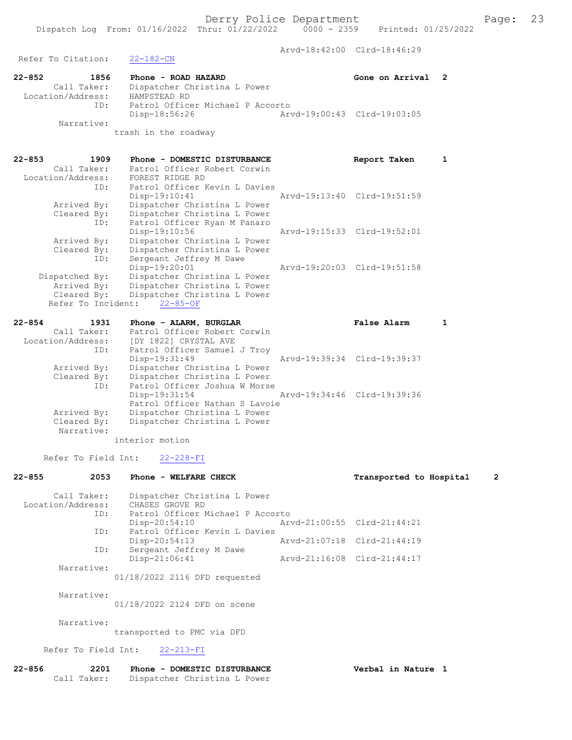Arvd-18:42:00 Clrd-18:46:29 Refer To Citation: 22-182-CN 22-852 1856 Phone - ROAD HAZARD Gone on Arrival 2 Call Taker: Dispatcher Christina L Power Location/Address: HAMPSTEAD RD ID: Patrol Officer Michael P Accorto<br>Disp-18:56:26 Art Disp-18:56:26 Arvd-19:00:43 Clrd-19:03:05 Narrative: trash in the roadway 22-853 1909 Phone - DOMESTIC DISTURBANCE Report Taken 1 Call Taker: Patrol Officer Robert Corwin Location/Address: FOREST RIDGE RD ID: Patrol Officer Kevin L Davies Disp-19:10:41 Arvd-19:13:40 Clrd-19:51:59 Arrived By: Dispatcher Christina L Power Cleared By: Dispatcher Christina L Power ID: Patrol Officer Ryan M Panaro Disp-19:10:56 Arvd-19:15:33 Clrd-19:52:01 Arrived By: Dispatcher Christina L Power Cleared By: Dispatcher Christina L Power ID: Sergeant Jeffrey M Dawe Disp-19:20:01 Arvd-19:20:03 Clrd-19:51:58 Dispatched By: Dispatcher Christina L Power Arrived By: Dispatcher Christina L Power Cleared By: Dispatcher Christina L Power Refer To Incident: 22-85-OF 22-854 1931 Phone - ALARM, BURGLAR False Alarm 1 Call Taker: Patrol Officer Robert Corwin Location/Address: [DY 1822] CRYSTAL AVE ID: Patrol Officer Samuel J Troy Disp-19:31:49 Arvd-19:39:34 Clrd-19:39:37 Arrived By: Dispatcher Christina L Power Cleared By: Dispatcher Christina L Power ID: Patrol Officer Joshua W Morse<br>Disp-19:31:54 Disp-19:31:54 Arvd-19:34:46 Clrd-19:39:36 Patrol Officer Nathan S Lavoie<br>Arrived By: Dispatcher Christina L Power Arrived By: Dispatcher Christina L Power<br>Cleared By: Dispatcher Christina L Power Dispatcher Christina L Power Narrative: interior motion Refer To Field Int: 22-228-FI 22-855 2053 Phone - WELFARE CHECK Transported to Hospital 2

 Call Taker: Dispatcher Christina L Power Location/Address: CHASES GROVE RD<br>ID: Patrol Officer M Patrol Officer Michael P Accorto<br>Disp-20:54:10 Ar Disp-20:54:10 Arvd-21:00:55 Clrd-21:44:21<br>TD: Patrol Officer Kevin L Davies .<br>Patrol Officer Kevin L Davies<br>Disp-20:54:13 Disp-20:54:13 Arvd-21:07:18 Clrd-21:44:19<br>ID: Sergeant Jeffrey M Dawe Sergeant Jeffrey M Dawe<br>Disp-21:06:41 Disp-21:06:41 Arvd-21:16:08 Clrd-21:44:17 Narrative: 01/18/2022 2116 DFD requested Narrative:

01/18/2022 2124 DFD on scene

Narrative:

transported to PMC via DFD

Refer To Field Int: 22-213-FI

| 22-856 | 2201        | Phone - DOMESTIC DISTURBANCE | Verbal in Nature |  |  |
|--------|-------------|------------------------------|------------------|--|--|
|        | Call Taker: | Dispatcher Christina L Power |                  |  |  |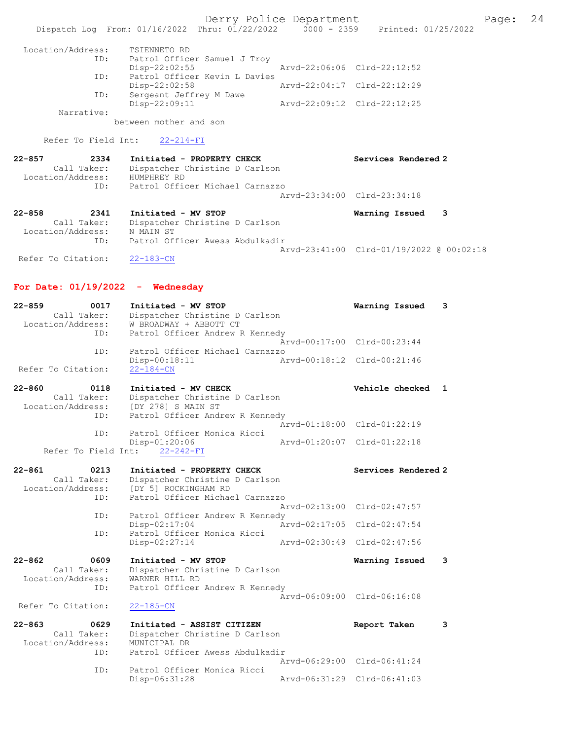Derry Police Department Fage: 24 Dispatch Log From: 01/16/2022 Thru: 01/22/2022 0000 - 2359 Printed: 01/25/2022 Location/Address: TSIENNETO RD ID: Patrol Officer Samuel J Troy Disp-22:02:55 Arvd-22:06:06 Clrd-22:12:52 ID: Patrol Officer Kevin L Davies Disp-22:02:58 Arvd-22:04:17 Clrd-22:12:29 ID: Sergeant Jeffrey M Dawe Disp-22:09:11 Arvd-22:09:12 Clrd-22:12:25 Narrative: between mother and son Refer To Field Int: 22-214-FI 22-857 2334 Initiated - PROPERTY CHECK Services Rendered 2 Call Taker: Dispatcher Christine D Carlson Location/Address: HUMPHREY RD ID: Patrol Officer Michael Carnazzo Arvd-23:34:00 Clrd-23:34:18 22-858 2341 Initiated - MV STOP Warning Issued 3 Call Taker: Dispatcher Christine D Carlson Location/Address: N MAIN ST ID: Patrol Officer Awess Abdulkadir Arvd-23:41:00 Clrd-01/19/2022 @ 00:02:18 Refer To Citation: 22-183-CN

For Date: 01/19/2022 - Wednesday

| $22 - 859$<br>0017<br>Call Taker:<br>Location/Address: | Initiated - MV STOP<br>Dispatcher Christine D Carlson<br>W BROADWAY + ABBOTT CT |               | Warning Issued              | 3 |
|--------------------------------------------------------|---------------------------------------------------------------------------------|---------------|-----------------------------|---|
| ID:                                                    | Patrol Officer Andrew R Kennedy                                                 | Aryd-00:17:00 | $Clrd-00:23:44$             |   |
| ID:                                                    | Patrol Officer Michael Carnazzo                                                 |               |                             |   |
| Refer To Citation:                                     | Disp-00:18:11<br>$22 - 184 - CN$                                                |               | Arvd-00:18:12 Clrd-00:21:46 |   |
|                                                        |                                                                                 |               |                             |   |
| $22 - 860$<br>0118                                     | Initiated - MV CHECK                                                            |               | Vehicle checked             | 1 |
| Call Taker:<br>Location/Address:                       | Dispatcher Christine D Carlson<br>[DY 278] S MAIN ST                            |               |                             |   |
| ID:                                                    | Patrol Officer Andrew R Kennedy                                                 | Arvd-01:18:00 | $Clrd-01:22:19$             |   |
| ID:                                                    | Patrol Officer Monica Ricci                                                     |               |                             |   |
|                                                        | Disp-01:20:06                                                                   | Arvd-01:20:07 | $Clrd-01:22:18$             |   |
| Refer To Field Int:                                    | $22 - 242 - FI$                                                                 |               |                             |   |
| $22 - 861$<br>0213                                     | Initiated - PROPERTY CHECK                                                      |               | Services Rendered 2         |   |
| Call Taker:                                            | Dispatcher Christine D Carlson                                                  |               |                             |   |
| Location/Address:                                      | [DY 5] ROCKINGHAM RD                                                            |               |                             |   |
| ID:                                                    | Patrol Officer Michael Carnazzo                                                 |               |                             |   |
|                                                        |                                                                                 | Arvd-02:13:00 | Clrd-02:47:57               |   |
| ID:                                                    | Patrol Officer Andrew R Kennedy                                                 |               |                             |   |
|                                                        | $Disp-02:17:04$                                                                 | Aryd-02:17:05 | $Clrd-02:47:54$             |   |
| ID:                                                    | Patrol Officer Monica Ricci                                                     |               |                             |   |
|                                                        | Disp-02:27:14                                                                   | Aryd-02:30:49 | $Clrd-02:47:56$             |   |
| $22 - 862$<br>0609                                     | Initiated - MV STOP                                                             |               | Warning Issued              | 3 |
| Call Taker:                                            | Dispatcher Christine D Carlson                                                  |               |                             |   |
| Location/Address:                                      | WARNER HILL RD                                                                  |               |                             |   |
| ID:                                                    | Patrol Officer Andrew R Kennedy                                                 |               |                             |   |
|                                                        |                                                                                 |               | Arvd-06:09:00 Clrd-06:16:08 |   |
| Refer To Citation:                                     | $22 - 185 - CN$                                                                 |               |                             |   |
| $22 - 863$<br>0629                                     | Initiated - ASSIST CITIZEN                                                      |               | Report Taken                | 3 |
| Call Taker:                                            | Dispatcher Christine D Carlson                                                  |               |                             |   |
| Location/Address:                                      | MUNICIPAL DR                                                                    |               |                             |   |
| ID:                                                    | Patrol Officer Awess Abdulkadir                                                 |               |                             |   |
|                                                        |                                                                                 | Aryd-06:29:00 | Clrd-06:41:24               |   |
| ID:                                                    | Patrol Officer Monica Ricci<br>Disp-06:31:28                                    | Aryd-06:31:29 | Clrd-06:41:03               |   |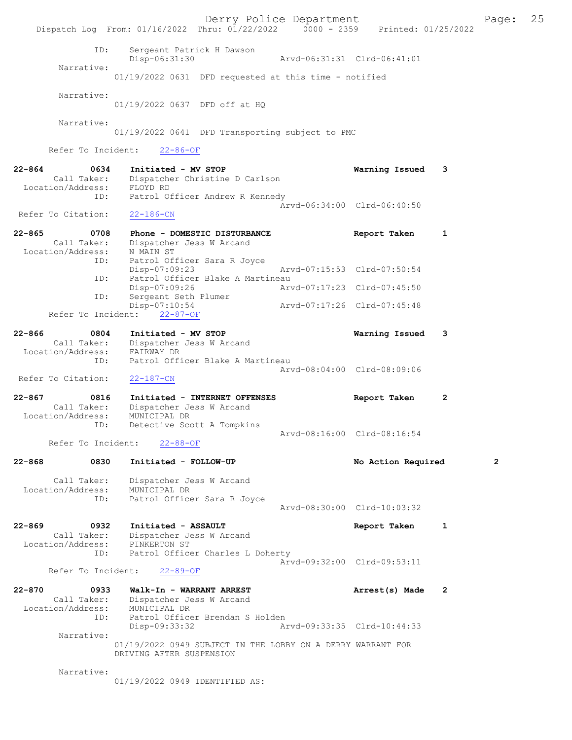Derry Police Department The Page: 25 Dispatch Log From: 01/16/2022 Thru: 01/22/2022 0000 - 2359 Printed: 01/25/2022 ID: Sergeant Patrick H Dawson Disp-06:31:30 Arvd-06:31:31 Clrd-06:41:01 Narrative: 01/19/2022 0631 DFD requested at this time - notified Narrative: 01/19/2022 0637 DFD off at HQ Narrative: 01/19/2022 0641 DFD Transporting subject to PMC Refer To Incident: 22-86-OF 22-864 0634 Initiated - MV STOP Warning Issued 3 Call Taker: Dispatcher Christine D Carlson<br>ion/Address: FLOYD RD Location/Address:<br>ID: Patrol Officer Andrew R Kennedy Arvd-06:34:00 Clrd-06:40:50 Refer To Citation: 22-865 0708 Phone - DOMESTIC DISTURBANCE Report Taken 1 Call Taker: Dispatcher Jess W Arcand Location/Address:<br>ID: N MAIN ST<br>Patrol Officer Sara R Joyce<br>Disp-07:09:23 Disp-07:09:23 Arvd-07:15:53 Clrd-07:50:54 ID: Patrol Officer Blake A Martineau<br>Disp-07:09:26 Arvd-07:17:23 Clrd-07:45:50 Disp-07:09:26<br>ID: Sergeant Seth Plumer ID: Sergeant Seth Plumer Disp-07:10:54 Arvd-07:17:26 Clrd-07:45:48 Refer To Incident: 22-87-OF 22-866 0804 Initiated - MV STOP Warning Issued 3 Call Taker: Dispatcher Jess W Arcand Location/Address: FAIRWAY DR ID: Patrol Officer Blake A Martineau Arvd-08:04:00 Clrd-08:09:06 Refer To Citation: 22-187-CN 22-867 0816 Initiated - INTERNET OFFENSES Report Taken 2 Call Taker: Dispatcher Jess W Arcand Location/Address: MUNICIPAL DR ID: Detective Scott A Tompkins Arvd-08:16:00 Clrd-08:16:54<br>22-88-OF Refer To Incident: 22-868 0830 Initiated - FOLLOW-UP No Action Required 2 Call Taker: Dispatcher Jess W Arcand Location/Address: MUNICIPAL DR ID: Patrol Officer Sara R Joyce Arvd-08:30:00 Clrd-10:03:32 22-869 0932 Initiated - ASSAULT 1 Report Taken 1 Call Taker: Dispatcher Jess W Arcand Location/Address: PINKERTON ST ID: Patrol Officer Charles L Doherty Arvd-09:32:00 Clrd-09:53:11 Refer To Incident: 22-89-OF 22-870 0933 Walk-In - WARRANT ARREST Arrest(s) Made 2 Call Taker: Dispatcher Jess W Arcand Location/Address: MUNICIPAL DR ID: Patrol Officer Brendan S Holden<br>Disp-09:33:32 Ar Disp-09:33:32 Arvd-09:33:35 Clrd-10:44:33 Narrative: 01/19/2022 0949 SUBJECT IN THE LOBBY ON A DERRY WARRANT FOR DRIVING AFTER SUSPENSION Narrative: 01/19/2022 0949 IDENTIFIED AS: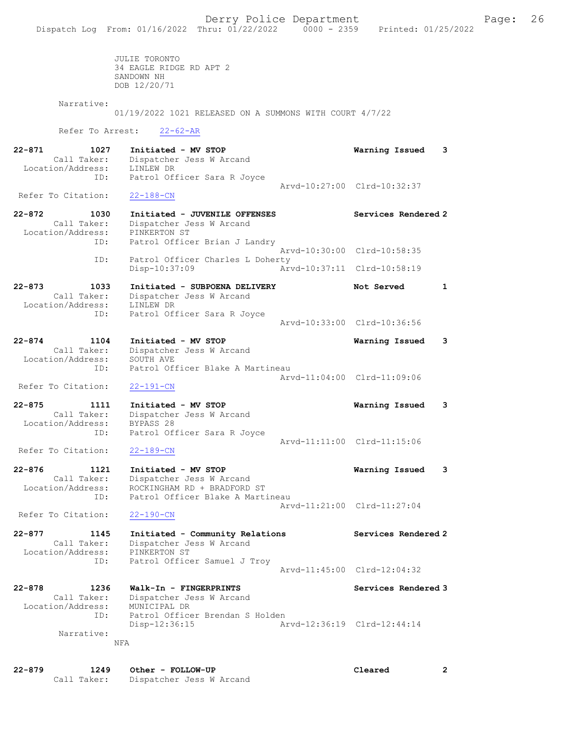JULIE TORONTO 34 EAGLE RIDGE RD APT 2 SANDOWN NH DOB 12/20/71

Narrative:

01/19/2022 1021 RELEASED ON A SUMMONS WITH COURT 4/7/22

Refer To Arrest: 22-62-AR

22-871 1027 Initiated - MV STOP Warning Issued 3 Call Taker: Dispatcher Jess W Arcand Location/Address: LINLEW DR ID: Patrol Officer Sara R Joyce Arvd-10:27:00 Clrd-10:32:37<br>22-188-CN Refer To Citation: 22-872 1030 Initiated - JUVENILE OFFENSES Services Rendered 2 Call Taker: Dispatcher Jess W Arcand Location/Address: PINKERTON ST ID: Patrol Officer Brian J Landry Arvd-10:30:00 Clrd-10:58:35 ID: Patrol Officer Charles L Doherty Disp-10:37:09 Arvd-10:37:11 Clrd-10:58:19 22-873 1033 Initiated - SUBPOENA DELIVERY 1 Not Served 1 Call Taker: Dispatcher Jess W Arcand Location/Address: LINLEW DR ID: Patrol Officer Sara R Joyce Arvd-10:33:00 Clrd-10:36:56 22-874 1104 Initiated - MV STOP Warning Issued 3 Call Taker: Dispatcher Jess W Arcand Location/Address: SOUTH AVE ID: Patrol Officer Blake A Martineau Arvd-11:04:00 Clrd-11:09:06 Refer To Citation: 22-191-CN 22-875 1111 Initiated - MV STOP Warning Issued 3 Call Taker: Dispatcher Jess W Arcand Location/Address: BYPASS 28 ID: Patrol Officer Sara R Joyce Arvd-11:11:00 Clrd-11:15:06 Refer To Citation: 22-189-CN 22-876 1121 Initiated - MV STOP Warning Issued 3 Call Taker: Dispatcher Jess W Arcand Location/Address: ROCKINGHAM RD + BRADFORD ST ID: Patrol Officer Blake A Martineau Arvd-11:21:00 Clrd-11:27:04 Refer To Citation: 22-190-CN 22-877 1145 Initiated - Community Relations Services Rendered 2 Call Taker: Dispatcher Jess W Arcand Location/Address: PINKERTON ST ID: Patrol Officer Samuel J Troy Arvd-11:45:00 Clrd-12:04:32 22-878 1236 Walk-In - FINGERPRINTS Services Rendered 3 Call Taker: Dispatcher Jess W Arcand Location/Address: MUNICIPAL DR ID: Patrol Officer Brendan S Holden Disp-12:36:15 Arvd-12:36:19 Clrd-12:44:14 Narrative: NFA

22-879 1249 Other - FOLLOW-UP Cleared 2 Call Taker: Dispatcher Jess W Arcand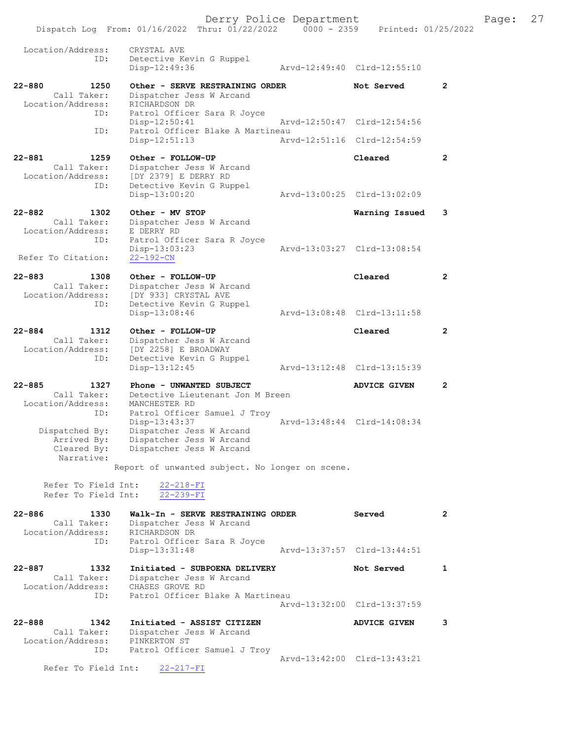Derry Police Department Fage: 27 Dispatch Log From: 01/16/2022 Thru: 01/22/2022 0000 - 2359 Printed: 01/25/2022 Location/Address: CRYSTAL AVE ID: Detective Kevin G Ruppel Disp-12:49:36 Arvd-12:49:40 Clrd-12:55:10 22-880 1250 Other - SERVE RESTRAINING ORDER Not Served 2 Call Taker: Dispatcher Jess W Arcand Location/Address: RICHARDSON DR ID: Patrol Officer Sara R Joyce Disp-12:50:41 Arvd-12:50:47 Clrd-12:54:56 ID: Patrol Officer Blake A Martineau Disp-12:51:13 Arvd-12:51:16 Clrd-12:54:59 22-881 1259 Other - FOLLOW-UP Cleared 2 Call Taker: Dispatcher Jess W Arcand Location/Address: [DY 2379] E DERRY RD ID: Detective Kevin G Ruppel Disp-13:00:20 Arvd-13:00:25 Clrd-13:02:09 22-882 1302 Other - MV STOP Warning Issued 3 Call Taker: Dispatcher Jess W Arcand Call Taker: Dispatcher<br>Location/Address: E DERRY RD ID: Patrol Officer Sara R Joyce Disp-13:03:23 Arvd-13:03:27 Clrd-13:08:54 Refer To Citation: 22-192-CN 22-883 1308 Other - FOLLOW-UP Cleared 2 Call Taker: Dispatcher Jess W Arcand Location/Address: [DY 933] CRYSTAL AVE ID: Detective Kevin G Ruppel Disp-13:08:46 Arvd-13:08:48 Clrd-13:11:58 22-884 1312 Other - FOLLOW-UP Cleared 2 Call Taker: Dispatcher Jess W Arcand Location/Address: [DY 2258] E BROADWAY ID: Detective Kevin G Ruppel Disp-13:12:45 Arvd-13:12:48 Clrd-13:15:39 22-885 1327 Phone - UNWANTED SUBJECT ADVICE GIVEN 2 Call Taker: Detective Lieutenant Jon M Breen Location/Address: MANCHESTER RD ID: Patrol Officer Samuel J Troy Disp-13:43:37 Arvd-13:48:44 Clrd-14:08:34 Dispatched By: Dispatcher Jess W Arcand Arrived By: Dispatcher Jess W Arcand Cleared By: Dispatcher Jess W Arcand Narrative: Report of unwanted subject. No longer on scene. Refer To Field Int: 22-218-FI Refer To Field Int: 22-239-FI 22-886 1330 Walk-In - SERVE RESTRAINING ORDER Served 2 Call Taker: Dispatcher Jess W Arcand Location/Address: RICHARDSON DR ID: Patrol Officer Sara R Joyce Disp-13:31:48 Arvd-13:37:57 Clrd-13:44:51 22-887 1332 Initiated - SUBPOENA DELIVERY 1 Not Served 1 Call Taker: Dispatcher Jess W Arcand Location/Address: CHASES GROVE RD ID: Patrol Officer Blake A Martineau Arvd-13:32:00 Clrd-13:37:59 22-888 1342 Initiated - ASSIST CITIZEN ADVICE GIVEN 3

 Call Taker: Dispatcher Jess W Arcand Location/Address: PINKERTON ST ess: Finnenton of<br>ID: Patrol Officer Samuel J Troy Arvd-13:42:00 Clrd-13:43:21

Refer To Field Int: 22-217-FI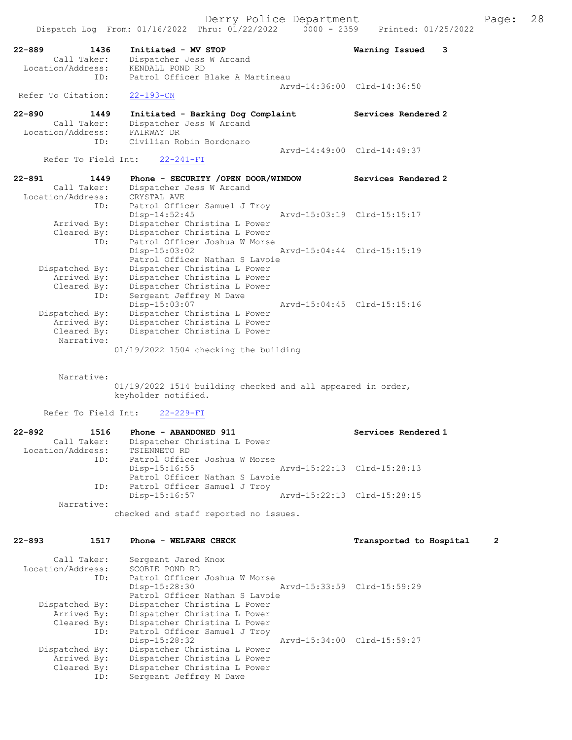Dispatch Log From: 01/16/2022 Thru: 01/22/2022 0000 - 2359 Printed: 01/25/2022

22-889 1436 Initiated - MV STOP Warning Issued 3

Call Taker: Dispatcher Jess W Arcand

Location/Address: KENDALL POND RD

| ID:                               | Patrol Officer Blake A Martineau                                                                      |                             |   |
|-----------------------------------|-------------------------------------------------------------------------------------------------------|-----------------------------|---|
| Refer To Citation:                | $22 - 193 - CN$                                                                                       | Arvd-14:36:00 Clrd-14:36:50 |   |
| 22-890<br>1449                    | Initiated - Barking Dog Complaint                                                                     | Services Rendered 2         |   |
| Call Taker:                       | Dispatcher Jess W Arcand                                                                              |                             |   |
| Location/Address:                 | FAIRWAY DR                                                                                            |                             |   |
| ID:                               | Civilian Robin Bordonaro                                                                              |                             |   |
| Refer To Field Int:               | $22 - 241 - FI$                                                                                       | Arvd-14:49:00 Clrd-14:49:37 |   |
|                                   |                                                                                                       |                             |   |
| $22 - 891$<br>1449<br>Call Taker: | Phone - SECURITY /OPEN DOOR/WINDOW<br>Dispatcher Jess W Arcand                                        | Services Rendered 2         |   |
| Location/Address:                 | CRYSTAL AVE                                                                                           |                             |   |
| ID:                               | Patrol Officer Samuel J Troy                                                                          |                             |   |
|                                   | $Disp-14:52:45$                                                                                       | Arvd-15:03:19 Clrd-15:15:17 |   |
| Arrived By:                       | Dispatcher Christina L Power                                                                          |                             |   |
| Cleared By:                       | Dispatcher Christina L Power                                                                          |                             |   |
| ID:                               | Patrol Officer Joshua W Morse                                                                         |                             |   |
|                                   | $Disp-15:03:02$                                                                                       | Arvd-15:04:44 Clrd-15:15:19 |   |
|                                   | Patrol Officer Nathan S Lavoie                                                                        |                             |   |
| Dispatched By:                    | Dispatcher Christina L Power                                                                          |                             |   |
| Arrived By:                       | Dispatcher Christina L Power                                                                          |                             |   |
| Cleared By:<br>ID:                | Dispatcher Christina L Power<br>Sergeant Jeffrey M Dawe                                               |                             |   |
|                                   | Disp-15:03:07                                                                                         | Arvd-15:04:45 Clrd-15:15:16 |   |
| Dispatched By:                    | Dispatcher Christina L Power                                                                          |                             |   |
| Arrived By:                       | Dispatcher Christina L Power                                                                          |                             |   |
| Cleared By:                       | Dispatcher Christina L Power                                                                          |                             |   |
| Narrative:                        |                                                                                                       |                             |   |
| Narrative:<br>Refer To Field Int: | 01/19/2022 1514 building checked and all appeared in order,<br>keyholder notified.<br>$22 - 229 - FI$ |                             |   |
| $22 - 892$<br>1516                | Phone - ABANDONED 911                                                                                 | Services Rendered 1         |   |
| Call Taker:                       | Dispatcher Christina L Power                                                                          |                             |   |
| Location/Address:                 | TSIENNETO RD                                                                                          |                             |   |
| ID:                               | Patrol Officer Joshua W Morse                                                                         |                             |   |
|                                   | Disp-15:16:55                                                                                         | Arvd-15:22:13 Clrd-15:28:13 |   |
|                                   | Patrol Officer Nathan S Lavoie                                                                        |                             |   |
| ID:                               | Patrol Officer Samuel J Troy                                                                          |                             |   |
|                                   | $Disp-15:16:57$                                                                                       | Arvd-15:22:13 Clrd-15:28:15 |   |
| Narrative:                        | checked and staff reported no issues.                                                                 |                             |   |
|                                   |                                                                                                       |                             |   |
| 22-893<br>1517                    | Phone - WELFARE CHECK                                                                                 | Transported to Hospital     | 2 |
| Call Taker:                       | Sergeant Jared Knox                                                                                   |                             |   |
| Location/Address:                 | SCOBIE POND RD                                                                                        |                             |   |
| ID:                               | Patrol Officer Joshua W Morse                                                                         |                             |   |
|                                   | Disp-15:28:30                                                                                         | Arvd-15:33:59 Clrd-15:59:29 |   |
|                                   | Patrol Officer Nathan S Lavoie                                                                        |                             |   |
| Dispatched By:                    | Dispatcher Christina L Power                                                                          |                             |   |
| Arrived By:                       | Dispatcher Christina L Power                                                                          |                             |   |
| Cleared By:<br>ID:                | Dispatcher Christina L Power<br>Patrol Officer Samuel J Troy                                          |                             |   |
|                                   | Disp-15:28:32                                                                                         | Arvd-15:34:00 Clrd-15:59:27 |   |
| Dispatched By:                    | Dispatcher Christina L Power                                                                          |                             |   |
| Arrived By:                       | Dispatcher Christina L Power                                                                          |                             |   |
| Cleared By:                       | Dispatcher Christina L Power                                                                          |                             |   |
| ID:                               | Sergeant Jeffrey M Dawe                                                                               |                             |   |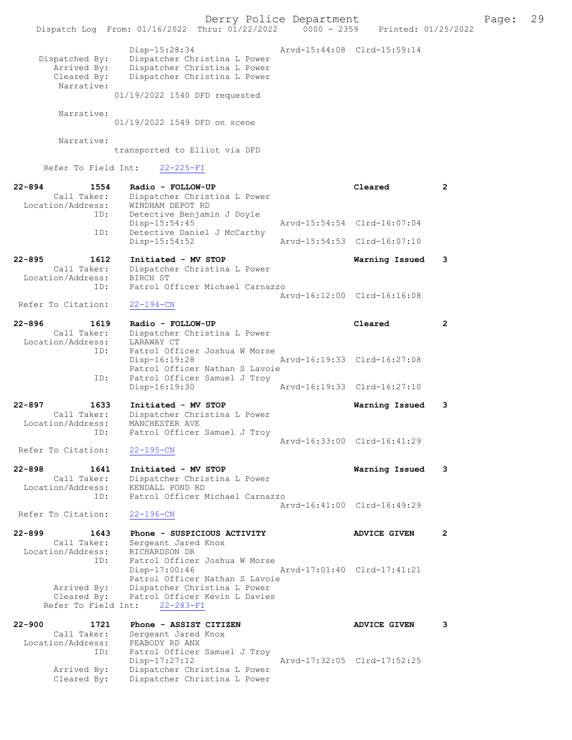|                                                               | Dispatch Log From: 01/16/2022 Thru: 01/22/2022 0000 - 2359 Printed: 01/25/2022                                                                 | Derry Police Department     |                             |                | 29<br>Page: |
|---------------------------------------------------------------|------------------------------------------------------------------------------------------------------------------------------------------------|-----------------------------|-----------------------------|----------------|-------------|
| Dispatched By:<br>Arrived By:<br>Cleared By:<br>Narrative:    | Disp-15:28:34<br>Dispatcher Christina L Power<br>Dispatcher Christina L Power<br>Dispatcher Christina L Power<br>01/19/2022 1540 DFD requested |                             | Arvd-15:44:08 Clrd-15:59:14 |                |             |
| Narrative:                                                    |                                                                                                                                                |                             |                             |                |             |
|                                                               | 01/19/2022 1549 DFD on scene                                                                                                                   |                             |                             |                |             |
| Narrative:                                                    | transported to Elliot via DFD                                                                                                                  |                             |                             |                |             |
|                                                               | Refer To Field Int: 22-225-FI                                                                                                                  |                             |                             |                |             |
| $22 - 894$<br>1554<br>Call Taker:<br>Location/Address:<br>ID: | Radio - FOLLOW-UP<br>Dispatcher Christina L Power<br>WINDHAM DEPOT RD<br>Detective Benjamin J Doyle                                            |                             | Cleared                     | $\overline{2}$ |             |
| ID:                                                           | Disp-15:54:45                                                                                                                                  |                             | Arvd-15:54:54 Clrd-16:07:04 |                |             |
|                                                               | Detective Daniel J McCarthy<br>$Disp-15:54:52$                                                                                                 |                             | Arvd-15:54:53 Clrd-16:07:10 |                |             |
| $22 - 895$<br>1612<br>Call Taker:<br>Location/Address:        | Initiated - MV STOP<br>Dispatcher Christina L Power<br>BIRCH ST                                                                                |                             | Warning Issued              | 3              |             |
| ID:<br>Refer To Citation:                                     | Patrol Officer Michael Carnazzo<br>$22 - 194 - CN$                                                                                             |                             | Arvd-16:12:00 Clrd-16:16:08 |                |             |
| $22 - 896$<br>1619                                            | Radio - FOLLOW-UP                                                                                                                              |                             | Cleared                     | 2              |             |
| Call Taker:<br>Location/Address:<br>ID:                       | Dispatcher Christina L Power<br>LARAWAY CT<br>Patrol Officer Joshua W Morse                                                                    |                             |                             |                |             |
| ID:                                                           | $Disp-16:19:28$<br>Patrol Officer Nathan S Lavoie<br>Patrol Officer Samuel J Troy                                                              |                             | Arvd-16:19:33 Clrd-16:27:08 |                |             |
|                                                               | Disp-16:19:30                                                                                                                                  |                             | Arvd-16:19:33 Clrd-16:27:10 |                |             |
| $22 - 897$<br>1633<br>Call Taker:<br>Location/Address:<br>ID: | Initiated - MV STOP<br>Dispatcher Christina L Power<br>MANCHESTER AVE<br>Patrol Officer Samuel J Troy                                          |                             | Warning Issued              | 3              |             |
| Refer To Citation:                                            | $22 - 195 - CN$                                                                                                                                |                             | Arvd-16:33:00 Clrd-16:41:29 |                |             |
| $22 - 898$<br>1641<br>Call Taker:<br>Location/Address:        | Initiated - MV STOP<br>Dispatcher Christina L Power<br>KENDALL POND RD                                                                         |                             | Warning Issued              | 3              |             |
| ID:<br>Refer To Citation:                                     | Patrol Officer Michael Carnazzo<br>$22 - 196 - CN$                                                                                             |                             | Arvd-16:41:00 Clrd-16:49:29 |                |             |
| $22 - 899$<br>1643                                            | Phone - SUSPICIOUS ACTIVITY                                                                                                                    |                             | <b>ADVICE GIVEN</b>         | $\mathbf{2}$   |             |
| Call Taker:<br>Location/Address:<br>ID:                       | Sergeant Jared Knox<br>RICHARDSON DR<br>Patrol Officer Joshua W Morse<br>Disp-17:00:46                                                         | Arvd-17:01:40 Clrd-17:41:21 |                             |                |             |
| Arrived By:<br>Cleared By:<br>Refer To Field Int:             | Patrol Officer Nathan S Lavoie<br>Dispatcher Christina L Power<br>Patrol Officer Kevin L Davies<br>$22 - 283 - FI$                             |                             |                             |                |             |
| $22 - 900$<br>1721                                            | Phone - ASSIST CITIZEN                                                                                                                         |                             | <b>ADVICE GIVEN</b>         | 3              |             |
| Call Taker:<br>Location/Address:<br>ID:                       | Sergeant Jared Knox<br>PEABODY RD ANX<br>Patrol Officer Samuel J Troy<br>$Disp-17:27:12$                                                       |                             | Arvd-17:32:05 Clrd-17:52:25 |                |             |
| Arrived By:<br>Cleared By:                                    | Dispatcher Christina L Power<br>Dispatcher Christina L Power                                                                                   |                             |                             |                |             |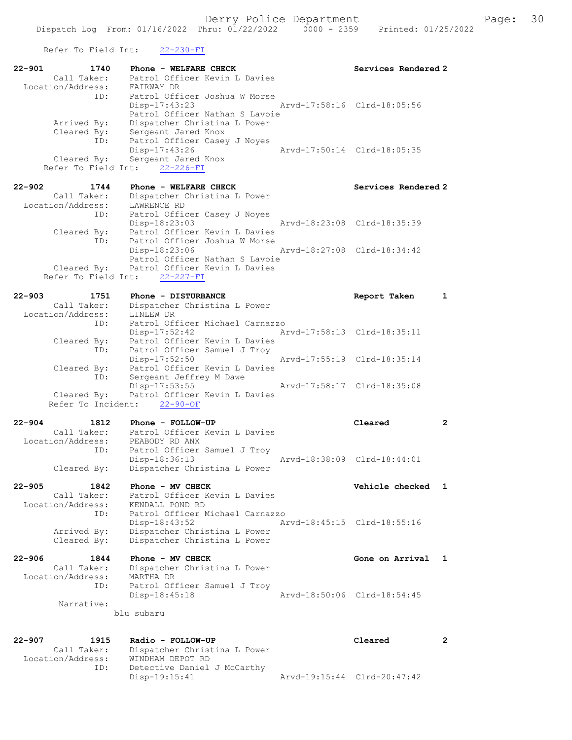Refer To Field Int: 22-230-FI

| $22 - 901$ | 1740                             | Phone - WELFARE CHECK                                          | Services Rendered 2         |                |
|------------|----------------------------------|----------------------------------------------------------------|-----------------------------|----------------|
|            | Call Taker:<br>Location/Address: | Patrol Officer Kevin L Davies<br>FAIRWAY DR                    |                             |                |
|            | ID:                              | Patrol Officer Joshua W Morse                                  |                             |                |
|            |                                  | Disp-17:43:23                                                  | Arvd-17:58:16 Clrd-18:05:56 |                |
|            | Arrived By:                      | Patrol Officer Nathan S Lavoie<br>Dispatcher Christina L Power |                             |                |
|            | Cleared By:                      | Sergeant Jared Knox                                            |                             |                |
|            | ID:                              | Patrol Officer Casey J Noyes                                   |                             |                |
|            | Cleared By:                      | Disp-17:43:26<br>Sergeant Jared Knox                           | Arvd-17:50:14 Clrd-18:05:35 |                |
|            | Refer To Field Int:              | $22 - 226 - FI$                                                |                             |                |
|            |                                  |                                                                |                             |                |
| $22 - 902$ | 1744<br>Call Taker:              | Phone - WELFARE CHECK<br>Dispatcher Christina L Power          | Services Rendered 2         |                |
|            | Location/Address:                | LAWRENCE RD                                                    |                             |                |
|            | ID:                              | Patrol Officer Casey J Noyes                                   |                             |                |
|            |                                  | Disp-18:23:03<br>Patrol Officer Kevin L Davies                 | Arvd-18:23:08 Clrd-18:35:39 |                |
|            | Cleared By:<br>ID:               | Patrol Officer Joshua W Morse                                  |                             |                |
|            |                                  | Disp-18:23:06                                                  | Arvd-18:27:08 Clrd-18:34:42 |                |
|            |                                  | Patrol Officer Nathan S Lavoie                                 |                             |                |
|            | Cleared By:                      | Patrol Officer Kevin L Davies<br>Refer To Field Int: 22-227-FI |                             |                |
|            |                                  |                                                                |                             |                |
| $22 - 903$ | 1751                             | Phone - DISTURBANCE                                            | Report Taken                | $\mathbf{1}$   |
|            | Call Taker:<br>Location/Address: | Dispatcher Christina L Power<br>LINLEW DR                      |                             |                |
|            | ID:                              | Patrol Officer Michael Carnazzo                                |                             |                |
|            |                                  | Disp-17:52:42                                                  | Arvd-17:58:13 Clrd-18:35:11 |                |
|            | Cleared By:<br>ID:               | Patrol Officer Kevin L Davies<br>Patrol Officer Samuel J Troy  |                             |                |
|            |                                  | Disp-17:52:50                                                  | Arvd-17:55:19 Clrd-18:35:14 |                |
|            | Cleared By:                      | Patrol Officer Kevin L Davies                                  |                             |                |
|            | ID:                              | Sergeant Jeffrey M Dawe<br>Disp-17:53:55                       | Arvd-17:58:17 Clrd-18:35:08 |                |
|            | Cleared By:                      | Patrol Officer Kevin L Davies                                  |                             |                |
|            | Refer To Incident:               | $22 - 90 - OF$                                                 |                             |                |
| $22 - 904$ | 1812                             | Phone - FOLLOW-UP                                              | Cleared                     | $\overline{2}$ |
|            | Call Taker:                      | Patrol Officer Kevin L Davies                                  |                             |                |
|            | Location/Address:                | PEABODY RD ANX                                                 |                             |                |
|            | ID:                              | Patrol Officer Samuel J Troy<br>Disp-18:36:13                  | Arvd-18:38:09 Clrd-18:44:01 |                |
|            | Cleared By:                      | Dispatcher Christina L Power                                   |                             |                |
|            |                                  |                                                                |                             |                |
| $22 - 905$ | 1842<br>Call Taker:              | Phone - MV CHECK<br>Patrol Officer Kevin L Davies              | Vehicle checked             | 1              |
|            | Location/Address:                | KENDALL POND RD                                                |                             |                |
|            | ID:                              | Patrol Officer Michael Carnazzo                                |                             |                |
|            |                                  | $Disp-18:43:52$                                                | Arvd-18:45:15 Clrd-18:55:16 |                |
|            | Arrived By:<br>Cleared By:       | Dispatcher Christina L Power<br>Dispatcher Christina L Power   |                             |                |
|            |                                  |                                                                |                             |                |
| $22 - 906$ | 1844                             | Phone - MV CHECK                                               | Gone on Arrival             | $\mathbf{1}$   |
|            | Call Taker:<br>Location/Address: | Dispatcher Christina L Power<br>MARTHA DR                      |                             |                |
|            | ID:                              | Patrol Officer Samuel J Troy                                   |                             |                |
|            |                                  | Disp-18:45:18                                                  | Arvd-18:50:06 Clrd-18:54:45 |                |
|            | Narrative:                       | blu subaru                                                     |                             |                |
|            |                                  |                                                                |                             |                |
|            |                                  |                                                                |                             |                |
| $22 - 907$ | 1915<br>Call Taker:              | Radio - FOLLOW-UP<br>Dispatcher Christina L Power              | Cleared                     | $\mathbf{2}$   |
|            | Location/Address:                | WINDHAM DEPOT RD                                               |                             |                |
|            | ID:                              | Detective Daniel J McCarthy                                    |                             |                |
|            |                                  | Disp-19:15:41                                                  | Arvd-19:15:44 Clrd-20:47:42 |                |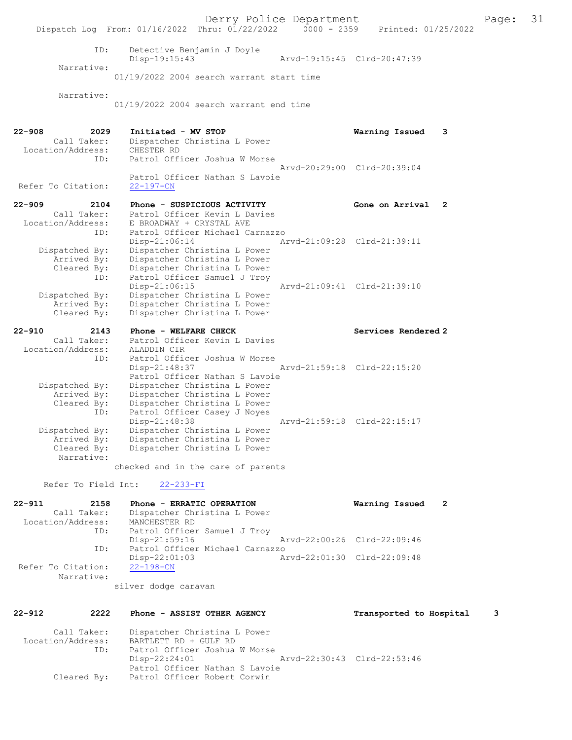Derry Police Department [1981] Page: 31<br>Phru: 01/22/2022 | 0000 - 2359 | Printed: 01/25/2022 Dispatch Log From: 01/16/2022 Thru: 01/22/2022 ID: Detective Benjamin J Doyle Disp-19:15:43 Arvd-19:15:45 Clrd-20:47:39 Narrative: 01/19/2022 2004 search warrant start time Narrative: 01/19/2022 2004 search warrant end time 22-908 2029 Initiated - MV STOP 2020 2029 2029 Initiated - MV STOP 2008 2029 2029 2030 Dispatcher Christina L Power<br>CHESTER RD Location/Address:<br>ID: Patrol Officer Joshua W Morse Arvd-20:29:00 Clrd-20:39:04 Patrol Officer Nathan S Lavoie<br>22-197-CN Refer To Citation: 22-909 2104 Phone - SUSPICIOUS ACTIVITY Gone on Arrival 2 Call Taker: Patrol Officer Kevin L Davies<br>Location/Address: E BROADWAY + CRYSTAL AVE ess: E BROADWAY + CRYSTAL AVE<br>ID: Patrol Officer Michael Ca ID: Patrol Officer Michael Carnazzo Disp-21:06:14 Arvd-21:09:28 Clrd-21:39:11 Dispatched By: Dispatcher Christina L Power Arrived By: Dispatcher Christina L Power Cleared By: Dispatcher Christina L Power ID: Patrol Officer Samuel J Troy<br>Disp-21:06:15 Disp-21:06:15 Arvd-21:09:41 Clrd-21:39:10 Dispatched By: Dispatcher Christina L Power Dispatcher Christina L Power Cleared By: Dispatcher Christina L Power 22-910 2143 Phone - WELFARE CHECK Services Rendered 2 Call Taker: Patrol Officer Kevin L Davies Location/Address: ALADDIN CIR ID: Patrol Officer Joshua W Morse<br>Disp-21:48:37 Disp-21:48:37 Arvd-21:59:18 Clrd-22:15:20 Patrol Officer Nathan S Lavoie Dispatched By: Dispatcher Christina L Power Arrived By: Dispatcher Christina L Power Arrived By: England Cleared By: Dispatcher Christina L Power ID: Patrol Officer Casey J Noyes<br>Disp-21:48:38 Arvd-21:59:18 Clrd-22:15:17 Dispatched By: Dispatcher Christina L Power Arrived By: Dispatcher Christina L Power<br>Cleared By: Dispatcher Christina L Power Dispatcher Christina L Power Narrative: checked and in the care of parents Refer To Field Int: 22-233-FI 22-911 2158 Phone - ERRATIC OPERATION Warning Issued 2<br>Call Taker: Dispatcher Christina L Power Dispatcher Christina L Power<br>MANCHESTER RD Location/Address:<br>ID: Patrol Officer Samuel J Troy<br>Disp-21:59:16 Disp-21:59:16 Arvd-22:00:26 Clrd-22:09:46<br>TD: Patrol Officer Michael Carnazzo Patrol Officer Michael Carnazzo<br>Disp-22:01:03 Ar Disp-22:01:03 Arvd-22:01:30 Clrd-22:09:48 Refer To Citation: Narrative: silver dodge caravan 22-912 2222 Phone - ASSIST OTHER AGENCY Transported to Hospital 3 Call Taker: Dispatcher Christina L Power<br>Location/Address: BARTLETT RD + GULF RD BARTLETT RD + GULF RD

 ID: Patrol Officer Joshua W Morse Disp-22:24:01 Arvd-22:30:43 Clrd-22:53:46 Patrol Officer Nathan S Lavoie Cleared By: Patrol Officer Robert Corwin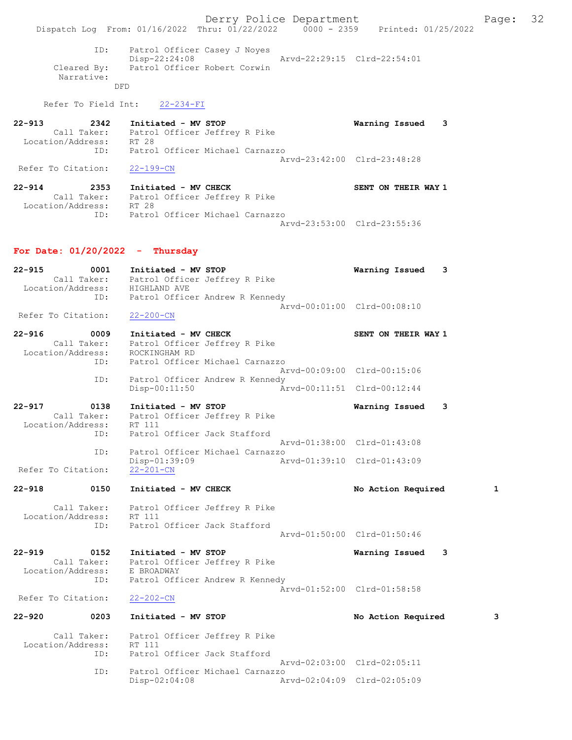ID: Patrol Officer Casey J Noyes Disp-22:24:08 Arvd-22:29:15 Clrd-22:54:01 Cleared By: Patrol Officer Robert Corwin Narrative: DFD

Refer To Field Int: 22-234-FI

| $22 - 913$         | 2342        | Initiated - MV STOP             |                             | Warning Issued |  |
|--------------------|-------------|---------------------------------|-----------------------------|----------------|--|
|                    | Call Taker: | Patrol Officer Jeffrey R Pike   |                             |                |  |
| Location/Address:  |             | RT 28                           |                             |                |  |
|                    | TD:         | Patrol Officer Michael Carnazzo |                             |                |  |
|                    |             |                                 | Aryd-23:42:00 Clrd-23:48:28 |                |  |
| Refer To Citation: |             | $22 - 199 - CN$                 |                             |                |  |

22-914 2353 Initiated - MV CHECK SENT ON THEIR WAY 1 Call Taker: Patrol Officer Jeffrey R Pike Location/Address: RT 28 ID: Patrol Officer Michael Carnazzo Arvd-23:53:00 Clrd-23:55:36

## For Date:  $01/20/2022 - \text{Thursday}$

| $22 - 915$ | 0001<br>Call Taker:<br>ID:                         | Initiated - MV STOP<br>Location/Address: HIGHLAND AVE | Patrol Officer Jeffrey R Pike   | Warning Issued<br>3         |   |
|------------|----------------------------------------------------|-------------------------------------------------------|---------------------------------|-----------------------------|---|
|            | Refer To Citation:                                 | $22 - 200 - CN$                                       | Patrol Officer Andrew R Kennedy | Arvd-00:01:00 Clrd-00:08:10 |   |
| $22 - 916$ | 0009<br>Call Taker:                                | Initiated - MV CHECK                                  | Patrol Officer Jeffrey R Pike   | SENT ON THEIR WAY 1         |   |
|            | Location/Address:                                  | ROCKINGHAM RD                                         |                                 |                             |   |
|            | ID:                                                |                                                       | Patrol Officer Michael Carnazzo | Arvd-00:09:00 Clrd-00:15:06 |   |
|            | ID:                                                | $Disp-00:11:50$                                       | Patrol Officer Andrew R Kennedy | Arvd-00:11:51 Clrd-00:12:44 |   |
| $22 - 917$ | 0138                                               | Initiated - MV STOP                                   |                                 | Warning Issued<br>3         |   |
|            | Call Taker:<br>Location/Address:                   | RT 111                                                | Patrol Officer Jeffrey R Pike   |                             |   |
|            | ID:                                                | Patrol Officer Jack Stafford                          |                                 | Arvd-01:38:00 Clrd-01:43:08 |   |
|            | ID:                                                |                                                       | Patrol Officer Michael Carnazzo |                             |   |
|            | Refer To Citation:                                 | $Disp-01:39:09$<br>$22 - 201 - CN$                    |                                 | Arvd-01:39:10 Clrd-01:43:09 |   |
| $22 - 918$ | 0150                                               | Initiated - MV CHECK                                  |                                 | No Action Required          | 1 |
|            |                                                    |                                                       |                                 |                             |   |
|            | Call Taker:                                        |                                                       | Patrol Officer Jeffrey R Pike   |                             |   |
|            | Location/Address:<br>ID:                           | RT 111<br>Patrol Officer Jack Stafford                |                                 |                             |   |
|            |                                                    |                                                       |                                 | Arvd-01:50:00 Clrd-01:50:46 |   |
| $22 - 919$ | 0152                                               | Initiated - MV STOP<br>Patrol Officer Jeffrey R Pike  |                                 | Warning Issued<br>3         |   |
|            | Call Taker:<br>Location/Address: E BROADWAY<br>ID: |                                                       | Patrol Officer Andrew R Kennedy |                             |   |
|            | Refer To Citation:                                 | $22 - 202 - CN$                                       |                                 | Arvd-01:52:00 Clrd-01:58:58 |   |
| $22 - 920$ | 0203                                               | Initiated - MV STOP                                   |                                 | No Action Required          | 3 |
|            | Call Taker:                                        | Patrol Officer Jeffrey R Pike                         |                                 |                             |   |
|            | Location/Address:                                  | RT 111                                                |                                 |                             |   |
|            | ID:                                                | Patrol Officer Jack Stafford                          |                                 |                             |   |
|            | ID:                                                |                                                       | Patrol Officer Michael Carnazzo | Arvd-02:03:00 Clrd-02:05:11 |   |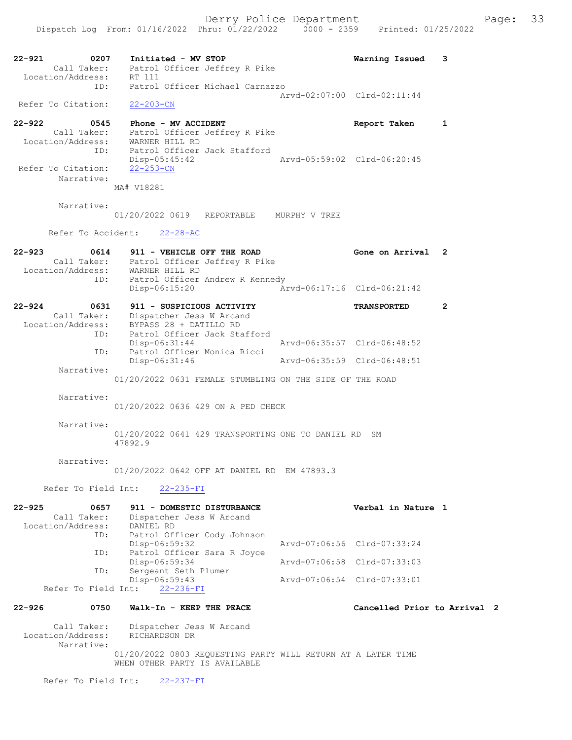22-921 0207 Initiated - MV STOP Warning Issued 3 Call Taker: Patrol Officer Jeffrey R Pike Location/Address: RT 111 ID: Patrol Officer Michael Carnazzo Arvd-02:07:00 Clrd-02:11:44 Refer To Citation: 22-203-CN 22-922 0545 Phone - MV ACCIDENT Report Taken 1 Call Taker: Patrol Officer Jeffrey R Pike Location/Address: WARNER HILL RD ID: Patrol Officer Jack Stafford<br>Disp-05:45:42 Disp-05:45:42 <br>
22-253-CN<br>
22-253-CN Refer To Citation: Narrative: MA# V18281 Narrative: 01/20/2022 0619 REPORTABLE MURPHY V TREE Refer To Accident: 22-28-AC 22-923 0614 911 - VEHICLE OFF THE ROAD Gone on Arrival 2 Call Taker: Patrol Officer Jeffrey R Pike Location/Address: WARNER HILL RD ID: Patrol Officer Andrew R Kennedy<br>Disp-06:15:20 Ar Disp-06:15:20 Arvd-06:17:16 Clrd-06:21:42 22-924 0631 911 - SUSPICIOUS ACTIVITY TRANSPORTED 2 Call Taker: Dispatcher Jess W Arcand Location/Address: BYPASS 28 + DATILLO RD ID: Patrol Officer Jack Stafford Disp-06:31:44 Arvd-06:35:57 Clrd-06:48:52 ID: Patrol Officer Monica Ricci Arvd-06:35:59 Clrd-06:48:51 Narrative: 01/20/2022 0631 FEMALE STUMBLING ON THE SIDE OF THE ROAD Narrative: 01/20/2022 0636 429 ON A PED CHECK Narrative: 01/20/2022 0641 429 TRANSPORTING ONE TO DANIEL RD SM 47892.9 Narrative: 01/20/2022 0642 OFF AT DANIEL RD EM 47893.3 Refer To Field Int: 22-235-FI 22-925 0657 911 - DOMESTIC DISTURBANCE Verbal in Nature 1 Call Taker: Dispatcher Jess W Arcand Location/Address: DANIEL RD ID: Patrol Officer Cody Johnson<br>Disp-06:59:32 Disp-06:59:32 Arvd-07:06:56 Clrd-07:33:24<br>ID: Patrol Officer Sara R Joyce Patrol Officer Sara R Joyce Disp-06:59:34 Arvd-07:06:58 Clrd-07:33:03<br>ID: Sergeant Seth Plumer .<br>Sergeant Seth Plumer<br>Disp-06:59:43 Disp-06:59:43 Arvd-07:06:54 Clrd-07:33:01 Refer To Field Int: 22-236-FI 22-926 0750 Walk-In - KEEP THE PEACE Cancelled Prior to Arrival 2 Call Taker: Dispatcher Jess W Arcand Location/Address: RICHARDSON DR Narrative: 01/20/2022 0803 REQUESTING PARTY WILL RETURN AT A LATER TIME WHEN OTHER PARTY IS AVAILABLE

Refer To Field Int: 22-237-FI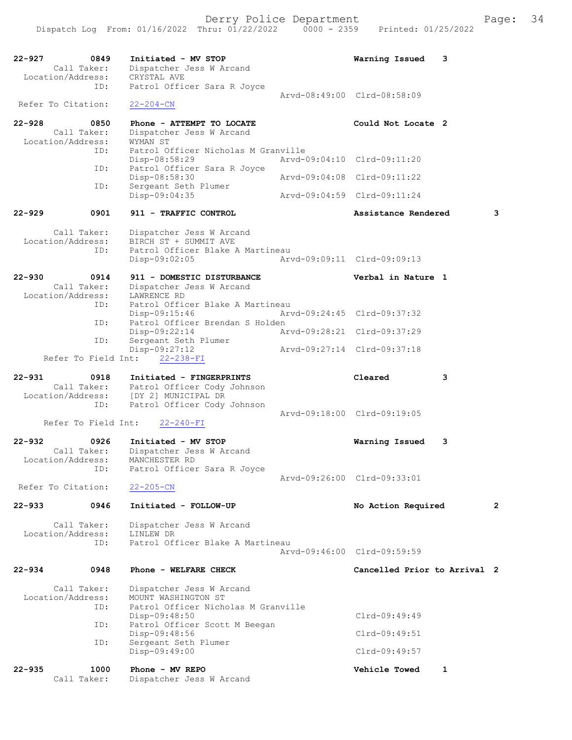| $22 - 927$<br>0849<br>Call Taker:<br>Location/Address: | Initiated - MV STOP<br>Dispatcher Jess W Arcand<br>CRYSTAL AVE                                           | 3<br>Warning Issued          |
|--------------------------------------------------------|----------------------------------------------------------------------------------------------------------|------------------------------|
| ID:<br>Refer To Citation:                              | Patrol Officer Sara R Joyce<br>$22 - 204 - CN$                                                           | Arvd-08:49:00 Clrd-08:58:09  |
| $22 - 928$<br>0850<br>Call Taker:<br>Location/Address: | Phone - ATTEMPT TO LOCATE<br>Dispatcher Jess W Arcand<br>WYMAN ST                                        | Could Not Locate 2           |
| ID:                                                    | Patrol Officer Nicholas M Granville<br>Disp-08:58:29                                                     | Arvd-09:04:10 Clrd-09:11:20  |
| ID:                                                    | Patrol Officer Sara R Joyce<br>Disp-08:58:30                                                             | Arvd-09:04:08 Clrd-09:11:22  |
| ID:                                                    | Sergeant Seth Plumer<br>Disp-09:04:35                                                                    | Arvd-09:04:59 Clrd-09:11:24  |
| $22 - 929$<br>0901                                     | 911 - TRAFFIC CONTROL                                                                                    | Assistance Rendered<br>3     |
| Call Taker:<br>Location/Address:<br>ID:                | Dispatcher Jess W Arcand<br>BIRCH ST + SUMMIT AVE<br>Patrol Officer Blake A Martineau<br>$Disp-09:02:05$ | Arvd-09:09:11 Clrd-09:09:13  |
| $22 - 930$<br>0914<br>Call Taker:<br>Location/Address: | 911 - DOMESTIC DISTURBANCE<br>Dispatcher Jess W Arcand<br>LAWRENCE RD                                    | Verbal in Nature 1           |
| ID:                                                    | Patrol Officer Blake A Martineau<br>Disp-09:15:46                                                        | Arvd-09:24:45 Clrd-09:37:32  |
| ID:                                                    | Patrol Officer Brendan S Holden<br>Disp-09:22:14                                                         | Arvd-09:28:21 Clrd-09:37:29  |
| ID:<br>Refer To Field Int:                             | Sergeant Seth Plumer<br>Disp-09:27:12<br>$22 - 238 - FI$                                                 | Arvd-09:27:14 Clrd-09:37:18  |
| $22 - 931$<br>0918<br>Call Taker:<br>Location/Address: | Initiated - FINGERPRINTS<br>Patrol Officer Cody Johnson<br>[DY 2] MUNICIPAL DR                           | Cleared<br>3                 |
| ID:<br>Refer To Field Int:                             | Patrol Officer Cody Johnson<br>$22 - 240 - FI$                                                           | Arvd-09:18:00 Clrd-09:19:05  |
| $22 - 932$<br>0926<br>Call Taker:<br>Location/Address: | Initiated - MV STOP<br>Dispatcher Jess W Arcand<br>MANCHESTER RD                                         | 3<br>Warning Issued          |
| ID:<br>Refer To Citation:                              | Patrol Officer Sara R Joyce<br>$22 - 205 - CN$                                                           | Arvd-09:26:00 Clrd-09:33:01  |
| $22 - 933$<br>0946                                     | Initiated - FOLLOW-UP                                                                                    | No Action Required<br>2      |
| Call Taker:<br>Location/Address:<br>ID:                | Dispatcher Jess W Arcand<br>LINLEW DR<br>Patrol Officer Blake A Martineau                                | Arvd-09:46:00 Clrd-09:59:59  |
| $22 - 934$<br>0948                                     | Phone - WELFARE CHECK                                                                                    | Cancelled Prior to Arrival 2 |
| Call Taker:<br>Location/Address:<br>ID:                | Dispatcher Jess W Arcand<br>MOUNT WASHINGTON ST<br>Patrol Officer Nicholas M Granville<br>Disp-09:48:50  | $Clrd-09:49:49$              |
| ID:                                                    | Patrol Officer Scott M Beegan<br>Disp-09:48:56                                                           | $Clrd-09:49:51$              |
| ID:                                                    | Sergeant Seth Plumer<br>Disp-09:49:00                                                                    | $Clrd-09:49:57$              |
| $22 - 935$<br>1000<br>Call Taker:                      | Phone - MV REPO<br>Dispatcher Jess W Arcand                                                              | <b>Vehicle Towed</b><br>1    |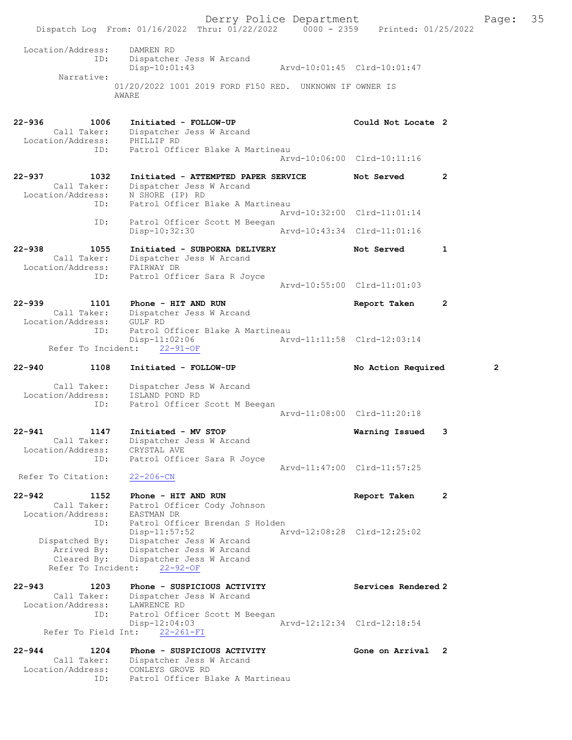Derry Police Department Fage: 35 Dispatch Log From: 01/16/2022 Thru: 01/22/2022 0000 - 2359 Printed: 01/25/2022 Location/Address: DAMREN RD ID: Dispatcher Jess W Arcand Disp-10:01:43 Arvd-10:01:45 Clrd-10:01:47 Narrative: 01/20/2022 1001 2019 FORD F150 RED. UNKNOWN IF OWNER IS AWARE 22-936 1006 Initiated - FOLLOW-UP Could Not Locate 2 Call Taker: Dispatcher Jess W Arcand Location/Address: PHILLIP RD ID: Patrol Officer Blake A Martineau Arvd-10:06:00 Clrd-10:11:16 22-937 1032 Initiated - ATTEMPTED PAPER SERVICE Not Served 2 Call Taker: Dispatcher Jess W Arcand Location/Address: N SHORE (IP) RD ID: Patrol Officer Blake A Martineau Arvd-10:32:00 Clrd-11:01:14 ID: Patrol Officer Scott M Beegan Disp-10:32:30 Arvd-10:43:34 Clrd-11:01:16 22-938 1055 Initiated - SUBPOENA DELIVERY Not Served 1 Call Taker: Dispatcher Jess W Arcand Location/Address: FAIRWAY DR ID: Patrol Officer Sara R Joyce Arvd-10:55:00 Clrd-11:01:03 22-939 1101 Phone - HIT AND RUN Report Taken 2 Call Taker: Dispatcher Jess W Arcand Location/Address: GULF RD ID: Patrol Officer Blake A Martineau<br>Disp-11:02:06 Arv Disp-11:02:06 Arvd-11:11:58 Clrd-12:03:14 Refer To Incident: 22-91-OF 22-940 1108 Initiated - FOLLOW-UP No Action Required 2 Call Taker: Dispatcher Jess W Arcand Location/Address: ISLAND POND RD ID: Patrol Officer Scott M Beegan Arvd-11:08:00 Clrd-11:20:18 22-941 1147 Initiated - MV STOP Warning Issued 3 Call Taker: Dispatcher Jess W Arcand Location/Address: CRYSTAL AVE ID: Patrol Officer Sara R Joyce Arvd-11:47:00 Clrd-11:57:25 Refer To Citation: 22-206-CN 22-942 1152 Phone - HIT AND RUN Report Taken 2 Call Taker: Patrol Officer Cody Johnson Location/Address: EASTMAN DR ID: Patrol Officer Brendan S Holden Disp-11:57:52 Arvd-12:08:28 Clrd-12:25:02 Dispatched By: Dispatcher Jess W Arcand Arrived By: Dispatcher Jess W Arcand Cleared By: Dispatcher Jess W Arcand Refer To Incident: 22-92-OF 22-943 1203 Phone - SUSPICIOUS ACTIVITY Services Rendered 2 Call Taker: Dispatcher Jess W Arcand Location/Address: LAWRENCE RD ID: Patrol Officer Scott M Beegan<br>Disp-12:04:03 Disp-12:04:03 Arvd-12:12:34 Clrd-12:18:54 Refer To Field Int: 22-261-FI 22-944 1204 Phone - SUSPICIOUS ACTIVITY Cone on Arrival 2 Call Taker: Dispatcher Jess W Arcand Location/Address: CONLEYS GROVE RD ID: Patrol Officer Blake A Martineau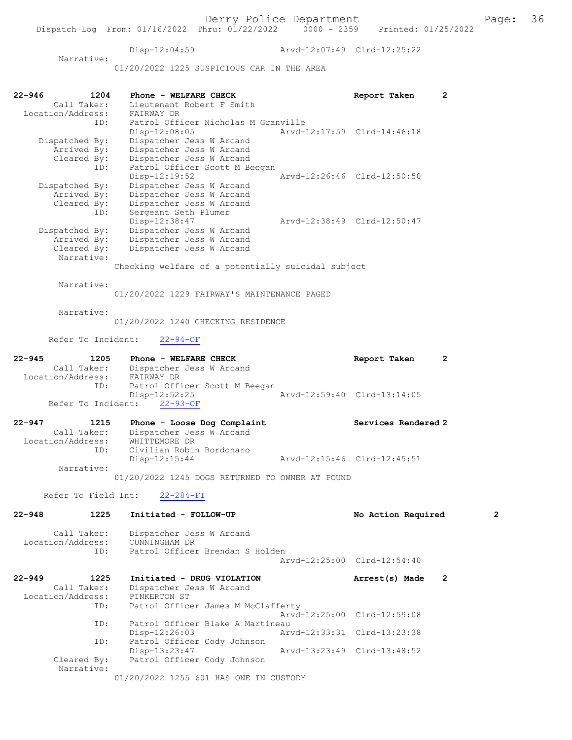Disp-12:04:59 Arvd-12:07:49 Clrd-12:25:22 Narrative:

01/20/2022 1225 SUSPICIOUS CAR IN THE AREA

| 22-946     | 1204                | Phone - WELFARE CHECK                              |                             | Report Taken                | 2                |
|------------|---------------------|----------------------------------------------------|-----------------------------|-----------------------------|------------------|
|            | Call Taker:         | Lieutenant Robert F Smith                          |                             |                             |                  |
|            | Location/Address:   | FAIRWAY DR                                         |                             |                             |                  |
|            | ID:                 | Patrol Officer Nicholas M Granville                |                             |                             |                  |
|            |                     | Disp-12:08:05                                      |                             | Arvd-12:17:59 Clrd-14:46:18 |                  |
|            | Dispatched By:      | Dispatcher Jess W Arcand                           |                             |                             |                  |
|            | Arrived By:         | Dispatcher Jess W Arcand                           |                             |                             |                  |
|            | Cleared By:         | Dispatcher Jess W Arcand                           |                             |                             |                  |
|            | ID:                 | Patrol Officer Scott M Beegan                      |                             |                             |                  |
|            |                     | Disp-12:19:52                                      |                             | Arvd-12:26:46 Clrd-12:50:50 |                  |
|            |                     | Dispatcher Jess W Arcand                           |                             |                             |                  |
|            | Dispatched By:      |                                                    |                             |                             |                  |
|            | Arrived By:         | Dispatcher Jess W Arcand                           |                             |                             |                  |
|            | Cleared By:         | Dispatcher Jess W Arcand                           |                             |                             |                  |
|            | ID:                 | Sergeant Seth Plumer                               |                             |                             |                  |
|            |                     | Disp-12:38:47                                      |                             | Arvd-12:38:49 Clrd-12:50:47 |                  |
|            | Dispatched By:      | Dispatcher Jess W Arcand                           |                             |                             |                  |
|            | Arrived By:         | Dispatcher Jess W Arcand                           |                             |                             |                  |
|            | Cleared By:         | Dispatcher Jess W Arcand                           |                             |                             |                  |
|            | Narrative:          |                                                    |                             |                             |                  |
|            |                     | Checking welfare of a potentially suicidal subject |                             |                             |                  |
|            | Narrative:          |                                                    |                             |                             |                  |
|            |                     | 01/20/2022 1229 FAIRWAY'S MAINTENANCE PAGED        |                             |                             |                  |
|            | Narrative:          |                                                    |                             |                             |                  |
|            |                     | 01/20/2022 1240 CHECKING RESIDENCE                 |                             |                             |                  |
|            | Refer To Incident:  | $22 - 94 - OF$                                     |                             |                             |                  |
| $22 - 945$ |                     |                                                    |                             |                             |                  |
|            | 1205                | Phone - WELFARE CHECK                              |                             | Report Taken                | $\mathbf{2}$     |
|            | Call Taker:         | Dispatcher Jess W Arcand                           |                             |                             |                  |
|            | Location/Address:   | FAIRWAY DR                                         |                             |                             |                  |
|            | ID:                 | Patrol Officer Scott M Beegan                      |                             |                             |                  |
|            |                     | Disp-12:52:25                                      |                             | Arvd-12:59:40 Clrd-13:14:05 |                  |
|            | Refer To Incident:  | $22 - 93 - OF$                                     |                             |                             |                  |
| 22-947     | 1215                | Phone - Loose Dog Complaint                        |                             | Services Rendered 2         |                  |
|            | Call Taker:         | Dispatcher Jess W Arcand                           |                             |                             |                  |
|            | Location/Address:   | WHITTEMORE DR                                      |                             |                             |                  |
|            | ID:                 | Civilian Robin Bordonaro                           |                             |                             |                  |
|            |                     |                                                    |                             | Arvd-12:15:46 Clrd-12:45:51 |                  |
|            | Narrative:          | $Disp-12:15:44$                                    |                             |                             |                  |
|            |                     | 01/20/2022 1245 DOGS RETURNED TO OWNER AT POUND    |                             |                             |                  |
|            |                     |                                                    |                             |                             |                  |
|            | Refer To Field Int: | $22 - 284 - FI$                                    |                             |                             |                  |
| 22-948     | 1225                | Initiated - FOLLOW-UP                              |                             | No Action Required          | $\boldsymbol{2}$ |
|            |                     |                                                    |                             |                             |                  |
|            | Call Taker:         | Dispatcher Jess W Arcand                           |                             |                             |                  |
|            | Location/Address:   | CUNNINGHAM DR                                      |                             |                             |                  |
|            | ID:                 | Patrol Officer Brendan S Holden                    |                             |                             |                  |
|            |                     |                                                    |                             | Aryd-12:25:00 Clrd-12:54:40 |                  |
| 22-949     | 1225                | Initiated - DRUG VIOLATION                         |                             | Arrest(s) Made              | $\overline{2}$   |
|            | Call Taker:         | Dispatcher Jess W Arcand                           |                             |                             |                  |
|            | Location/Address:   | PINKERTON ST                                       |                             |                             |                  |
|            | ID:                 | Patrol Officer James M McClafferty                 |                             |                             |                  |
|            |                     |                                                    |                             | Arvd-12:25:00 Clrd-12:59:08 |                  |
|            | ID:                 | Patrol Officer Blake A Martineau                   |                             |                             |                  |
|            |                     | $Disp-12:26:03$                                    |                             | Arvd-12:33:31 Clrd-13:23:38 |                  |
|            | ID:                 | Patrol Officer Cody Johnson                        |                             |                             |                  |
|            |                     | Disp-13:23:47                                      | Arvd-13:23:49 Clrd-13:48:52 |                             |                  |
|            | Cleared By:         | Patrol Officer Cody Johnson                        |                             |                             |                  |
|            | Narrative:          |                                                    |                             |                             |                  |
|            |                     | 01/20/2022 1255 601 HAS ONE IN CUSTODY             |                             |                             |                  |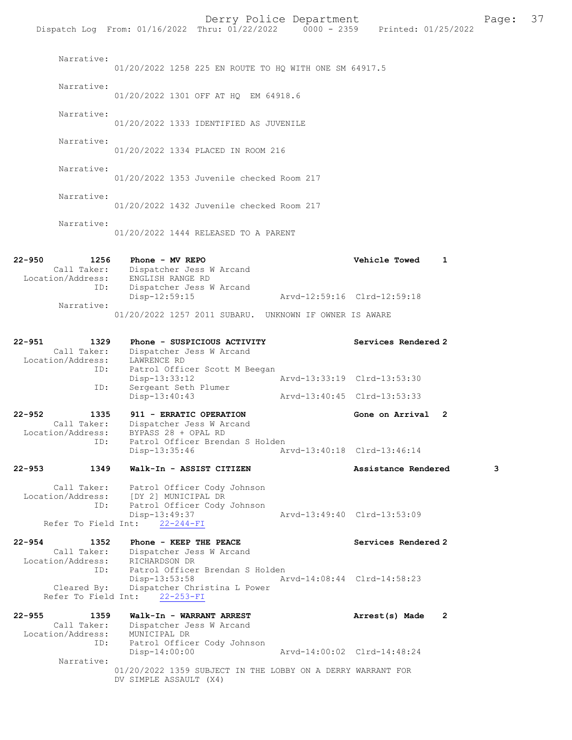|                                                           | Dispatch Log From: 01/16/2022 Thru: 01/22/2022 0000 - 2359 Printed: 01/25/2022                                                                                    | Derry Police Department     |                             | Page: | 37 |
|-----------------------------------------------------------|-------------------------------------------------------------------------------------------------------------------------------------------------------------------|-----------------------------|-----------------------------|-------|----|
| Narrative:                                                | 01/20/2022 1258 225 EN ROUTE TO HQ WITH ONE SM 64917.5                                                                                                            |                             |                             |       |    |
| Narrative:                                                | 01/20/2022 1301 OFF AT HQ EM 64918.6                                                                                                                              |                             |                             |       |    |
| Narrative:                                                | 01/20/2022 1333 IDENTIFIED AS JUVENILE                                                                                                                            |                             |                             |       |    |
| Narrative:                                                | 01/20/2022 1334 PLACED IN ROOM 216                                                                                                                                |                             |                             |       |    |
| Narrative:                                                | 01/20/2022 1353 Juvenile checked Room 217                                                                                                                         |                             |                             |       |    |
| Narrative:                                                | 01/20/2022 1432 Juvenile checked Room 217                                                                                                                         |                             |                             |       |    |
| Narrative:                                                | 01/20/2022 1444 RELEASED TO A PARENT                                                                                                                              |                             |                             |       |    |
| 22-950<br>1256<br>Location/Address:<br>ID:                | Phone - MV REPO<br>Call Taker: Dispatcher Jess W Arcand<br>ENGLISH RANGE RD<br>Dispatcher Jess W Arcand                                                           |                             | Vehicle Towed               | 1     |    |
|                                                           | Disp-12:59:15                                                                                                                                                     | Arvd-12:59:16 Clrd-12:59:18 |                             |       |    |
| Narrative:                                                | 01/20/2022 1257 2011 SUBARU. UNKNOWN IF OWNER IS AWARE                                                                                                            |                             |                             |       |    |
| 22-951<br>1329<br>Call Taker:<br>Location/Address:<br>ID: | Phone - SUSPICIOUS ACTIVITY<br>Dispatcher Jess W Arcand<br>LAWRENCE RD                                                                                            |                             | Services Rendered 2         |       |    |
| ID:                                                       | Patrol Officer Scott M Beegan<br>Disp-13:33:12<br>Sergeant Seth Plumer                                                                                            |                             | Arvd-13:33:19 Clrd-13:53:30 |       |    |
|                                                           | Disp-13:40:43                                                                                                                                                     |                             | Arvd-13:40:45 Clrd-13:53:33 |       |    |
| 22-952<br>1335<br>Call Taker:                             | 911 - ERRATIC OPERATION<br>Dispatcher Jess W Arcand<br>Location/Address: BYPASS 28 + OPAL RD                                                                      |                             | Gone on Arrival 2           |       |    |
| ID:                                                       | Patrol Officer Brendan S Holden<br>Disp-13:35:46                                                                                                                  |                             | Arvd-13:40:18 Clrd-13:46:14 |       |    |
| 22-953<br>1349                                            | Walk-In - ASSIST CITIZEN                                                                                                                                          |                             | Assistance Rendered         | 3     |    |
| ID:                                                       | Call Taker: Patrol Officer Cody Johnson<br>Location/Address: [DY 2] MUNICIPAL DR<br>Patrol Officer Cody Johnson<br>Disp-13:49:37<br>Refer To Field Int: 22-244-FI |                             | Arvd-13:49:40 Clrd-13:53:09 |       |    |
| 22-954<br>1352<br>Location/Address: RICHARDSON DR         | <b>Phone - KEEP THE PEACE</b><br>Call Taker: Dispatcher Jess W Arcand                                                                                             |                             | Services Rendered 2         |       |    |
| ID:<br>Cleared By:                                        | Patrol Officer Brendan S Holden<br>Disp-13:53:58<br>Dispatcher Christina L Power<br>Refer To Field Int: 22-253-FI                                                 |                             | Arvd-14:08:44 Clrd-14:58:23 |       |    |
| 22-955<br>Location/Address:<br>ID:                        | 1359 Walk-In - WARRANT ARREST<br>Call Taker: Dispatcher Jess W Arcand<br>MUNICIPAL DR<br>Patrol Officer Cody Johnson                                              |                             | Arrest(s) Made 2            |       |    |
| Narrative:                                                | Disp-14:00:00                                                                                                                                                     |                             | Arvd-14:00:02 Clrd-14:48:24 |       |    |
|                                                           | 01/20/2022 1359 SUBJECT IN THE LOBBY ON A DERRY WARRANT FOR<br>DV SIMPLE ASSAULT (X4)                                                                             |                             |                             |       |    |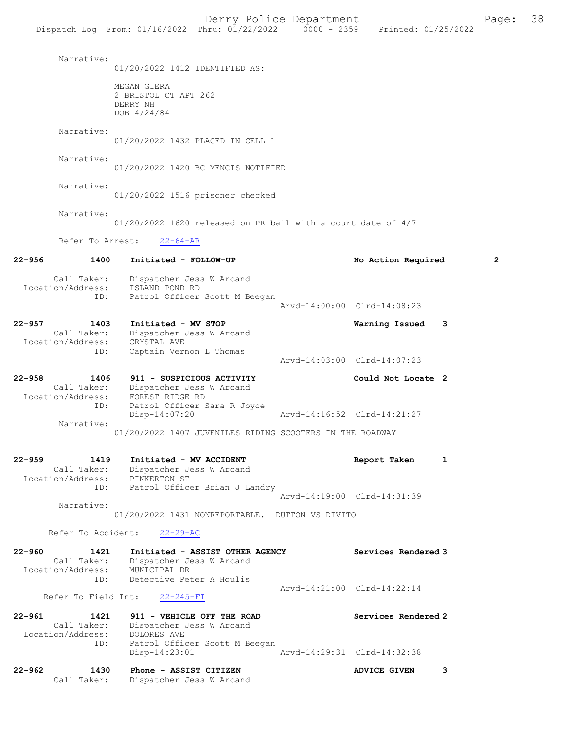Narrative: 01/20/2022 1412 IDENTIFIED AS: MEGAN GIERA 2 BRISTOL CT APT 262 DERRY NH DOB 4/24/84 Narrative: 01/20/2022 1432 PLACED IN CELL 1 Narrative: 01/20/2022 1420 BC MENCIS NOTIFIED Narrative: 01/20/2022 1516 prisoner checked Narrative: 01/20/2022 1620 released on PR bail with a court date of 4/7 Refer To Arrest: 22-64-AR 22-956 1400 Initiated - FOLLOW-UP No Action Required 2 Call Taker: Dispatcher Jess W Arcand Location/Address: ISLAND POND RD ID: Patrol Officer Scott M Beegan Arvd-14:00:00 Clrd-14:08:23 22-957 1403 Initiated - MV STOP Warning Issued 3 Call Taker: Dispatcher Jess W Arcand Location/Address: CRYSTAL AVE ID: Captain Vernon L Thomas Arvd-14:03:00 Clrd-14:07:23 22-958 1406 911 - SUSPICIOUS ACTIVITY Could Not Locate 2 Call Taker: Dispatcher Jess W Arcand Location/Address: FOREST RIDGE RD ID: Patrol Officer Sara R Joyce<br>Disp-14:07:20 Disp-14:07:20 Arvd-14:16:52 Clrd-14:21:27 Narrative: 01/20/2022 1407 JUVENILES RIDING SCOOTERS IN THE ROADWAY 22-959 1419 Initiated - MV ACCIDENT 1 Report Taken 1 Call Taker: Dispatcher Jess W Arcand Location/Address: PINKERTON ST ess: PINAERION OF<br>ID: Patrol Officer Brian J Landry Arvd-14:19:00 Clrd-14:31:39 Narrative: 01/20/2022 1431 NONREPORTABLE. DUTTON VS DIVITO Refer To Accident: 22-29-AC 22-960 1421 Initiated - ASSIST OTHER AGENCY Services Rendered 3<br>Call Taker: Dispatcher Jess W Arcand Dispatcher Jess W Arcand Location/Address: MUNICIPAL DR ID: Detective Peter A Houlis Arvd-14:21:00 Clrd-14:22:14 Refer To Field Int: 22-245-FI 22-961 1421 911 - VEHICLE OFF THE ROAD Services Rendered 2 Call Taker: Dispatcher Jess W Arcand Location/Address: DOLORES AVE ID: Patrol Officer Scott M Beegan Disp-14:23:01 Arvd-14:29:31 Clrd-14:32:38

22-962 1430 Phone - ASSIST CITIZEN ADVICE GIVEN 3 Call Taker: Dispatcher Jess W Arcand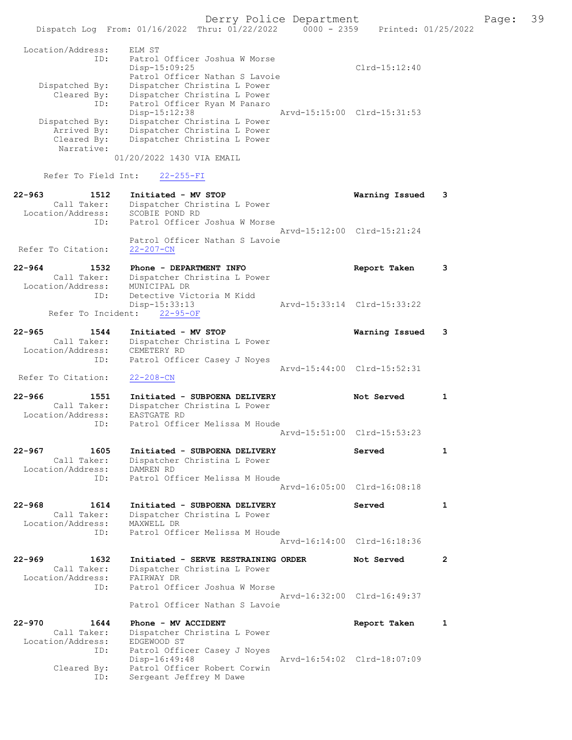|                                                        | Dispatch Log From: 01/16/2022 Thru: 01/22/2022                                               | $0000 - 2359$ |                             | Printed: 01/25/2022 |
|--------------------------------------------------------|----------------------------------------------------------------------------------------------|---------------|-----------------------------|---------------------|
| Location/Address:                                      | ELM ST                                                                                       |               |                             |                     |
| ID:                                                    | Patrol Officer Joshua W Morse<br>Disp-15:09:25<br>Patrol Officer Nathan S Lavoie             |               | $Clrd-15:12:40$             |                     |
| Dispatched By:<br>Cleared By:<br>ID:                   | Dispatcher Christina L Power<br>Dispatcher Christina L Power<br>Patrol Officer Ryan M Panaro |               |                             |                     |
| Dispatched By:<br>Arrived By:                          | Disp-15:12:38<br>Dispatcher Christina L Power<br>Dispatcher Christina L Power                |               | Arvd-15:15:00 Clrd-15:31:53 |                     |
| Cleared By:<br>Narrative:                              | Dispatcher Christina L Power<br>01/20/2022 1430 VIA EMAIL                                    |               |                             |                     |
| Refer To Field Int:                                    | $22 - 255 - FI$                                                                              |               |                             |                     |
| $22 - 963$<br>1512<br>Call Taker:<br>Location/Address: | Initiated - MV STOP<br>Dispatcher Christina L Power<br>SCOBIE POND RD                        |               | Warning Issued              | 3                   |
| ID:<br>Refer To Citation:                              | Patrol Officer Joshua W Morse<br>Patrol Officer Nathan S Lavoie<br>$22 - 207 - CN$           |               | Arvd-15:12:00 Clrd-15:21:24 |                     |
| $22 - 964$<br>1532<br>Call Taker:                      | Phone - DEPARTMENT INFO<br>Dispatcher Christina L Power                                      |               | Report Taken                | 3                   |
| Location/Address:<br>ID:                               | MUNICIPAL DR<br>Detective Victoria M Kidd                                                    |               |                             |                     |
| Refer To Incident:                                     | Disp-15:33:13<br>$22 - 95 - OF$                                                              |               | Arvd-15:33:14 Clrd-15:33:22 |                     |
| $22 - 965$<br>1544<br>Call Taker:<br>Location/Address: | Initiated - MV STOP<br>Dispatcher Christina L Power<br>CEMETERY RD                           |               | Warning Issued              | 3                   |
| ID:<br>Refer To Citation:                              | Patrol Officer Casey J Noyes<br>$22 - 208 - CN$                                              |               | Arvd-15:44:00 Clrd-15:52:31 |                     |
| $22 - 966$<br>1551                                     | Initiated - SUBPOENA DELIVERY                                                                |               | Not Served                  | 1                   |
| Call Taker:<br>Location/Address:<br>ID:                | Dispatcher Christina L Power<br>EASTGATE RD<br>Patrol Officer Melissa M Houde                |               |                             |                     |
|                                                        |                                                                                              |               | Arvd-15:51:00 Clrd-15:53:23 |                     |
| 1605<br>22-967<br>Call Taker:<br>Location/Address:     | Initiated - SUBPOENA DELIVERY<br>Dispatcher Christina L Power<br>DAMREN RD                   |               | Served                      | $\mathbf{1}$        |
| ID:                                                    | Patrol Officer Melissa M Houde                                                               |               | Aryd-16:05:00 Clrd-16:08:18 |                     |
| $22 - 968$<br>1614<br>Call Taker:<br>Location/Address: | Initiated - SUBPOENA DELIVERY<br>Dispatcher Christina L Power<br>MAXWELL DR                  |               | Served                      | $\mathbf{1}$        |
| ID:                                                    | Patrol Officer Melissa M Houde                                                               |               | Arvd-16:14:00 Clrd-16:18:36 |                     |
| $22 - 969$<br>1632<br>Call Taker:<br>Location/Address: | Initiated - SERVE RESTRAINING ORDER<br>Dispatcher Christina L Power<br>FAIRWAY DR            |               | Not Served                  | $\overline{2}$      |
| ID:                                                    | Patrol Officer Joshua W Morse<br>Patrol Officer Nathan S Lavoie                              |               | Arvd-16:32:00 Clrd-16:49:37 |                     |
| $22 - 970$<br>1644<br>Call Taker:                      | Phone - MV ACCIDENT<br>Dispatcher Christina L Power                                          |               | Report Taken                | $\mathbf{1}$        |
| Location/Address:<br>ID:                               | EDGEWOOD ST<br>Patrol Officer Casey J Noyes                                                  |               |                             |                     |
| Cleared By:                                            | Disp-16:49:48<br>Patrol Officer Robert Corwin                                                |               | Arvd-16:54:02 Clrd-18:07:09 |                     |

ID: Sergeant Jeffrey M Dawe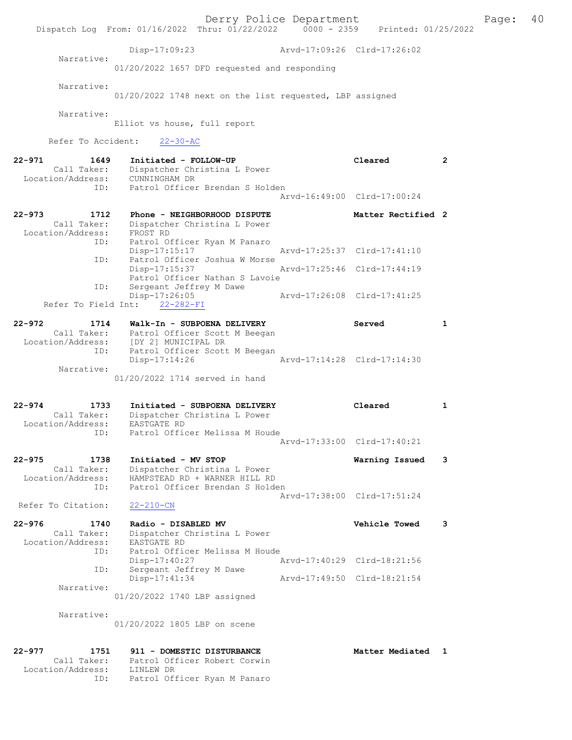Derry Police Department Fage: 40 Dispatch Log From: 01/16/2022 Thru: 01/22/2022 0000 - 2359 Printed: 01/25/2022 Disp-17:09:23 Arvd-17:09:26 Clrd-17:26:02 Narrative: 01/20/2022 1657 DFD requested and responding Narrative: 01/20/2022 1748 next on the list requested, LBP assigned Narrative: Elliot vs house, full report Refer To Accident: 22-30-AC 22-971 1649 Initiated - FOLLOW-UP Cleared 2 Call Taker: Dispatcher Christina L Power Location/Address: CUNNINGHAM DR ID: Patrol Officer Brendan S Holden Arvd-16:49:00 Clrd-17:00:24 22-973 1712 Phone - NEIGHBORHOOD DISPUTE Matter Rectified 2 Call Taker: Dispatcher Christina L Power Location/Address: FROST RD ID: Patrol Officer Ryan M Panaro Disp-17:15:17 Arvd-17:25:37 Clrd-17:41:10 ID: Patrol Officer Joshua W Morse Disp-17:15:37 Arvd-17:25:46 Clrd-17:44:19 Patrol Officer Nathan S Lavoie<br>ID: Sergeant Jeffrey M Dawe Sergeant Jeffrey M Dawe Disp-17:26:05 Arvd-17:26:08 Clrd-17:41:25 Refer To Field Int: 22-282-FI 22-972 1714 Walk-In - SUBPOENA DELIVERY Served 1 Call Taker: Patrol Officer Scott M Beegan Location/Address: [DY 2] MUNICIPAL DR ID: Patrol Officer Scott M Beegan Disp-17:14:26 Arvd-17:14:28 Clrd-17:14:30 Narrative: 01/20/2022 1714 served in hand 22-974 1733 Initiated - SUBPOENA DELIVERY Cleared 1 Call Taker: Dispatcher Christina L Power Location/Address: EASTGATE RD ID: Patrol Officer Melissa M Houde Arvd-17:33:00 Clrd-17:40:21 22-975 1738 Initiated - MV STOP Warning Issued 3 Call Taker: Dispatcher Christina L Power Location/Address: HAMPSTEAD RD + WARNER HILL RD ID: Patrol Officer Brendan S Holden Arvd-17:38:00 Clrd-17:51:24 Refer To Citation: 22-210-CN 22-976 1740 Radio - DISABLED MV Vehicle Towed 3 Call Taker: Dispatcher Christina L Power Location/Address: EASTGATE RD ID: Patrol Officer Melissa M Houde Disp-17:40:27 Arvd-17:40:29 Clrd-18:21:56 ID: Sergeant Jeffrey M Dawe Disp-17:41:34 Arvd-17:49:50 Clrd-18:21:54 Narrative: 01/20/2022 1740 LBP assigned Narrative: 01/20/2022 1805 LBP on scene 22-977 1751 911 - DOMESTIC DISTURBANCE 1 Matter Mediated 1 Call Taker: Patrol Officer Robert Corwin Location/Address: LINLEW DR ID: Patrol Officer Ryan M Panaro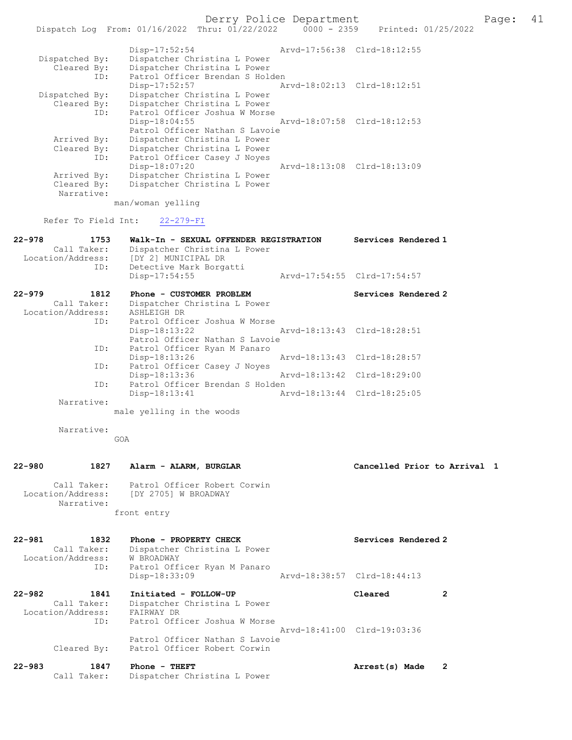Derry Police Department Fage: 41

| ID:         | Patrol Officer Joshua W Morse  |                             |
|-------------|--------------------------------|-----------------------------|
|             | $Disp-18:04:55$                | Arvd-18:07:58 Clrd-18:12:53 |
|             | Patrol Officer Nathan S Lavoie |                             |
| Arrived By: | Dispatcher Christina L Power   |                             |
| Cleared By: | Dispatcher Christina L Power   |                             |
| ID:         | Patrol Officer Casey J Noyes   |                             |
|             | Disp-18:07:20                  | Arvd-18:13:08 Clrd-18:13:09 |
| Arrived By: | Dispatcher Christina L Power   |                             |
| Cleared By: | Dispatcher Christina L Power   |                             |
| Narrative:  |                                |                             |

man/woman yelling

Refer To Field Int: 22-279-FI

| $22 - 978$<br>1753 | Walk-In - SEXUAL OFFENDER REGISTRATION                                                                          |                             | Services Rendered 1         |
|--------------------|-----------------------------------------------------------------------------------------------------------------|-----------------------------|-----------------------------|
| Call Taker:        | Dispatcher Christina L Power                                                                                    |                             |                             |
| Location/Address:  | [DY 2] MUNICIPAL DR                                                                                             |                             |                             |
| ID:                | Detective Mark Borgatti                                                                                         |                             |                             |
|                    | $Disp-17:54:55$                                                                                                 |                             | Arvd-17:54:55 Clrd-17:54:57 |
| $22 - 979$<br>1812 | Phone - CUSTOMER PROBLEM                                                                                        |                             | Services Rendered 2         |
| Call Taker:        | Dispatcher Christina L Power                                                                                    |                             |                             |
| Location/Address:  | ASHLEIGH DR                                                                                                     |                             |                             |
| ID:                | Patrol Officer Joshua W Morse                                                                                   |                             |                             |
|                    | Disp-18:13:22 Arvd-18:13:43 Clrd-18:28:51                                                                       |                             |                             |
|                    | Patrol Officer Nathan S Lavoie                                                                                  |                             |                             |
| ID:                | Patrol Officer Ryan M Panaro                                                                                    |                             |                             |
|                    | Disp-18:13:26                                                                                                   |                             | Arvd-18:13:43 Clrd-18:28:57 |
| ID:                | Patrol Officer Casey J Noves                                                                                    |                             |                             |
|                    | Disp-18:13:36                                                                                                   |                             |                             |
| ID:                | Patrol Officer Brendan S Holden                                                                                 |                             |                             |
|                    | $Disp-18:13:41$                                                                                                 | Arvd-18:13:44 Clrd-18:25:05 |                             |
| Narrative:         |                                                                                                                 |                             |                             |
|                    | the contract of the contract of the contract of the contract of the contract of the contract of the contract of |                             |                             |

male yelling in the woods

Narrative:

GOA

| $22 - 980$        | 1827                      | Alarm - ALARM, BURGLAR                               | Cancelled Prior to Arrival 1 |  |
|-------------------|---------------------------|------------------------------------------------------|------------------------------|--|
| Location/Address: | Call Taker:<br>Narrative: | Patrol Officer Robert Corwin<br>IDY 27051 W BROADWAY |                              |  |

front entry

| $22 - 981$ | 1832<br>Call Taker:<br>Location/Address: | Phone - PROPERTY CHECK<br>Dispatcher Christina L Power<br>W BROADWAY                            | Services Rendered 2         |   |
|------------|------------------------------------------|-------------------------------------------------------------------------------------------------|-----------------------------|---|
|            | ID:                                      | Patrol Officer Ryan M Panaro<br>Disp-18:33:09                                                   | Arvd-18:38:57 Clrd-18:44:13 |   |
| $22 - 982$ | 1841<br>Call Taker:<br>Location/Address: | Initiated - FOLLOW-UP<br>Dispatcher Christina L Power<br>FAIRWAY DR                             | Cleared                     | 2 |
|            | ID:<br>Cleared By:                       | Patrol Officer Joshua W Morse<br>Patrol Officer Nathan S Lavoie<br>Patrol Officer Robert Corwin | Arvd-18:41:00 Clrd-19:03:36 |   |
| $22 - 983$ | 1847<br>Call Taker:                      | Phone - THEFT<br>Dispatcher Christina L Power                                                   | Arrest(s) Made              | 2 |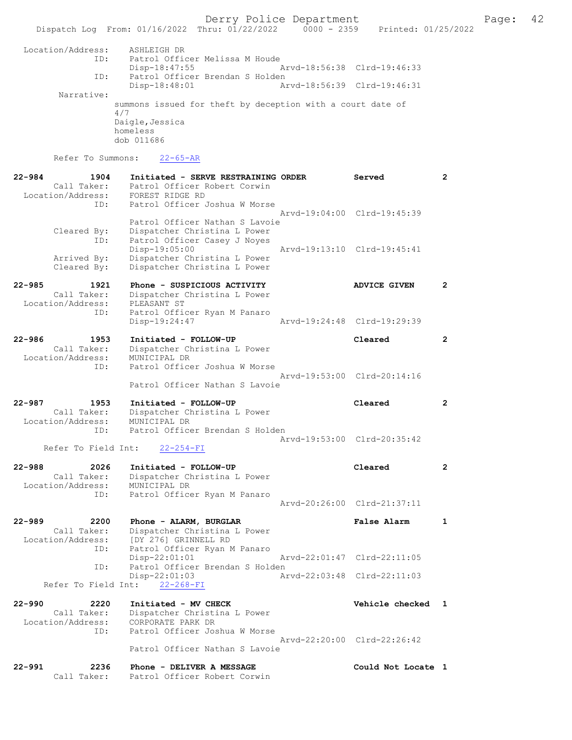Derry Police Department The Page: 42 Dispatch Log From: 01/16/2022 Thru: 01/22/2022 0000 - 2359 Printed: 01/25/2022 Location/Address: ASHLEIGH DR ID: Patrol Officer Melissa M Houde Disp-18:47:55 Arvd-18:56:38 Clrd-19:46:33 Patrol Officer Brendan S Holden<br>Disp-18:48:01 Ar Arvd-18:56:39 Clrd-19:46:31 Narrative: summons issued for theft by deception with a court date of 4/7 Daigle,Jessica homeless dob 011686 Refer To Summons: 22-65-AR 22-984 1904 Initiated - SERVE RESTRAINING ORDER Served 2 Call Taker: Patrol Officer Robert Corwin Location/Address: FOREST RIDGE RD ID: Patrol Officer Joshua W Morse

 Arvd-19:04:00 Clrd-19:45:39 Patrol Officer Nathan S Lavoie<br>Cleared By: Dispatcher Christina L Power Cleared By: Dispatcher Christina L Power ID: Patrol Officer Casey J Noyes Disp-19:05:00 Arvd-19:13:10 Clrd-19:45:41<br>Arrived By: Dispatcher Christina L Power Arrived By: Dispatcher Christina L Power<br>Cleared By: Dispatcher Christina L Power Dispatcher Christina L Power

22-985 1921 Phone - SUSPICIOUS ACTIVITY ADVICE GIVEN 2 Call Taker: Dispatcher Christina L Power Location/Address: PLEASANT ST ID: Patrol Officer Ryan M Panaro Disp-19:24:47 Arvd-19:24:48 Clrd-19:29:39

22-986 1953 Initiated - FOLLOW-UP Cleared 2 Call Taker: Dispatcher Christina L Power Location/Address: MUNICIPAL DR ID: Patrol Officer Joshua W Morse Arvd-19:53:00 Clrd-20:14:16 Patrol Officer Nathan S Lavoie

22-987 1953 Initiated - FOLLOW-UP Cleared 2 Call Taker: Dispatcher Christina L Power Location/Address: MUNICIPAL DR ID: Patrol Officer Brendan S Holden Arvd-19:53:00 Clrd-20:35:42

Refer To Field Int: 22-254-FI

22-988 2026 Initiated - FOLLOW-UP Cleared 2 Call Taker: Dispatcher Christina L Power Location/Address: MUNICIPAL DR ID: Patrol Officer Ryan M Panaro Arvd-20:26:00 Clrd-21:37:11

22-989 2200 Phone - ALARM, BURGLAR False Alarm 1 Call Taker: Dispatcher Christina L Power<br>Location/Address: [DY 276] GRINNELL RD ess: [DY 276] GRINNELL RD<br>ID: Patrol Officer Ryan M Patrol Officer Ryan M Panaro<br>Disp-22:01:01 Disp-22:01:01 Arvd-22:01:47 Clrd-22:11:05 ID: Patrol Officer Brendan S Holden<br>Disp-22:01:03 Az Disp-22:01:03 Arvd-22:03:48 Clrd-22:11:03 Refer To Field Int: 22-268-FI

22-990 2220 Initiated - MV CHECK Vehicle checked 1 Call Taker: Dispatcher Christina L Power<br>Location/Address: CORPORATE PARK DR ess: CORPORATE PARK DR<br>ID: Patrol Officer Jos Patrol Officer Joshua W Morse Arvd-22:20:00 Clrd-22:26:42 Patrol Officer Nathan S Lavoie

| $22 - 991$ | 2236        | Phone - DELIVER A MESSAGE    | Could Not Locate |
|------------|-------------|------------------------------|------------------|
|            | Call Taker: | Patrol Officer Robert Corwin |                  |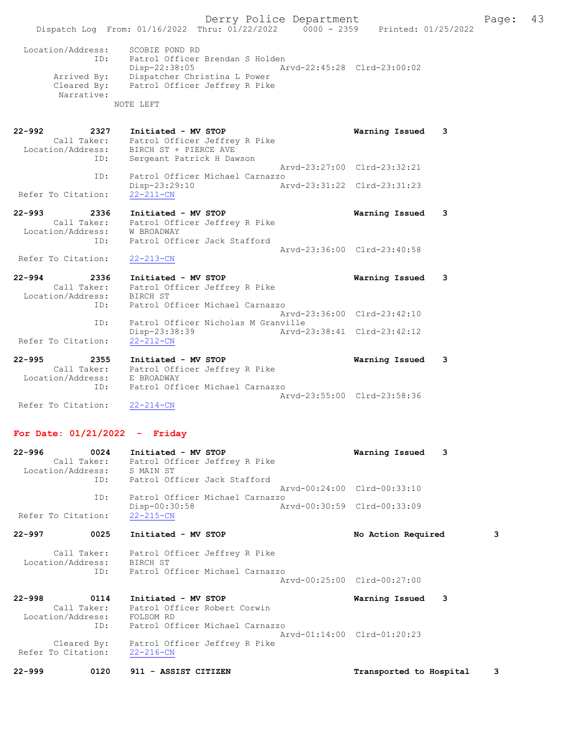- 22-992 2327 Initiated MV STOP Warning Issued 3 Call Taker: Patrol Officer Jeffrey R Pike Location/Address: BIRCH ST + PIERCE AVE ID: Sergeant Patrick H Dawson Arvd-23:27:00 Clrd-23:32:21<br>ID: Patrol Officer Michael Carnazzo Patrol Officer Michael Carnazzo Disp-23:29:10 Arvd-23:31:22 Clrd-23:31:23 Refer To Citation: 22-993 2336 Initiated - MV STOP Warning Issued 3
- Call Taker: Patrol Officer Jeffrey R Pike Location/Address: W BROADWAY ID: Patrol Officer Jack Stafford Arvd-23:36:00 Clrd-23:40:58 Refer To Citation: 22-213-CN
- 22-994 2336 Initiated MV STOP Warning Issued 3 Call Taker: Patrol Officer Jeffrey R Pike Location/Address: BIRCH ST ID: Patrol Officer Michael Carnazzo Arvd-23:36:00 Clrd-23:42:10 ID: Patrol Officer Nicholas M Granville Disp-23:38:39 Arvd-23:38:41 Clrd-23:42:12 Refer To Citation: 22-212-CN
- 22-995 2355 Initiated MV STOP Warning Issued 3 Call Taker: Patrol Officer Jeffrey R Pike Location/Address: E BROADWAY ID: Patrol Officer Michael Carnazzo Arvd-23:55:00 Clrd-23:58:36 Refer To Citation: 22-214-CN

# For Date: 01/21/2022 - Friday

| 0024<br>22-996              | Initiated - MV STOP                                       | Warning Issued 3            |   |
|-----------------------------|-----------------------------------------------------------|-----------------------------|---|
|                             | Call Taker: Patrol Officer Jeffrey R Pike                 |                             |   |
| Location/Address: S MAIN ST | ID: Patrol Officer Jack Stafford                          |                             |   |
|                             |                                                           | Arvd-00:24:00 Clrd-00:33:10 |   |
| ID:                         | Patrol Officer Michael Carnazzo                           |                             |   |
| Refer To Citation:          | Disp-00:30:58<br>Arvd-00:30:59 Clrd-00:33:09<br>22-215-CN |                             |   |
| 22-997<br>0025              | Initiated - MV STOP                                       | No Action Required          | 3 |
|                             | Call Taker: Patrol Officer Jeffrey R Pike                 |                             |   |
| Location/Address: BIRCH ST  |                                                           |                             |   |
|                             | ID: Patrol Officer Michael Carnazzo                       | Arvd-00:25:00 Clrd-00:27:00 |   |
|                             |                                                           |                             |   |
| 22-998<br>0114              | Initiated - MV STOP                                       | Warning Issued<br>3         |   |
|                             | Call Taker: Patrol Officer Robert Corwin                  |                             |   |
| Location/Address: FOLSOM RD |                                                           |                             |   |
| ID:                         | Patrol Officer Michael Carnazzo                           |                             |   |
|                             |                                                           | Arvd-01:14:00 Clrd-01:20:23 |   |
|                             | Cleared By: Patrol Officer Jeffrey R Pike                 |                             |   |
| Refer To Citation:          | $22 - 216 - CN$                                           |                             |   |
| $22 - 999$<br>0120          | 911 - ASSIST CITIZEN                                      | Transported to Hospital     | 3 |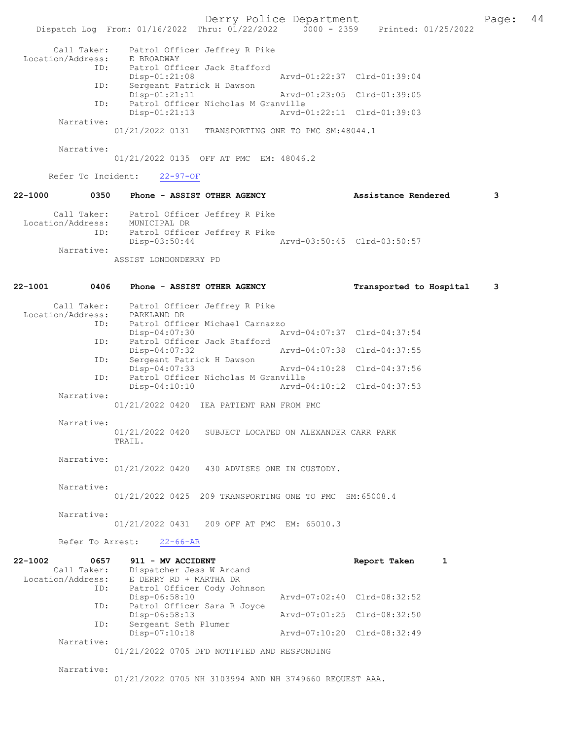Derry Police Department<br>
Page: 44<br>
Printed: 01/25/2022<br>
Printed: 01/25/2022 Dispatch Log From: 01/16/2022 Thru: 01/22/2022 Call Taker: Patrol Officer Jeffrey R Pike Location/Address: E BROADWAY ID: Patrol Officer Jack Stafford<br>Disp-01:21:08 Disp-01:21:08 Arvd-01:22:37 Clrd-01:39:04<br>TD: Sergeant Patrick H Dawson Sergeant Patrick H Dawson<br>Disp-01:21:11 Disp-01:21:11 Arvd-01:23:05 Clrd-01:39:05 ID: Patrol Officer Nicholas M Granville Disp-01:21:13 Arvd-01:22:11 Clrd-01:39:03 Narrative: 01/21/2022 0131 TRANSPORTING ONE TO PMC SM:48044.1 Narrative: 01/21/2022 0135 OFF AT PMC EM: 48046.2 Refer To Incident: 22-97-OF 22-1000 0350 Phone - ASSIST OTHER AGENCY Assistance Rendered 3 Call Taker: Patrol Officer Jeffrey R Pike Location/Address: MUNICIPAL DR ID: Patrol Officer Jeffrey R Pike Disp-03:50:44 Arvd-03:50:45 Clrd-03:50:57 Narrative: ASSIST LONDONDERRY PD 22-1001 0406 Phone - ASSIST OTHER AGENCY Transported to Hospital 3 Call Taker: Patrol Officer Jeffrey R Pike<br>.on/Address: PARKLAND DR Location/Address:<br>ID: Patrol Officer Michael Carnazzo<br>Disp-04:07:30 A Disp-04:07:30 Arvd-04:07:37 Clrd-04:37:54<br>TD: Patrol Officer Jack Stafford Patrol Officer Jack Stafford<br>Disp-04:07:32 Disp-04:07:32 Arvd-04:07:38 Clrd-04:37:55<br>ID: Sergeant Patrick H Dawson Sergeant Patrick H Dawson<br>Disp-04:07:33 Disp-04:07:33 Arvd-04:10:28 Clrd-04:37:56<br>TD: Patrol Officer Nicholas M Granville ID: Patrol Officer Nicholas M Granville Disp-04:10:10 Arvd-04:10:12 Clrd-04:37:53 Narrative: 01/21/2022 0420 IEA PATIENT RAN FROM PMC Narrative: 01/21/2022 0420 SUBJECT LOCATED ON ALEXANDER CARR PARK TRAIL. Narrative:<br>01/21/2022 0420 430 ADVISES ONE IN CUSTODY. Narrative: 01/21/2022 0425 209 TRANSPORTING ONE TO PMC SM:65008.4 Narrative: 01/21/2022 0431 209 OFF AT PMC EM: 65010.3 Refer To Arrest: 22-66-AR 22-1002 0657 911 - MV ACCIDENT Report Taken 1<br>Call Taker: Dispatcher Jess W Arcand Call Taker: Dispatcher Jess W Arcand<br>Location/Address: E DERRY RD + MARTHA DR Location/Address: E DERRY RD + MARTHA DR ID: Patrol Officer Cody Johnson Disp-06:58:10 Arvd-07:02:40 Clrd-08:32:52 Patrol Officer Sara R Joyce<br>Disp-06:58:13 Disp-06:58:13 Arvd-07:01:25 Clrd-08:32:50 ID: Sergeant Seth Plumer<br>Disp-07:10:18 Disp-07:10:18 Arvd-07:10:20 Clrd-08:32:49 Narrative: 01/21/2022 0705 DFD NOTIFIED AND RESPONDING Narrative: 01/21/2022 0705 NH 3103994 AND NH 3749660 REQUEST AAA.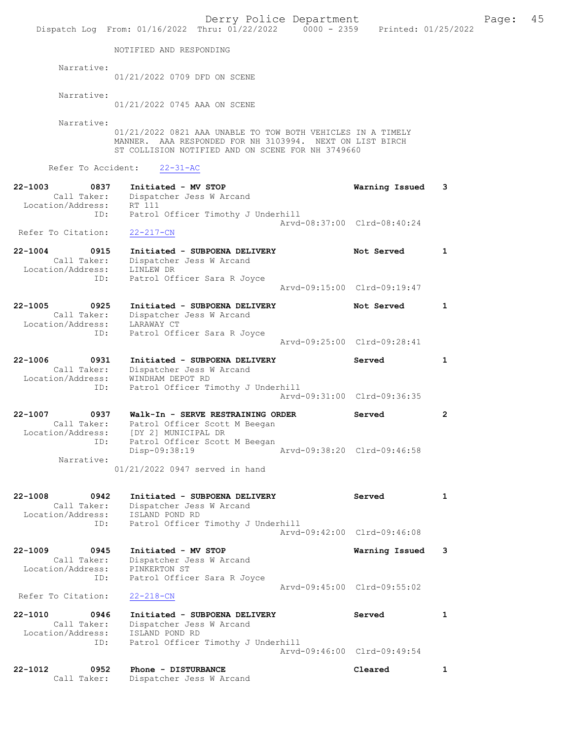|                                                                       | Dispatch Log From: 01/16/2022 Thru: 01/22/2022 0000 - 2359 Printed: 01/25/2022                                                                                               | Derry Police Department |                                       |                |
|-----------------------------------------------------------------------|------------------------------------------------------------------------------------------------------------------------------------------------------------------------------|-------------------------|---------------------------------------|----------------|
|                                                                       | NOTIFIED AND RESPONDING                                                                                                                                                      |                         |                                       |                |
| Narrative:                                                            | 01/21/2022 0709 DFD ON SCENE                                                                                                                                                 |                         |                                       |                |
| Narrative:                                                            | 01/21/2022 0745 AAA ON SCENE                                                                                                                                                 |                         |                                       |                |
| Narrative:                                                            | 01/21/2022 0821 AAA UNABLE TO TOW BOTH VEHICLES IN A TIMELY<br>MANNER. AAA RESPONDED FOR NH 3103994. NEXT ON LIST BIRCH<br>ST COLLISION NOTIFIED AND ON SCENE FOR NH 3749660 |                         |                                       |                |
| Refer To Accident:                                                    | $22 - 31 - AC$                                                                                                                                                               |                         |                                       |                |
| $22 - 1003$<br>0837<br>Call Taker:<br>Location/Address: RT 111<br>ID: | Initiated - MV STOP<br>Dispatcher Jess W Arcand                                                                                                                              |                         | Warning Issued                        | 3              |
| Refer To Citation:                                                    | Patrol Officer Timothy J Underhill<br>$22 - 217 - CN$                                                                                                                        |                         | Arvd-08:37:00 Clrd-08:40:24           |                |
| $22 - 1004$<br>0915<br>Call Taker:<br>Location/Address:               | Initiated - SUBPOENA DELIVERY<br>Dispatcher Jess W Arcand<br>LINLEW DR                                                                                                       |                         | Not Served                            | 1              |
| ID:                                                                   | Patrol Officer Sara R Joyce                                                                                                                                                  |                         | Arvd-09:15:00 Clrd-09:19:47           |                |
| $22 - 1005$<br>0925<br>Call Taker:<br>Location/Address:               | Initiated - SUBPOENA DELIVERY<br>Dispatcher Jess W Arcand<br>LARAWAY CT                                                                                                      |                         | Not Served                            | $\mathbf{1}$   |
| ID:                                                                   | Patrol Officer Sara R Joyce                                                                                                                                                  |                         | Arvd-09:25:00 Clrd-09:28:41           |                |
| $22 - 1006$<br>0931<br>Call Taker:<br>Location/Address:<br>ID:        | Initiated - SUBPOENA DELIVERY<br>Dispatcher Jess W Arcand<br>WINDHAM DEPOT RD<br>Patrol Officer Timothy J Underhill                                                          |                         | Served<br>Arvd-09:31:00 Clrd-09:36:35 | $\mathbf{1}$   |
| $22 - 1007$<br>0937<br>Call Taker:<br>Location/Address:               | Walk-In - SERVE RESTRAINING ORDER<br>Patrol Officer Scott M Beegan<br>[DY 2] MUNICIPAL DR                                                                                    |                         | Served                                | $\overline{2}$ |
| ID:<br>Narrative:                                                     | Patrol Officer Scott M Beegan<br>Disp-09:38:19                                                                                                                               |                         | Arvd-09:38:20 Clrd-09:46:58           |                |
|                                                                       | 01/21/2022 0947 served in hand                                                                                                                                               |                         |                                       |                |
| 22-1008<br>0942<br>Call Taker:<br>Location/Address:<br>ID:            | Initiated - SUBPOENA DELIVERY<br>Dispatcher Jess W Arcand<br>ISLAND POND RD<br>Patrol Officer Timothy J Underhill                                                            |                         | Served                                | $\mathbf{1}$   |
|                                                                       |                                                                                                                                                                              |                         | Arvd-09:42:00 Clrd-09:46:08           |                |
| $22 - 1009$<br>0945<br>Call Taker:<br>Location/Address:<br>ID:        | Initiated - MV STOP<br>Dispatcher Jess W Arcand<br>PINKERTON ST<br>Patrol Officer Sara R Joyce                                                                               |                         | Warning Issued                        | 3              |
| Refer To Citation:                                                    | $22 - 218 - CN$                                                                                                                                                              |                         | Arvd-09:45:00 Clrd-09:55:02           |                |
| $22 - 1010$<br>0946<br>Call Taker:<br>Location/Address:               | Initiated - SUBPOENA DELIVERY<br>Dispatcher Jess W Arcand<br>ISLAND POND RD                                                                                                  |                         | Served                                | 1              |
| ID:                                                                   | Patrol Officer Timothy J Underhill                                                                                                                                           |                         | Arvd-09:46:00 Clrd-09:49:54           |                |
| 22-1012<br>0952<br>Call Taker:                                        | Phone - DISTURBANCE<br>Dispatcher Jess W Arcand                                                                                                                              |                         | Cleared                               | 1              |

Page:  $45$ <br>022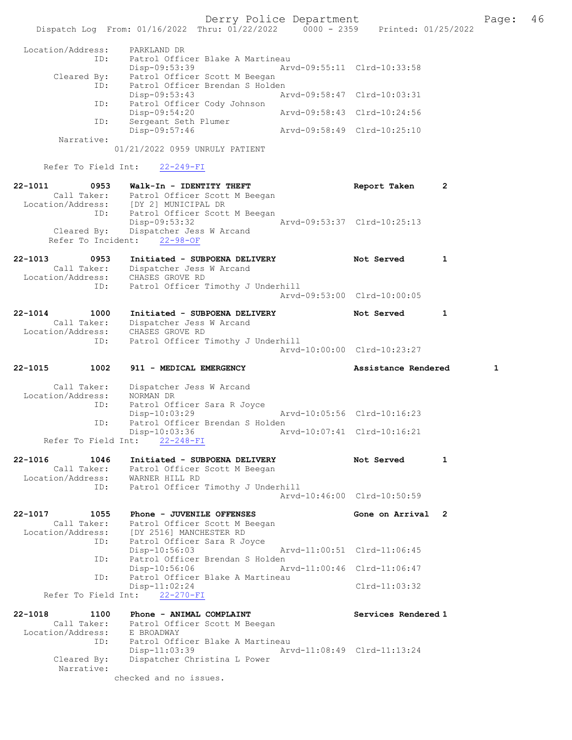Derry Police Department Fage: 46 Dispatch Log From: 01/16/2022 Thru: 01/22/2022 0000 - 2359 Printed: 01/25/2022 Location/Address: PARKLAND DR ID: Patrol Officer Blake A Martineau Disp-09:53:39 Arvd-09:55:11 Clrd-10:33:58 Cleared By: Patrol Officer Scott M Beegan ID: Patrol Officer Brendan S Holden Disp-09:53:43 Arvd-09:58:47 Clrd-10:03:31 ID: Patrol Officer Cody Johnson Disp-09:54:20 Arvd-09:58:43 Clrd-10:24:56 ID: Sergeant Seth Plumer Disp-09:57:46 Arvd-09:58:49 Clrd-10:25:10 Narrative: 01/21/2022 0959 UNRULY PATIENT Refer To Field Int: 22-249-FI 22-1011 0953 Walk-In - IDENTITY THEFT Report Taken 2 Call Taker: Patrol Officer Scott M Beegan Location/Address: [DY 2] MUNICIPAL DR ID: Patrol Officer Scott M Beegan Disp-09:53:32 Arvd-09:53:37 Clrd-10:25:13 Cleared By: Dispatcher Jess W Arcand Refer To Incident: 22-98-OF 22-1013 0953 Initiated - SUBPOENA DELIVERY Not Served 1 Call Taker: Dispatcher Jess W Arcand Location/Address: CHASES GROVE RD ID: Patrol Officer Timothy J Underhill Arvd-09:53:00 Clrd-10:00:05 22-1014 1000 Initiated - SUBPOENA DELIVERY Not Served 1 Call Taker: Dispatcher Jess W Arcand Location/Address: CHASES GROVE RD ID: Patrol Officer Timothy J Underhill Arvd-10:00:00 Clrd-10:23:27 22-1015 1002 911 - MEDICAL EMERGENCY Assistance Rendered 1 Call Taker: Dispatcher Jess W Arcand Location/Address: NORMAN DR ID: Patrol Officer Sara R Joyce Disp-10:03:29 Arvd-10:05:56 Clrd-10:16:23 ID: Patrol Officer Brendan S Holden Disp-10:03:36 Arvd-10:07:41 Clrd-10:16:21 Refer To Field Int: 22-248-FI 22-1016 1046 Initiated - SUBPOENA DELIVERY Not Served 1 Call Taker: Patrol Officer Scott M Beegan Location/Address: WARNER HILL RD ID: Patrol Officer Timothy J Underhill Arvd-10:46:00 Clrd-10:50:59 22-1017 1055 Phone - JUVENILE OFFENSES The Solution of Arrival 2 Call Taker: Patrol Officer Scott M Beegan Location/Address: [DY 2516] MANCHESTER RD ID: Patrol Officer Sara R Joyce Disp-10:56:03 Arvd-11:00:51 Clrd-11:06:45 ID: Patrol Officer Brendan S Holden Disp-10:56:06 Arvd-11:00:46 Clrd-11:06:47 ID: Patrol Officer Blake A Martineau Disp-11:02:24 Clrd-11:03:32 Refer To Field Int: 22-270-FI 22-1018 1100 Phone - ANIMAL COMPLAINT Services Rendered 1 Call Taker: Patrol Officer Scott M Beegan Location/Address: E BROADWAY ID: Patrol Officer Blake A Martineau Disp-11:03:39 Arvd-11:08:49 Clrd-11:13:24 Cleared By: Dispatcher Christina L Power Narrative: checked and no issues.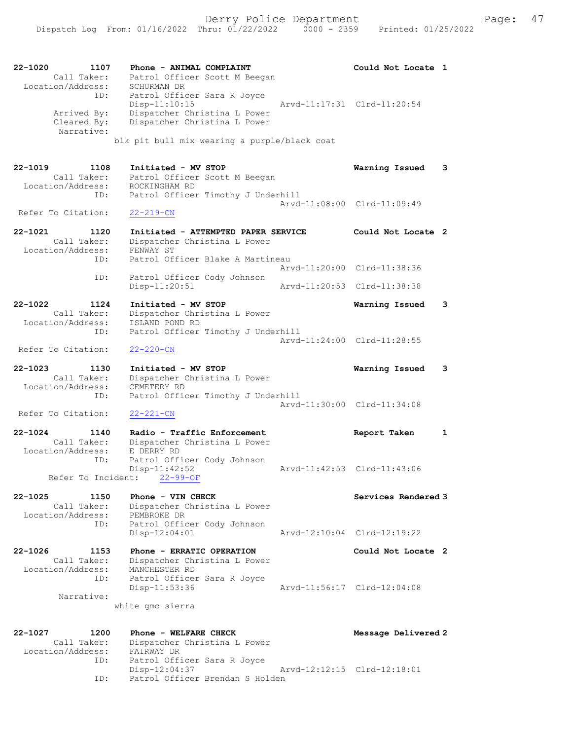| 22-1020<br>1107<br>Call Taker:<br>Location/Address:     | Phone - ANIMAL COMPLAINT<br>Patrol Officer Scott M Beegan<br>SCHURMAN DR                                       | Could Not Locate 1          |  |
|---------------------------------------------------------|----------------------------------------------------------------------------------------------------------------|-----------------------------|--|
| ID:<br>Arrived By:<br>Cleared By:<br>Narrative:         | Patrol Officer Sara R Joyce<br>$Disp-11:10:15$<br>Dispatcher Christina L Power<br>Dispatcher Christina L Power | Arvd-11:17:31 Clrd-11:20:54 |  |
|                                                         | blk pit bull mix wearing a purple/black coat                                                                   |                             |  |
| 22-1019<br>1108<br>Call Taker:<br>Location/Address:     | Initiated - MV STOP<br>Patrol Officer Scott M Beegan<br>ROCKINGHAM RD                                          | Warning Issued<br>3         |  |
| ID:                                                     | Patrol Officer Timothy J Underhill                                                                             | Arvd-11:08:00 Clrd-11:09:49 |  |
| Refer To Citation:                                      | $22 - 219 - CN$                                                                                                |                             |  |
| $22 - 1021$<br>1120<br>Call Taker:<br>Location/Address: | Initiated - ATTEMPTED PAPER SERVICE<br>Dispatcher Christina L Power<br>FENWAY ST                               | Could Not Locate 2          |  |
| ID:                                                     | Patrol Officer Blake A Martineau                                                                               | Arvd-11:20:00 Clrd-11:38:36 |  |
| ID:                                                     | Patrol Officer Cody Johnson<br>Disp-11:20:51                                                                   | Arvd-11:20:53 Clrd-11:38:38 |  |
| $22 - 1022$<br>1124<br>Call Taker:                      | Initiated - MV STOP<br>Dispatcher Christina L Power                                                            | Warning Issued<br>3         |  |
| Location/Address:<br>ID:                                | ISLAND POND RD<br>Patrol Officer Timothy J Underhill                                                           |                             |  |
| Refer To Citation:                                      | $22 - 220 - CN$                                                                                                | Arvd-11:24:00 Clrd-11:28:55 |  |
| $22 - 1023$<br>1130                                     | Initiated - MV STOP                                                                                            | Warning Issued<br>3         |  |
| Call Taker:<br>Location/Address:                        | Dispatcher Christina L Power<br>CEMETERY RD                                                                    |                             |  |
| ID:<br>Refer To Citation:                               | Patrol Officer Timothy J Underhill<br>$22 - 221 - CN$                                                          | Arvd-11:30:00 Clrd-11:34:08 |  |
| $22 - 1024$<br>1140                                     | Radio - Traffic Enforcement                                                                                    | Report Taken<br>1           |  |
| Call Taker:<br>Location/Address:<br>ID:                 | Dispatcher Christina L Power<br>E DERRY RD<br>Patrol Officer Cody Johnson                                      |                             |  |
|                                                         | $Disp-11:42:52$<br>Refer To Incident: 22-99-OF                                                                 | Arvd-11:42:53 Clrd-11:43:06 |  |
| $22 - 1025$<br>1150<br>Call Taker:                      | Phone - VIN CHECK<br>Dispatcher Christina L Power                                                              | Services Rendered 3         |  |
| Location/Address:<br>ID:                                | PEMBROKE DR<br>Patrol Officer Cody Johnson<br>$Disp-12:04:01$                                                  | Arvd-12:10:04 Clrd-12:19:22 |  |
| $22 - 1026$<br>1153<br>Call Taker:                      | Phone - ERRATIC OPERATION<br>Dispatcher Christina L Power                                                      | Could Not Locate 2          |  |
| Location/Address:<br>ID:                                | MANCHESTER RD<br>Patrol Officer Sara R Joyce<br>Disp-11:53:36                                                  | Arvd-11:56:17 Clrd-12:04:08 |  |
| Narrative:                                              | white qmc sierra                                                                                               |                             |  |
| 22-1027<br>1200                                         | Phone - WELFARE CHECK                                                                                          | Message Delivered 2         |  |
| Call Taker:<br>Location/Address:                        | Dispatcher Christina L Power<br>FAIRWAY DR                                                                     |                             |  |
| ID:                                                     | Patrol Officer Sara R Joyce<br>Disp-12:04:37                                                                   | Arvd-12:12:15 Clrd-12:18:01 |  |

ID: Patrol Officer Brendan S Holden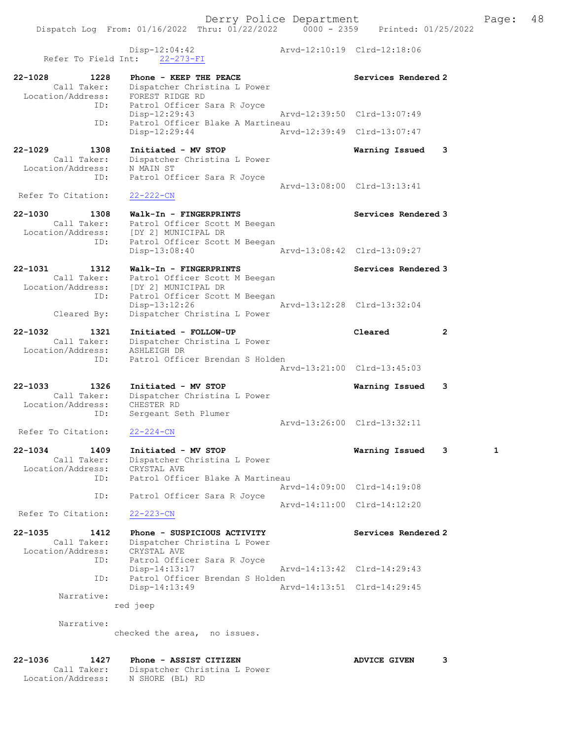Disp-12:04:42<br>
Arvd-12:10:19 Clrd-12:18:06 Refer To Field Int: 22-273-FI 22-1028 1228 Phone - KEEP THE PEACE Network Services Rendered 2 Call Taker: Dispatcher Christina L Power Location/Address: FOREST RIDGE RD ID: Patrol Officer Sara R Joyce Disp-12:29:43 Arvd-12:39:50 Clrd-13:07:49 ID: Patrol Officer Blake A Martineau Disp-12:29:44 Arvd-12:39:49 Clrd-13:07:47 22-1029 1308 Initiated - MV STOP Warning Issued 3 Call Taker: Dispatcher Christina L Power Location/Address: N MAIN ST ID: Patrol Officer Sara R Joyce Arvd-13:08:00 Clrd-13:13:41<br>22-222-CN Refer To Citation: 22-1030 1308 Walk-In - FINGERPRINTS Services Rendered 3 Call Taker: Patrol Officer Scott M Beegan Location/Address: [DY 2] MUNICIPAL DR ID: Patrol Officer Scott M Beegan Disp-13:08:40 Arvd-13:08:42 Clrd-13:09:27 22-1031 1312 Walk-In - FINGERPRINTS Services Rendered 3 Call Taker: Patrol Officer Scott M Beegan Location/Address: [DY 2] MUNICIPAL DR ID: Patrol Officer Scott M Beegan Disp-13:12:26 Arvd-13:12:28 Clrd-13:32:04 Cleared By: Dispatcher Christina L Power 22-1032 1321 Initiated - FOLLOW-UP Cleared 2 Call Taker: Dispatcher Christina L Power Location/Address: ASHLEIGH DR ID: Patrol Officer Brendan S Holden Arvd-13:21:00 Clrd-13:45:03 22-1033 1326 Initiated - MV STOP Warning Issued 3 Call Taker: Dispatcher Christina L Power Location/Address: CHESTER RD ID: Sergeant Seth Plumer Arvd-13:26:00 Clrd-13:32:11 Refer To Citation: 22-224-CN 22-1034 1409 Initiated - MV STOP Warning Issued 3 1 Call Taker: Dispatcher Christina L Power Location/Address: CRYSTAL AVE ID: Patrol Officer Blake A Martineau Arvd-14:09:00 Clrd-14:19:08 ID: Patrol Officer Sara R Joyce Arvd-14:11:00 Clrd-14:12:20<br>22-223-CN Refer To Citation: 22-1035 1412 Phone - SUSPICIOUS ACTIVITY Services Rendered 2 Call Taker: Dispatcher Christina L Power Location/Address: CRYSTAL AVE ID: Patrol Officer Sara R Joyce Disp-14:13:17 Arvd-14:13:42 Clrd-14:29:43 ID: Patrol Officer Brendan S Holden Disp-14:13:49 Arvd-14:13:51 Clrd-14:29:45 Narrative: red jeep Narrative: checked the area, no issues. 22-1036 1427 Phone - ASSIST CITIZEN ADVICE GIVEN 3 Call Taker: Dispatcher Christina L Power

Location/Address: N SHORE (BL) RD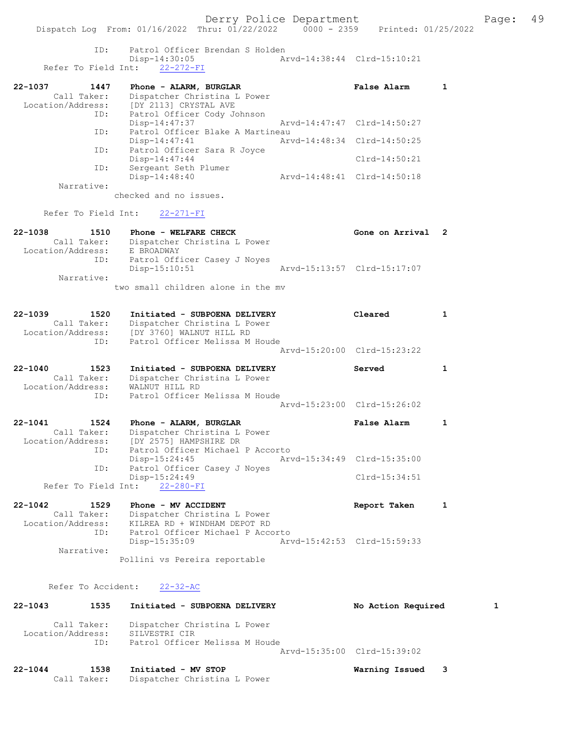ID: Patrol Officer Brendan S Holden Disp-14:30:05 Arvd-14:38:44 Clrd-15:10:21 Refer To Field Int: 22-272-FI

| 22-1037           | 1447 | Phone - ALARM, BURGLAR       |                                  | False Alarm                 |  |
|-------------------|------|------------------------------|----------------------------------|-----------------------------|--|
| Call Taker:       |      | Dispatcher Christina L Power |                                  |                             |  |
| Location/Address: |      | [DY 2113] CRYSTAL AVE        |                                  |                             |  |
|                   | ID:  | Patrol Officer Cody Johnson  |                                  |                             |  |
|                   |      | Disp-14:47:37                |                                  | Arvd-14:47:47 Clrd-14:50:27 |  |
|                   | ID:  |                              | Patrol Officer Blake A Martineau |                             |  |
|                   |      | $Disp-14:47:41$              |                                  | Arvd-14:48:34 Clrd-14:50:25 |  |
|                   | ID:  | Patrol Officer Sara R Joyce  |                                  |                             |  |
|                   |      | $Disp-14:47:44$              |                                  | $Clrd-14:50:21$             |  |
|                   | ID:  | Sergeant Seth Plumer         |                                  |                             |  |
|                   |      | Disp-14:48:40                |                                  | Arvd-14:48:41 Clrd-14:50:18 |  |
| Narrative:        |      |                              |                                  |                             |  |

checked and no issues.

Refer To Field Int: 22-271-FI

| 22-1038           | 1510        | Phone - WELFARE CHECK              | Gone on Arrival 2           |  |
|-------------------|-------------|------------------------------------|-----------------------------|--|
|                   | Call Taker: | Dispatcher Christina L Power       |                             |  |
| Location/Address: |             | E BROADWAY                         |                             |  |
|                   | ID:         | Patrol Officer Casey J Noves       |                             |  |
|                   |             | $Disp-15:10:51$                    | Arvd-15:13:57 Clrd-15:17:07 |  |
|                   | Narrative:  |                                    |                             |  |
|                   |             | two small children alone in the mv |                             |  |

| $22 - 1039$       | 1520        | Initiated - SUBPOENA DELIVERY  |                             | Cleared |  |
|-------------------|-------------|--------------------------------|-----------------------------|---------|--|
|                   | Call Taker: | Dispatcher Christina L Power   |                             |         |  |
| Location/Address: |             | [DY 3760] WALNUT HILL RD       |                             |         |  |
|                   | ID:         | Patrol Officer Melissa M Houde |                             |         |  |
|                   |             |                                | Arvd-15:20:00 Clrd-15:23:22 |         |  |
| $22 - 1040$       | 1523        | Initiated - SUBPOENA DELIVERY  |                             | Served  |  |
|                   | Call Taker: | Dispatcher Christina L Power   |                             |         |  |
| Location/Address: |             | WALNUT HILL RD                 |                             |         |  |

 ID: Patrol Officer Melissa M Houde Arvd-15:23:00 Clrd-15:26:02 22-1041 1524 Phone - ALARM, BURGLAR False Alarm 1 Call Taker: Dispatcher Christina L Power Location/Address: [DY 2575] HAMPSHIRE DR ID: Patrol Officer Michael P Accorto Disp-15:24:45 Arvd-15:34:49 Clrd-15:35:00<br>ID: Patrol Officer Casey J Noyes Patrol Officer Casey J Noyes

 Disp-15:24:49 Clrd-15:34:51 Refer To Field Int: 22-280-FI 22-1042 1529 Phone - MV ACCIDENT Report Taken 1 Call Taker: Dispatcher Christina L Power Location/Address: KILREA RD + WINDHAM DEPOT RD

 ID: Patrol Officer Michael P Accorto Disp-15:35:09 Arvd-15:42:53 Clrd-15:59:33 Narrative:

Pollini vs Pereira reportable

Refer To Accident: 22-32-AC

| $22 - 1043$       | 1535               | Initiated - SUBPOENA DELIVERY                                                   |                             | No Action Required |  |
|-------------------|--------------------|---------------------------------------------------------------------------------|-----------------------------|--------------------|--|
| Location/Address: | Call Taker:<br>ID: | Dispatcher Christina L Power<br>SILVESTRI CIR<br>Patrol Officer Melissa M Houde |                             |                    |  |
|                   |                    |                                                                                 | Arvd-15:35:00 Clrd-15:39:02 |                    |  |

| 22-1044 | 1538 | Initiated - MV STOP                      | Warning Issued |  |
|---------|------|------------------------------------------|----------------|--|
|         |      | Call Taker: Dispatcher Christina L Power |                |  |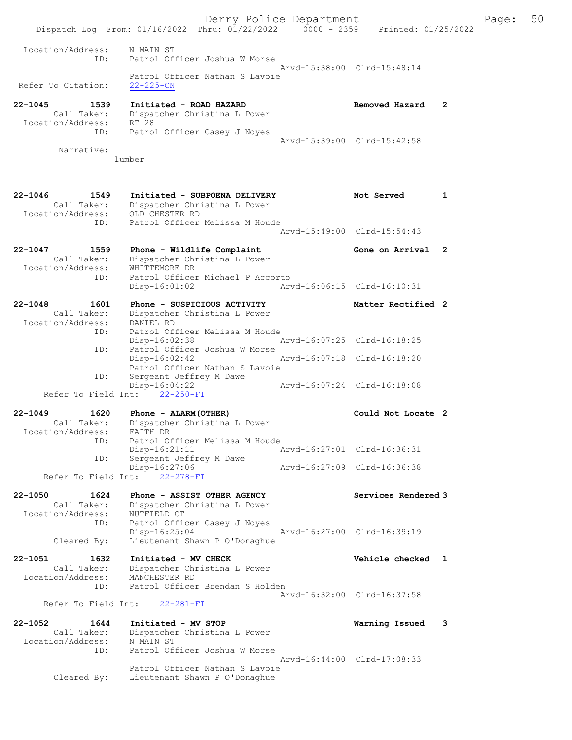Derry Police Department Fage: 50 Dispatch Log From: 01/16/2022 Thru: 01/22/2022 0000 - 2359 Printed: 01/25/2022 Location/Address: N MAIN ST ID: Patrol Officer Joshua W Morse Arvd-15:38:00 Clrd-15:48:14 Patrol Officer Nathan S Lavoie Refer To Citation: 22-225-CN 22-1045 1539 Initiated - ROAD HAZARD Removed Hazard 2 Call Taker: Dispatcher Christina L Power Location/Address: RT 28 ID: Patrol Officer Casey J Noyes Arvd-15:39:00 Clrd-15:42:58 Narrative: lumber 22-1046 1549 Initiated - SUBPOENA DELIVERY Not Served 1 Call Taker: Dispatcher Christina L Power Location/Address: OLD CHESTER RD ID: Patrol Officer Melissa M Houde Arvd-15:49:00 Clrd-15:54:43 22-1047 1559 Phone - Wildlife Complaint Gone on Arrival 2 Call Taker: Dispatcher Christina L Power Location/Address: WHITTEMORE DR ID: Patrol Officer Michael P Accorto Disp-16:01:02 Arvd-16:06:15 Clrd-16:10:31 22-1048 1601 Phone - SUSPICIOUS ACTIVITY Natter Rectified 2 Call Taker: Dispatcher Christina L Power Location/Address: DANIEL RD ID: Patrol Officer Melissa M Houde Disp-16:02:38 Arvd-16:07:25 Clrd-16:18:25 ID: Patrol Officer Joshua W Morse<br>Disp-16:02:42 Disp-16:02:42 Arvd-16:07:18 Clrd-16:18:20 Patrol Officer Nathan S Lavoie ID: Sergeant Jeffrey M Dawe Disp-16:04:22 Arvd-16:07:24 Clrd-16:18:08 Refer To Field Int: 22-250-FI 22-1049 1620 Phone - ALARM(OTHER) Could Not Locate 2 Call Taker: Dispatcher Christina L Power Location/Address: FAITH DR ID: Patrol Officer Melissa M Houde Disp-16:21:11 Arvd-16:27:01 Clrd-16:36:31 ID: Sergeant Jeffrey M Dawe Disp-16:27:06 Arvd-16:27:09 Clrd-16:36:38 Refer To Field Int: 22-278-FI 22-1050 1624 Phone - ASSIST OTHER AGENCY Services Rendered 3 Call Taker: Dispatcher Christina L Power Location/Address: NUTFIELD CT ID: Patrol Officer Casey J Noyes Disp-16:25:04 Arvd-16:27:00 Clrd-16:39:19 Cleared By: Lieutenant Shawn P O'Donaghue 22-1051 1632 Initiated - MV CHECK Vehicle checked 1 Call Taker: Dispatcher Christina L Power Location/Address: MANCHESTER RD ID: Patrol Officer Brendan S Holden Arvd-16:32:00 Clrd-16:37:58 Refer To Field Int: 22-281-FI 22-1052 1644 Initiated - MV STOP Warning Issued 3 Call Taker: Dispatcher Christina L Power Location/Address: N MAIN ST ID: Patrol Officer Joshua W Morse Arvd-16:44:00 Clrd-17:08:33 Patrol Officer Nathan S Lavoie Cleared By: Lieutenant Shawn P O'Donaghue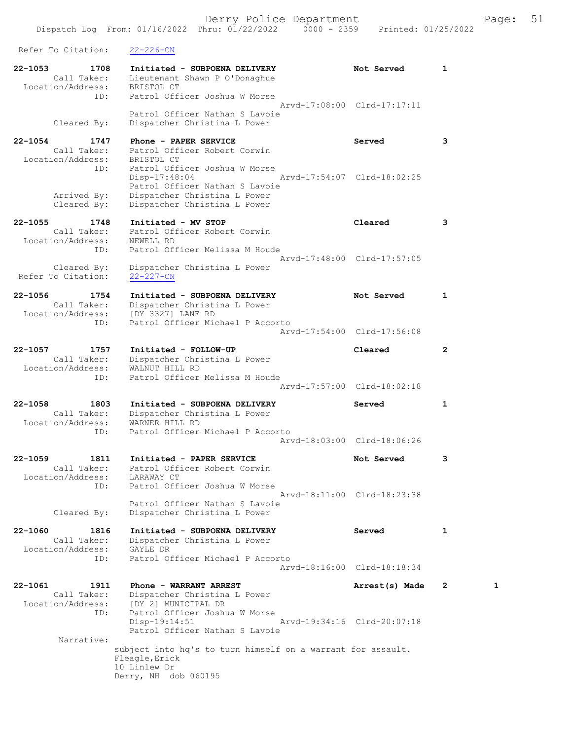Dispatch Log From: 01/16/2022 Thru: 01/22/2022 0000 - 2359 Printed: 01/25/2022 Refer To Citation: 22-226-CN 22-1053 1708 Initiated - SUBPOENA DELIVERY Not Served 1 Call Taker: Lieutenant Shawn P O'Donaghue Location/Address: BRISTOL CT ID: Patrol Officer Joshua W Morse Arvd-17:08:00 Clrd-17:17:11 Patrol Officer Nathan S Lavoie Cleared By: Dispatcher Christina L Power 22-1054 1747 Phone - PAPER SERVICE Served 3 Call Taker: Patrol Officer Robert Corwin Location/Address: BRISTOL CT ID: Patrol Officer Joshua W Morse Disp-17:48:04 Arvd-17:54:07 Clrd-18:02:25 Patrol Officer Nathan S Lavoie Arrived By: Dispatcher Christina L Power Cleared By: Dispatcher Christina L Power 22-1055 1748 Initiated - MV STOP Cleared 3 Call Taker: Patrol Officer Robert Corwin Location/Address: NEWELL RD ID: Patrol Officer Melissa M Houde Arvd-17:48:00 Clrd-17:57:05 Cleared By: Dispatcher Christina L Power Refer To Citation: 22-227-CN 22-1056 1754 Initiated - SUBPOENA DELIVERY Not Served 1 Call Taker: Dispatcher Christina L Power Location/Address: [DY 3327] LANE RD ID: Patrol Officer Michael P Accorto Arvd-17:54:00 Clrd-17:56:08 22-1057 1757 Initiated - FOLLOW-UP Cleared 2 Call Taker: Dispatcher Christina L Power Location/Address: WALNUT HILL RD ID: Patrol Officer Melissa M Houde Arvd-17:57:00 Clrd-18:02:18 22-1058 1803 Initiated - SUBPOENA DELIVERY Served 1 Call Taker: Dispatcher Christina L Power Location/Address: WARNER HILL RD ID: Patrol Officer Michael P Accorto Arvd-18:03:00 Clrd-18:06:26 22-1059 1811 Initiated - PAPER SERVICE 1997 Not Served 3 Call Taker: Patrol Officer Robert Corwin Location/Address: LARAWAY CT ID: Patrol Officer Joshua W Morse Arvd-18:11:00 Clrd-18:23:38 Patrol Officer Nathan S Lavoie Cleared By: Dispatcher Christina L Power 22-1060 1816 Initiated - SUBPOENA DELIVERY Served 1 Call Taker: Dispatcher Christina L Power Location/Address: GAYLE DR ID: Patrol Officer Michael P Accorto Arvd-18:16:00 Clrd-18:18:34 22-1061 1911 Phone - WARRANT ARREST 2 1 Arrest(s) Made 2 1 Call Taker: Dispatcher Christina L Power Location/Address: [DY 2] MUNICIPAL DR ID: Patrol Officer Joshua W Morse ID: Patrol Officer Joshua W Morse<br>Disp-19:14:51 Arvd-19:34:16 Clrd-20:07:18 Patrol Officer Nathan S Lavoie Narrative: subject into hq's to turn himself on a warrant for assault. Fleagle,Erick 10 Linlew Dr Derry, NH dob 060195

Derry Police Department Fage: 51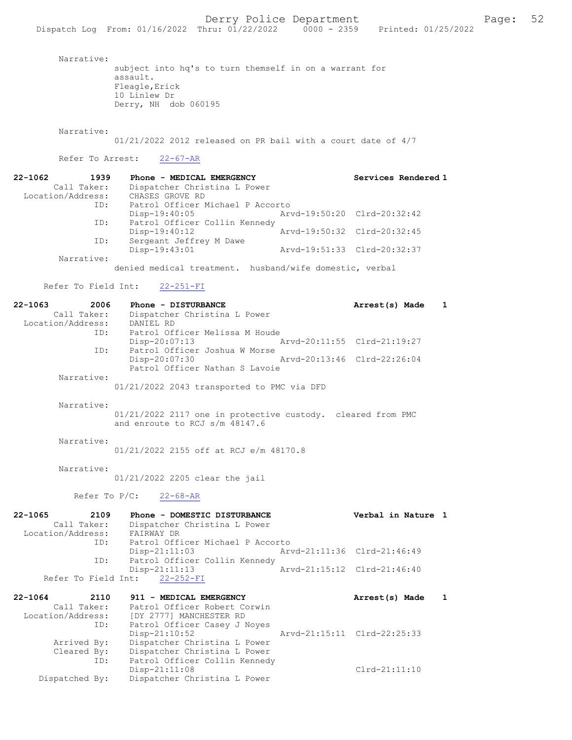Narrative:

subject into hq's to turn themself in on a warrant for assault. Fleagle,Erick 10 Linlew Dr Derry, NH dob 060195

Narrative:

01/21/2022 2012 released on PR bail with a court date of 4/7

## Refer To Arrest: 22-67-AR

| $22 - 1062$       | 1939        | Phone - MEDICAL EMERGENCY        | Services Rendered 1         |
|-------------------|-------------|----------------------------------|-----------------------------|
|                   | Call Taker: | Dispatcher Christina L Power     |                             |
| Location/Address: |             | CHASES GROVE RD                  |                             |
|                   | ID:         | Patrol Officer Michael P Accorto |                             |
|                   |             | $Disp-19:40:05$                  | Arvd-19:50:20 Clrd-20:32:42 |
|                   | ID:         | Patrol Officer Collin Kennedy    |                             |
|                   |             | $Disp-19:40:12$                  | Arvd-19:50:32 Clrd-20:32:45 |
|                   | ID:         | Sergeant Jeffrey M Dawe          |                             |
|                   |             | Disp-19:43:01                    | Arvd-19:51:33 Clrd-20:32:37 |
|                   | Narrative:  |                                  |                             |

denied medical treatment. husband/wife domestic, verbal

### Refer To Field Int: 22-251-FI

Dispatched By: Dispatcher Christina L Power

| $22 - 1063$<br>2006 | Phone - DISTURBANCE                                         | Arrest(s) Made              | $\mathbf{1}$ |
|---------------------|-------------------------------------------------------------|-----------------------------|--------------|
| Call Taker:         | Dispatcher Christina L Power                                |                             |              |
| Location/Address:   | DANIEL RD                                                   |                             |              |
| ID:                 | Patrol Officer Melissa M Houde                              |                             |              |
|                     | Disp-20:07:13                                               | Arvd-20:11:55 Clrd-21:19:27 |              |
| ID:                 | Patrol Officer Joshua W Morse                               |                             |              |
|                     | Disp-20:07:30                                               | Arvd-20:13:46 Clrd-22:26:04 |              |
| Narrative:          | Patrol Officer Nathan S Lavoie                              |                             |              |
|                     |                                                             |                             |              |
|                     | 01/21/2022 2043 transported to PMC via DFD                  |                             |              |
| Narrative:          |                                                             |                             |              |
|                     | 01/21/2022 2117 one in protective custody. cleared from PMC |                             |              |
|                     | and enroute to RCJ s/m 48147.6                              |                             |              |
|                     |                                                             |                             |              |
| Narrative:          |                                                             |                             |              |
|                     | 01/21/2022 2155 off at RCJ e/m 48170.8                      |                             |              |
|                     |                                                             |                             |              |
| Narrative:          |                                                             |                             |              |
|                     | 01/21/2022 2205 clear the jail                              |                             |              |
|                     |                                                             |                             |              |
|                     |                                                             |                             |              |
|                     | Refer To $P/C$ :<br>$22 - 68 - AR$                          |                             |              |
|                     |                                                             |                             |              |
| $22 - 1065$<br>2109 | Phone - DOMESTIC DISTURBANCE                                | Verbal in Nature 1          |              |
| Call Taker:         | Dispatcher Christina L Power                                |                             |              |
| Location/Address:   | FAIRWAY DR                                                  |                             |              |
| ID:                 | Patrol Officer Michael P Accorto                            |                             |              |
|                     | Disp-21:11:03                                               | Arvd-21:11:36 Clrd-21:46:49 |              |
| ID:                 | Patrol Officer Collin Kennedy                               | Arvd-21:15:12 Clrd-21:46:40 |              |
|                     | Disp-21:11:13<br>Refer To Field Int: 22-252-FI              |                             |              |
|                     |                                                             |                             |              |
| $22 - 1064$<br>2110 | 911 - MEDICAL EMERGENCY                                     | Arrest(s) Made              | 1            |
| Call Taker:         | Patrol Officer Robert Corwin                                |                             |              |
| Location/Address:   | [DY 2777] MANCHESTER RD                                     |                             |              |
| ID:                 | Patrol Officer Casey J Noyes                                |                             |              |
|                     | Disp-21:10:52                                               | Arvd-21:15:11 Clrd-22:25:33 |              |
| Arrived By:         | Dispatcher Christina L Power                                |                             |              |
| Cleared By:         | Dispatcher Christina L Power                                |                             |              |
| ID:                 | Patrol Officer Collin Kennedy<br>Disp-21:11:08              | $Clrd-21:11:10$             |              |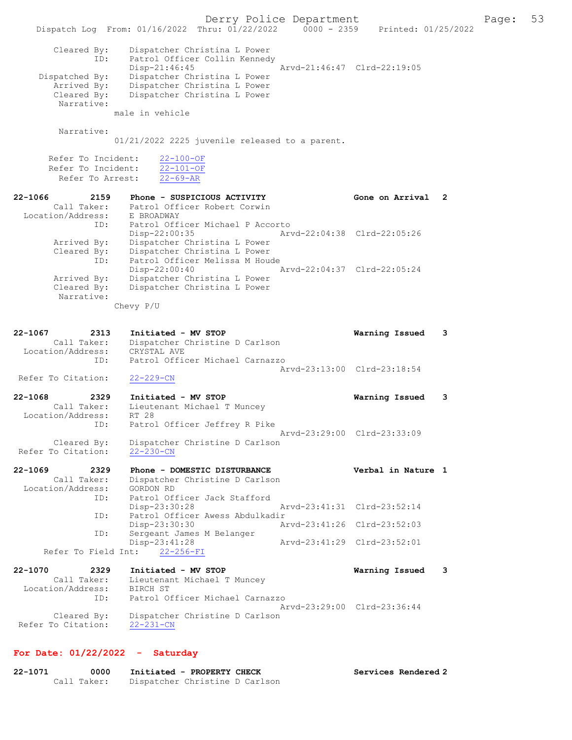Derry Police Department Fage: 53 Dispatch Log From: 01/16/2022 Thru: 01/22/2022 0000 - 2359 Printed: 01/25/2022 Cleared By: Dispatcher Christina L Power ID: Patrol Officer Collin Kennedy Patrol Officer Collin Kennedy<br>Disp-21:46:45 Arvd-21:46:47 Clrd-22:19:05 Dispatched By: Dispatcher Christina L Power Arrived By: Dispatcher Christina L Power Cleared By: Dispatcher Christina L Power Narrative: male in vehicle Narrative: 01/21/2022 2225 juvenile released to a parent. Refer To Incident:  $\frac{22-100-OF}{22-101-OF}$ Refer To Incident:  $\frac{22-101-01}{22-69-AR}$ Refer To Arrest: 22-1066 2159 Phone - SUSPICIOUS ACTIVITY Gone on Arrival 2 Call Taker: Patrol Officer Robert Corwin Location/Address: E BROADWAY ID: Patrol Officer Michael P Accorto<br>Disp-22:00:35 Arv Disp-22:00:35 Arvd-22:04:38 Clrd-22:05:26 Arrived By: Dispatcher Christina L Power Cleared By: Dispatcher Christina L Power ID: Patrol Officer Melissa M Houde Disp-22:00:40 Arvd-22:04:37 Clrd-22:05:24 Arrived By: Dispatcher Christina L Power Cleared By: Dispatcher Christina L Power Narrative: Chevy P/U 22-1067 2313 Initiated - MV STOP Warning Issued 3 Call Taker: Dispatcher Christine D Carlson Location/Address: CRYSTAL AVE ID: Patrol Officer Michael Carnazzo Arvd-23:13:00 Clrd-23:18:54 Refer To Citation: 22-229-CN 22-1068 2329 Initiated - MV STOP Warning Issued 3 Call Taker: Lieutenant Michael T Muncey Location/Address: RT 28 ID: Patrol Officer Jeffrey R Pike Arvd-23:29:00 Clrd-23:33:09 Cleared By: Dispatcher Christine D Carlson Refer To Citation: 22-230-CN 22-1069 2329 Phone - DOMESTIC DISTURBANCE Verbal in Nature 1 Call Taker: Dispatcher Christine D Carlson Location/Address: GORDON RD ID: Patrol Officer Jack Stafford Disp-23:30:28 Arvd-23:41:31 Clrd-23:52:14 ID: Patrol Officer Awess Abdulkadir<br>Disp-23:30:30 Arvd-23:41:26 Clrd-23:52:03 Disp-23:30:30 Arvd-23:41:26 Clrd-23:52:03 ID: Sergeant James M Belanger Disp-23:41:28 Arvd-23:41:29 Clrd-23:52:01 Refer To Field Int: 22-256-FI 22-1070 2329 Initiated - MV STOP Warning Issued 3 Call Taker: Lieutenant Michael T Muncey Location/Address: BIRCH ST ID: Patrol Officer Michael Carnazzo Arvd-23:29:00 Clrd-23:36:44 Cleared By: Dispatcher Christine D Carlson Refer To Citation: 22-231-CN

## For Date: 01/22/2022 - Saturday

| 22-1071 | 0000        | Initiated - PROPERTY CHECK     | Services Rendered 2 |
|---------|-------------|--------------------------------|---------------------|
|         | Call Taker: | Dispatcher Christine D Carlson |                     |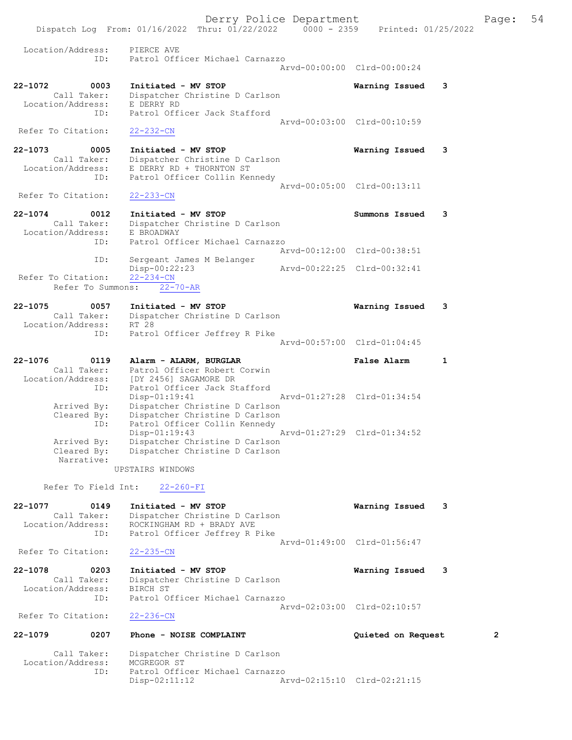Derry Police Department Fage: 54 Dispatch Log From: 01/16/2022 Thru: 01/22/2022 0000 - 2359 Printed: 01/25/2022 Location/Address: PIERCE AVE<br>TD: Patrol Offi ID: Patrol Officer Michael Carnazzo Arvd-00:00:00 Clrd-00:00:24 22-1072 0003 Initiated - MV STOP Warning Issued 3 Call Taker: Dispatcher Christine D Carlson Location/Address: E DERRY RD ID: Patrol Officer Jack Stafford Arvd-00:03:00 Clrd-00:10:59 Refer To Citation: 22-232-CN 22-1073 0005 Initiated - MV STOP Warning Issued 3 Call Taker: Dispatcher Christine D Carlson Location/Address: E DERRY RD + THORNTON ST ID: Patrol Officer Collin Kennedy Arvd-00:05:00 Clrd-00:13:11 Refer To Citation: 22-233-CN 22-1074 0012 Initiated - MV STOP Summons Issued 3 Call Taker: Dispatcher Christine D Carlson Location/Address: E BROADWAY ID: Patrol Officer Michael Carnazzo Arvd-00:12:00 Clrd-00:38:51 ID: Sergeant James M Belanger Disp-00:22:23 Arvd-00:22:25 Clrd-00:32:41 Refer To Citation: 22-234-CN Refer To Summons:  $\overline{22-70}$ -AR 22-1075 0057 Initiated - MV STOP Warning Issued 3 Call Taker: Dispatcher Christine D Carlson Location/Address: RT 28 ID: Patrol Officer Jeffrey R Pike Arvd-00:57:00 Clrd-01:04:45 22-1076 0119 Alarm - ALARM, BURGLAR False Alarm 1 Call Taker: Patrol Officer Robert Corwin Location/Address: [DY 2456] SAGAMORE DR ID: Patrol Officer Jack Stafford Disp-01:19:41 Arvd-01:27:28 Clrd-01:34:54 Arrived By: Dispatcher Christine D Carlson Cleared By: Dispatcher Christine D Carlson ID: Patrol Officer Collin Kennedy Disp-01:19:43 Arvd-01:27:29 Clrd-01:34:52 Arrived By: Dispatcher Christine D Carlson Cleared By: Dispatcher Christine D Carlson Narrative: UPSTAIRS WINDOWS Refer To Field Int: 22-260-FI 22-1077 0149 Initiated - MV STOP Warning Issued 3 Call Taker: Dispatcher Christine D Carlson Location/Address: ROCKINGHAM RD + BRADY AVE ID: Patrol Officer Jeffrey R Pike Arvd-01:49:00 Clrd-01:56:47<br>22-235-CN Refer To Citation: 22-1078 0203 Initiated - MV STOP Warning Issued 3 Call Taker: Dispatcher Christine D Carlson Location/Address: BIRCH ST ID: Patrol Officer Michael Carnazzo Arvd-02:03:00 Clrd-02:10:57 Refer To Citation: 22-236-CN 22-1079 0207 Phone - NOISE COMPLAINT Quieted on Request 2 Call Taker: Dispatcher Christine D Carlson Location/Address: MCGREGOR ST<br>ID: Patrol Offic Patrol Officer Michael Carnazzo<br>Disp-02:11:12 A Arvd-02:15:10 Clrd-02:21:15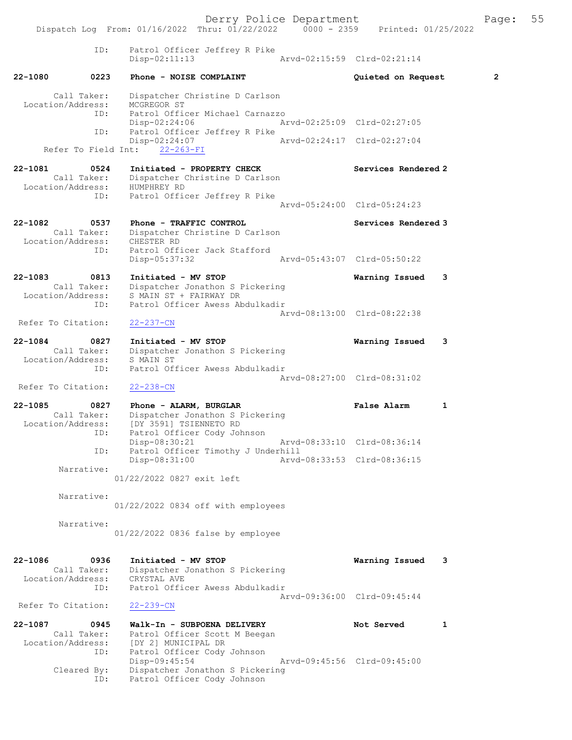Derry Police Department Fage: 55 Dispatch Log From: 01/16/2022 Thru: 01/22/2022 0000 - 2359 Printed: 01/25/2022 ID: Patrol Officer Jeffrey R Pike Disp-02:11:13 Arvd-02:15:59 Clrd-02:21:14 22-1080 0223 Phone - NOISE COMPLAINT Quieted on Request 2 Call Taker: Dispatcher Christine D Carlson Location/Address: MCGREGOR ST ID: Patrol Officer Michael Carnazzo Disp-02:24:06 Arvd-02:25:09 Clrd-02:27:05 ID: Patrol Officer Jeffrey R Pike Disp-02:24:07 Arvd-02:24:17 Clrd-02:27:04 Refer To Field Int: 22-263-FI 22-1081 0524 Initiated - PROPERTY CHECK Services Rendered 2 Call Taker: Dispatcher Christine D Carlson Location/Address: HUMPHREY RD ID: Patrol Officer Jeffrey R Pike Arvd-05:24:00 Clrd-05:24:23 22-1082 0537 Phone - TRAFFIC CONTROL Services Rendered 3 Call Taker: Dispatcher Christine D Carlson Location/Address: CHESTER RD ID: Patrol Officer Jack Stafford Disp-05:37:32 Arvd-05:43:07 Clrd-05:50:22 22-1083 0813 Initiated - MV STOP Warning Issued 3 Call Taker: Dispatcher Jonathon S Pickering Location/Address: S MAIN ST + FAIRWAY DR ID: Patrol Officer Awess Abdulkadir Arvd-08:13:00 Clrd-08:22:38<br>22-237-CN Refer To Citation: 22-1084 0827 Initiated - MV STOP Warning Issued 3 Call Taker: Dispatcher Jonathon S Pickering Location/Address: S MAIN ST ID: Patrol Officer Awess Abdulkadir Arvd-08:27:00 Clrd-08:31:02 Refer To Citation: 22-238-CN 22-1085 0827 Phone - ALARM, BURGLAR CHARM False Alarm 1 Call Taker: Dispatcher Jonathon S Pickering Location/Address: [DY 3591] TSIENNETO RD ID: Patrol Officer Cody Johnson Disp-08:30:21 Arvd-08:33:10 Clrd-08:36:14 ID: Patrol Officer Timothy J Underhill Disp-08:31:00 Arvd-08:33:53 Clrd-08:36:15 Narrative: 01/22/2022 0827 exit left Narrative: 01/22/2022 0834 off with employees Narrative: 01/22/2022 0836 false by employee 22-1086 0936 Initiated - MV STOP Warning Issued 3 Call Taker: Dispatcher Jonathon S Pickering Location/Address: CRYSTAL AVE ID: Patrol Officer Awess Abdulkadir Arvd-09:36:00 Clrd-09:45:44 Refer To Citation: 22-239-CN 22-1087 0945 Walk-In - SUBPOENA DELIVERY Not Served 1 Call Taker: Patrol Officer Scott M Beegan Location/Address: [DY 2] MUNICIPAL DR ID: Patrol Officer Cody Johnson Disp-09:45:54 Arvd-09:45:56 Clrd-09:45:00 Cleared By: Dispatcher Jonathon S Pickering ID: Patrol Officer Cody Johnson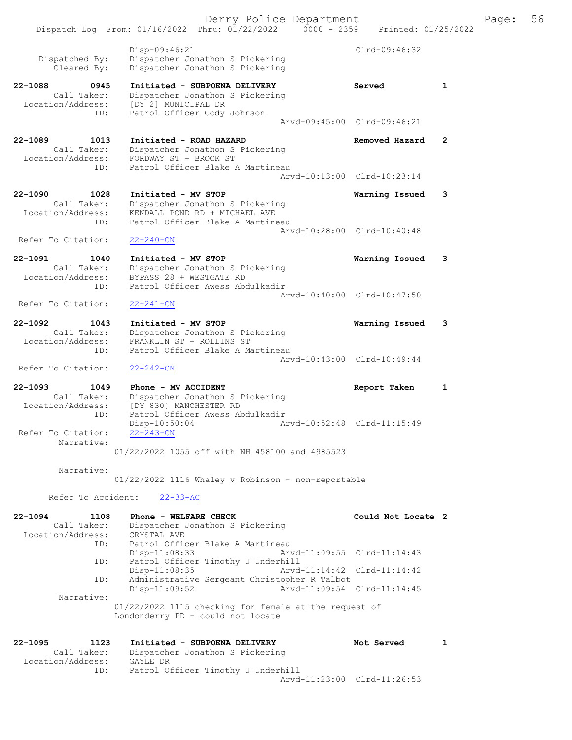Derry Police Department The Page: 56 Dispatch Log From: 01/16/2022 Thru: 01/22/2022 0000 - 2359 Printed: 01/25/2022 Disp-09:46:21 Clrd-09:46:32<br>Dispatcher Jonathon S Pickering Clrd-09:46:32 Dispatched By: Dispatcher Jonathon S Pickering Cleared By: Dispatcher Jonathon S Pickering 22-1088 0945 Initiated - SUBPOENA DELIVERY Served 1 Call Taker: Dispatcher Jonathon S Pickering Location/Address: [DY 2] MUNICIPAL DR ID: Patrol Officer Cody Johnson Arvd-09:45:00 Clrd-09:46:21 22-1089 1013 Initiated - ROAD HAZARD Removed Hazard 2 Call Taker: Dispatcher Jonathon S Pickering Location/Address: FORDWAY ST + BROOK ST ID: Patrol Officer Blake A Martineau Arvd-10:13:00 Clrd-10:23:14 22-1090 1028 Initiated - MV STOP Warning Issued 3 Call Taker: Dispatcher Jonathon S Pickering Location/Address: KENDALL POND RD + MICHAEL AVE ID: Patrol Officer Blake A Martineau Arvd-10:28:00 Clrd-10:40:48 Refer To Citation: 22-240-CN 22-1091 1040 Initiated - MV STOP Warning Issued 3 Call Taker: Dispatcher Jonathon S Pickering Location/Address: BYPASS 28 + WESTGATE RD ID: Patrol Officer Awess Abdulkadir Arvd-10:40:00 Clrd-10:47:50<br>22-241-CN Refer To Citation: 22-1092 1043 Initiated - MV STOP Warning Issued 3 Call Taker: Dispatcher Jonathon S Pickering Location/Address: FRANKLIN ST + ROLLINS ST ID: Patrol Officer Blake A Martineau Arvd-10:43:00 Clrd-10:49:44 Refer To Citation: 22-242-CN 22-1093 1049 Phone - MV ACCIDENT Report Taken 1 Call Taker: Dispatcher Jonathon S Pickering Location/Address: [DY 830] MANCHESTER RD ID: Patrol Officer Awess Abdulkadir Disp-10:50:04 Arvd-10:52:48 Clrd-11:15:49 Refer To Citation: Narrative: 01/22/2022 1055 off with NH 458100 and 4985523 Narrative: 01/22/2022 1116 Whaley v Robinson - non-reportable Refer To Accident: 22-33-AC 22-1094 1108 Phone - WELFARE CHECK Could Not Locate 2 Call Taker: Dispatcher Jonathon S Pickering Location/Address: CRYSTAL AVE ID: Patrol Officer Blake A Martineau<br>Disp-11:08:33 Ary Disp-11:08:33 Arvd-11:09:55 Clrd-11:14:43 ID: Patrol Officer Timothy J Underhill Disp-11:08:35 Arvd-11:14:42 Clrd-11:14:42 ID: Administrative Sergeant Christopher R Talbot Disp-11:09:52 Arvd-11:09:54 Clrd-11:14:45 Narrative: 01/22/2022 1115 checking for female at the request of Londonderry PD - could not locate 22-1095 1123 Initiated - SUBPOENA DELIVERY Not Served 1 Call Taker: Dispatcher Jonathon S Pickering Location/Address:<br>ID: GAYLE DR<br>Patrol Officer Timothy J Underhill Arvd-11:23:00 Clrd-11:26:53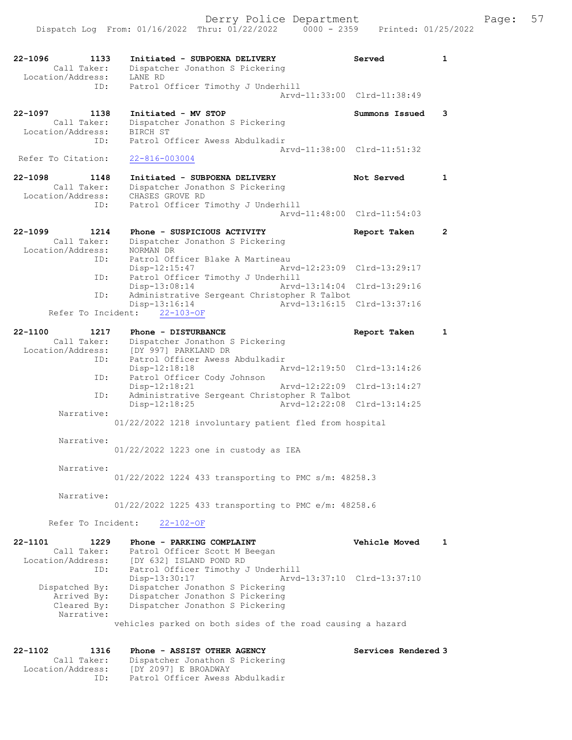| 22-1096<br>1133<br>Call Taker: | Initiated - SUBPOENA DELIVERY<br>Dispatcher Jonathon S Pickering | Served                      | $\mathbf{1}$   |
|--------------------------------|------------------------------------------------------------------|-----------------------------|----------------|
| Location/Address:<br>ID:       | LANE RD<br>Patrol Officer Timothy J Underhill                    |                             |                |
|                                |                                                                  | Arvd-11:33:00 Clrd-11:38:49 |                |
| 22-1097<br>1138                | Initiated - MV STOP                                              | Summons Issued              | 3              |
| Call Taker:                    | Dispatcher Jonathon S Pickering                                  |                             |                |
| Location/Address:              | <b>BIRCH ST</b>                                                  |                             |                |
| ID:                            | Patrol Officer Awess Abdulkadir                                  | Aryd-11:38:00 Clrd-11:51:32 |                |
| Refer To Citation:             | $22 - 816 - 003004$                                              |                             |                |
| $22 - 1098$<br>1148            | Initiated - SUBPOENA DELIVERY                                    | Not Served                  | $\mathbf{1}$   |
| Call Taker:                    | Dispatcher Jonathon S Pickering                                  |                             |                |
| Location/Address:              | CHASES GROVE RD                                                  |                             |                |
| ID:                            | Patrol Officer Timothy J Underhill                               | Arvd-11:48:00 Clrd-11:54:03 |                |
| $22 - 1099$<br>1214            | Phone - SUSPICIOUS ACTIVITY                                      | Report Taken                | $\overline{2}$ |
| Call Taker:                    | Dispatcher Jonathon S Pickering                                  |                             |                |
| Location/Address:              | NORMAN DR                                                        |                             |                |
| ID:                            | Patrol Officer Blake A Martineau                                 |                             |                |
| ID:                            | $Disp-12:15:47$<br>Patrol Officer Timothy J Underhill            | Arvd-12:23:09 Clrd-13:29:17 |                |
|                                | Arvd-13:14:04<br>$Disp-13:08:14$                                 | Clrd-13:29:16               |                |
| ID:                            | Administrative Sergeant Christopher R Talbot                     |                             |                |
| Refer To Incident:             | $Disp-13:16:14$<br>$22 - 103 - OF$                               | Arvd-13:16:15 Clrd-13:37:16 |                |
| $22 - 1100$<br>1217            | Phone - DISTURBANCE                                              |                             | $\mathbf{1}$   |
| Call Taker:                    | Dispatcher Jonathon S Pickering                                  | Report Taken                |                |
| Location/Address:              | [DY 997] PARKLAND DR                                             |                             |                |
| ID:                            | Patrol Officer Awess Abdulkadir                                  |                             |                |
| ID:                            | Disp-12:18:18                                                    | Arvd-12:19:50 Clrd-13:14:26 |                |
|                                | Patrol Officer Cody Johnson<br>Disp-12:18:21<br>Arvd-12:22:09    | $Clrd-13:14:27$             |                |
| ID:                            | Administrative Sergeant Christopher R Talbot                     |                             |                |
|                                | Disp-12:18:25                                                    | Arvd-12:22:08 Clrd-13:14:25 |                |
| Narrative:                     | 01/22/2022 1218 involuntary patient fled from hospital           |                             |                |
|                                |                                                                  |                             |                |
| Narrative:                     | 01/22/2022 1223 one in custody as IEA                            |                             |                |
|                                |                                                                  |                             |                |
| Narrative:                     |                                                                  |                             |                |
|                                | 01/22/2022 1224 433 transporting to PMC s/m: 48258.3             |                             |                |
| Narrative:                     |                                                                  |                             |                |
|                                | 01/22/2022 1225 433 transporting to PMC e/m: 48258.6             |                             |                |
| Refer To Incident:             | $22 - 102 - OF$                                                  |                             |                |
|                                |                                                                  |                             |                |
| 22-1101<br>1229                | Phone - PARKING COMPLAINT                                        | <b>Vehicle Moved</b>        | 1              |
| Call Taker:                    | Patrol Officer Scott M Beegan                                    |                             |                |
| Location/Address:<br>ID:       | [DY 632] ISLAND POND RD<br>Patrol Officer Timothy J Underhill    |                             |                |
|                                | Disp-13:30:17                                                    | Arvd-13:37:10 Clrd-13:37:10 |                |
| Dispatched By:                 | Dispatcher Jonathon S Pickering                                  |                             |                |
| Arrived By:                    | Dispatcher Jonathon S Pickering                                  |                             |                |
| Cleared By:<br>Narrative:      | Dispatcher Jonathon S Pickering                                  |                             |                |
|                                | vehicles parked on both sides of the road causing a hazard       |                             |                |
|                                |                                                                  |                             |                |
| 22-1102<br>1316<br>Call Taker: | Phone - ASSIST OTHER AGENCY                                      | Services Rendered 3         |                |
| Location/Address:              | Dispatcher Jonathon S Pickering<br>[DY 2097] E BROADWAY          |                             |                |
| ID:                            | Patrol Officer Awess Abdulkadir                                  |                             |                |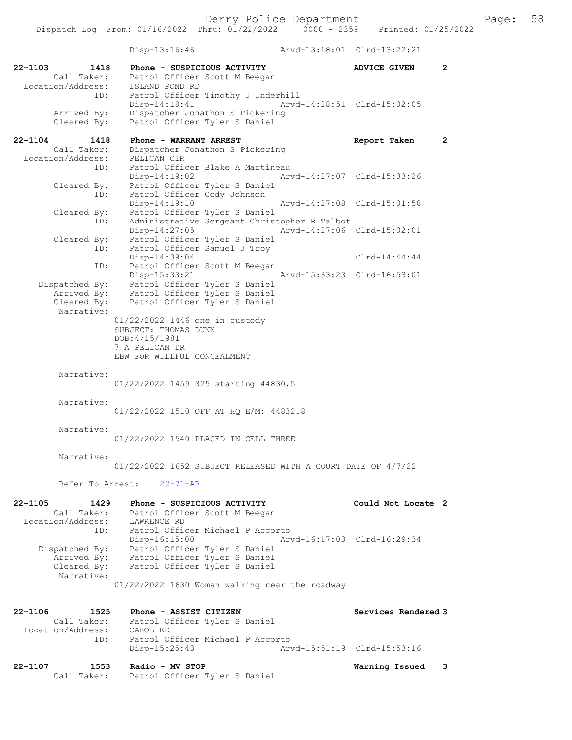Disp-13:16:46 Arvd-13:18:01 Clrd-13:22:21 22-1103 1418 Phone - SUSPICIOUS ACTIVITY ADVICE GIVEN 2 Call Taker: Patrol Officer Scott M Beegan Location/Address: ISLAND POND RD ID: Patrol Officer Timothy J Underhill Disp-14:18:41 Arvd-14:28:51 Clrd-15:02:05 Arrived By: Dispatcher Jonathon S Pickering Cleared By: Patrol Officer Tyler S Daniel 22-1104 1418 Phone - WARRANT ARREST Report Taken 2 Call Taker: Dispatcher Jonathon S Pickering Location/Address: PELICAN CIR ID: Patrol Officer Blake A Martineau Disp-14:19:02 Arvd-14:27:07 Clrd-15:33:26 Cleared By: Patrol Officer Tyler S Daniel ID: Patrol Officer Cody Johnson Disp-14:19:10 Arvd-14:27:08 Clrd-15:01:58 Cleared By: Patrol Officer Tyler S Daniel ID: Administrative Sergeant Christopher R Talbot Disp-14:27:05 Arvd-14:27:06 Clrd-15:02:01 Cleared By: Patrol Officer Tyler S Daniel ID: Patrol Officer Samuel J Troy Disp-14:39:04 Clrd-14:44:44 ID: Patrol Officer Scott M Beegan Disp-15:33:21 Arvd-15:33:23 Clrd-16:53:01 Dispatched By: Patrol Officer Tyler S Daniel Arrived By: Patrol Officer Tyler S Daniel Cleared By: Patrol Officer Tyler S Daniel Narrative: 01/22/2022 1446 one in custody SUBJECT: THOMAS DUNN DOB:4/15/1981 7 A PELICAN DR EBW FOR WILLFUL CONCEALMENT Narrative: 01/22/2022 1459 325 starting 44830.5 Narrative: 01/22/2022 1510 OFF AT HQ E/M: 44832.8 Narrative: 01/22/2022 1540 PLACED IN CELL THREE Narrative: 01/22/2022 1652 SUBJECT RELEASED WITH A COURT DATE OF 4/7/22 Refer To Arrest: 22-71-AR 22-1105 1429 Phone - SUSPICIOUS ACTIVITY Could Not Locate 2 Call Taker: Patrol Officer Scott M Beegan Location/Address: LAWRENCE RD ID: Patrol Officer Michael P Accorto Disp-16:15:00 Arvd-16:17:03 Clrd-16:29:34 Dispatched By: Patrol Officer Tyler S Daniel Arrived By: Patrol Officer Tyler S Daniel Cleared By: Patrol Officer Tyler S Daniel Narrative: 01/22/2022 1630 Woman walking near the roadway 22-1106 1525 Phone - ASSIST CITIZEN 1988 Services Rendered 3 Call Taker: Patrol Officer Tyler S Daniel Location/Address: CAROL RD ID: Patrol Officer Michael P Accorto Disp-15:25:43 Arvd-15:51:19 Clrd-15:53:16 22-1107 1553 Radio - MV STOP Warning Issued 3 Call Taker: Patrol Officer Tyler S Daniel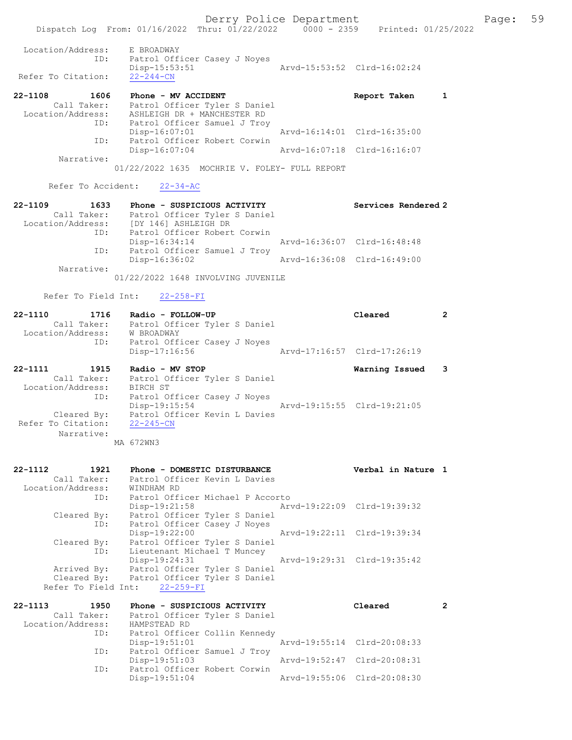Derry Police Department Fage: 59 Dispatch Log From: 01/16/2022 Thru: 01/22/2022 0000 - 2359 Printed: 01/25/2022 Location/Address: E BROADWAY ID: Patrol Officer Casey J Noyes Disp-15:53:51 Arvd-15:53:52 Clrd-16:02:24 Refer To Citation: 22-244-CN 22-1108 1606 Phone - MV ACCIDENT Report Taken 1 Call Taker: Patrol Officer Tyler S Daniel Location/Address: ASHLEIGH DR + MANCHESTER RD ID: Patrol Officer Samuel J Troy Disp-16:07:01 Arvd-16:14:01 Clrd-16:35:00 ID: Patrol Officer Robert Corwin Disp-16:07:04 Arvd-16:07:18 Clrd-16:16:07 Narrative: 01/22/2022 1635 MOCHRIE V. FOLEY- FULL REPORT Refer To Accident: 22-34-AC 22-1109 1633 Phone - SUSPICIOUS ACTIVITY Services Rendered 2 Call Taker: Patrol Officer Tyler S Daniel Location/Address: [DY 146] ASHLEIGH DR ID: Patrol Officer Robert Corwin Disp-16:34:14 Arvd-16:36:07 Clrd-16:48:48 ID: Patrol Officer Samuel J Troy<br>Disp-16:36:02 Arvd-16:36:08 Clrd-16:49:00 Disp-16:36:02 Narrative: 01/22/2022 1648 INVOLVING JUVENILE Refer To Field Int: 22-258-FI 22-1110 1716 Radio - FOLLOW-UP Cleared 2 Call Taker: Patrol Officer Tyler S Daniel Location/Address: W BROADWAY ID: Patrol Officer Casey J Noyes Disp-17:16:56 Arvd-17:16:57 Clrd-17:26:19 22-1111 1915 Radio - MV STOP 1918 1918 Rarning Issued 3 Call Taker: Patrol Officer Tyler S Daniel Location/Address: BIRCH ST ID: Patrol Officer Casey J Noyes Disp-19:15:54 Arvd-19:15:55 Clrd-19:21:05 Cleared By: Patrol Officer Kevin L Davies Refer To Citation: 22-245-CN Narrative: MA 672WN3 22-1112 1921 Phone - DOMESTIC DISTURBANCE Verbal in Nature 1 Call Taker: Patrol Officer Kevin L Davies Location/Address: WINDHAM RD ID: Patrol Officer Michael P Accorto Disp-19:21:58 Arvd-19:22:09 Clrd-19:39:32

 Cleared By: Patrol Officer Tyler S Daniel ID: Patrol Officer Casey J Noyes Disp-19:22:00 Arvd-19:22:11 Clrd-19:39:34 Cleared By: Patrol Officer Tyler S Daniel ID: Lieutenant Michael T Muncey Disp-19:24:31 Arvd-19:29:31 Clrd-19:35:42 Arrived By: Patrol Officer Tyler S Daniel Cleared By: Patrol Officer Tyler S Daniel Refer To Field Int: 22-259-FI

| 22-1113           | 1950        | Phone - SUSPICIOUS ACTIVITY      |                             | Cleared |  |
|-------------------|-------------|----------------------------------|-----------------------------|---------|--|
|                   | Call Taker: | Patrol Officer Tyler S Daniel    |                             |         |  |
| Location/Address: |             | HAMPSTEAD RD                     |                             |         |  |
|                   | ID:         | Patrol Officer Collin Kennedy    |                             |         |  |
|                   |             | Disp-19:51:01                    | Arvd-19:55:14 Clrd-20:08:33 |         |  |
|                   |             | ID: Patrol Officer Samuel J Troy |                             |         |  |
|                   |             | $Disp-19:51:03$                  | Arvd-19:52:47 Clrd-20:08:31 |         |  |
|                   | ID:         | Patrol Officer Robert Corwin     |                             |         |  |
|                   |             | $Disp-19:51:04$                  | Arvd-19:55:06 Clrd-20:08:30 |         |  |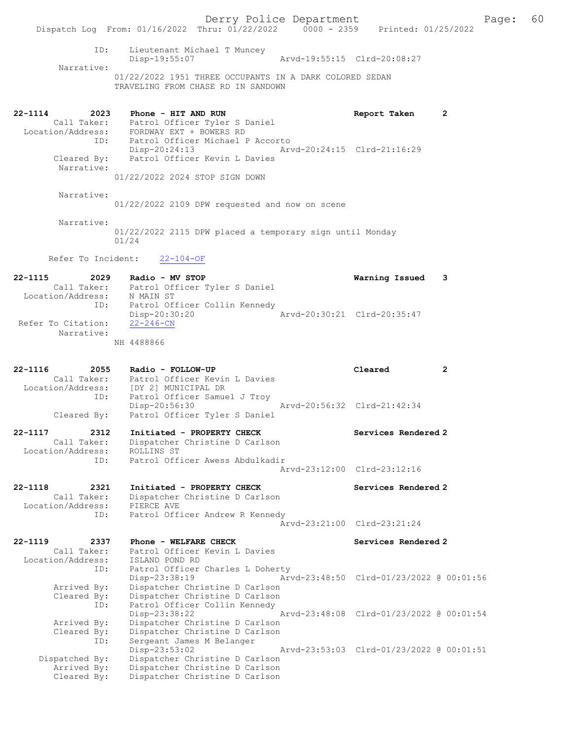Derry Police Department Fage: 60 Dispatch Log From: 01/16/2022 Thru: 01/22/2022 0000 - 2359 Printed: 01/25/2022 ID: Lieutenant Michael T Muncey Disp-19:55:07 Arvd-19:55:15 Clrd-20:08:27 Narrative: 01/22/2022 1951 THREE OCCUPANTS IN A DARK COLORED SEDAN TRAVELING FROM CHASE RD IN SANDOWN 22-1114 2023 Phone - HIT AND RUN Report Taken 2 Call Taker: Patrol Officer Tyler S Daniel Location/Address: FORDWAY EXT + BOWERS RD ID: Patrol Officer Michael P Accorto Disp-20:24:13 Arvd-20:24:15 Clrd-21:16:29 Cleared By: Patrol Officer Kevin L Davies Narrative: 01/22/2022 2024 STOP SIGN DOWN Narrative: 01/22/2022 2109 DPW requested and now on scene Narrative: 01/22/2022 2115 DPW placed a temporary sign until Monday 01/24 Refer To Incident: 22-104-OF 22-1115 2029 Radio - MV STOP Warning Issued 3 Call Taker: Patrol Officer Tyler S Daniel Location/Address: N MAIN ST ID: Patrol Officer Collin Kennedy Disp-20:30:20 Arvd-20:30:21 Clrd-20:35:47 Refer To Citation: 22-246-CN Narrative: NH 4488866 22-1116 2055 Radio - FOLLOW-UP Cleared 2 Call Taker: Patrol Officer Kevin L Davies Location/Address: [DY 2] MUNICIPAL DR ID: Patrol Officer Samuel J Troy Disp-20:56:30 Arvd-20:56:32 Clrd-21:42:34 Cleared By: Patrol Officer Tyler S Daniel 22-1117 2312 Initiated - PROPERTY CHECK Services Rendered 2 Call Taker: Dispatcher Christine D Carlson Location/Address: ROLLINS ST ID: Patrol Officer Awess Abdulkadir Arvd-23:12:00 Clrd-23:12:16 22-1118 2321 Initiated - PROPERTY CHECK Services Rendered 2 Call Taker: Dispatcher Christine D Carlson Location/Address: PIERCE AVE ID: Patrol Officer Andrew R Kennedy Arvd-23:21:00 Clrd-23:21:24 22-1119 2337 Phone - WELFARE CHECK Services Rendered 2 Call Taker: Patrol Officer Kevin L Davies Location/Address: ISLAND POND RD ID: Patrol Officer Charles L Doherty Disp-23:38:19 Arvd-23:48:50 Clrd-01/23/2022 @ 00:01:56 Arrived By: Dispatcher Christine D Carlson Cleared By: Dispatcher Christine D Carlson ID: Patrol Officer Collin Kennedy Disp-23:38:22 Arvd-23:48:08 Clrd-01/23/2022 @ 00:01:54 Arrived By: Dispatcher Christine D Carlson Cleared By: Dispatcher Christine D Carlson ID: Sergeant James M Belanger Disp-23:53:02 Arvd-23:53:03 Clrd-01/23/2022 @ 00:01:51 Dispatched By: Dispatcher Christine D Carlson Arrived By: Dispatcher Christine D Carlson Cleared By: Dispatcher Christine D Carlson